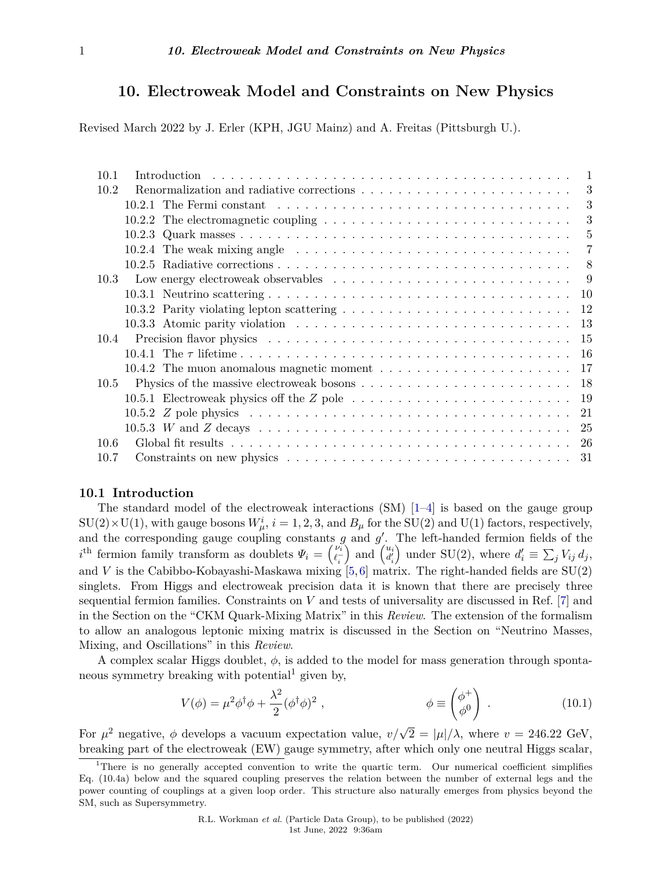# **10. Electroweak Model and Constraints on New Physics**

Revised March 2022 by J. Erler (KPH, JGU Mainz) and A. Freitas (Pittsburgh U.).

| 10.1 |                                                                                                                         | $\overline{1}$ |
|------|-------------------------------------------------------------------------------------------------------------------------|----------------|
| 10.2 | Renormalization and radiative corrections $\ldots \ldots \ldots \ldots \ldots \ldots \ldots \ldots$                     | 3              |
|      |                                                                                                                         | 3              |
|      | 10.2.2 The electromagnetic coupling $\dots \dots \dots \dots \dots \dots \dots \dots \dots \dots \dots$                 | 3              |
|      |                                                                                                                         | 5              |
|      | 10.2.4 The weak mixing angle $\ldots \ldots \ldots \ldots \ldots \ldots \ldots \ldots \ldots \ldots \ldots$             | 7              |
|      |                                                                                                                         | 8              |
| 10.3 |                                                                                                                         | 9              |
|      |                                                                                                                         | 10             |
|      | 10.3.2 Parity violating lepton scattering $\ldots \ldots \ldots \ldots \ldots \ldots \ldots \ldots$                     | 12             |
|      |                                                                                                                         | 13             |
| 10.4 |                                                                                                                         | 15             |
|      |                                                                                                                         | -16            |
|      | 10.4.2 The muon anomalous magnetic moment $\dots \dots \dots \dots \dots \dots \dots \dots$                             | 17             |
| 10.5 |                                                                                                                         | 18             |
|      | 10.5.1 Electroweak physics off the $Z$ pole $\ldots \ldots \ldots \ldots \ldots \ldots \ldots \ldots$                   | -19            |
|      |                                                                                                                         | 21             |
|      | $10.5.3 \,$ W and Z decays $\ldots \ldots \ldots \ldots \ldots \ldots \ldots \ldots \ldots \ldots \ldots \ldots \ldots$ | -25            |
| 10.6 |                                                                                                                         | -26            |
| 10.7 |                                                                                                                         |                |
|      |                                                                                                                         |                |

# <span id="page-0-0"></span>**10.1 Introduction**

The standard model of the electroweak interactions  $(SM)$  [\[1–](#page-36-0)[4\]](#page-36-1) is based on the gauge group  $SU(2) \times U(1)$ , with gauge bosons  $W^i_\mu$ ,  $i = 1, 2, 3$ , and  $B_\mu$  for the SU(2) and U(1) factors, respectively, and the corresponding gauge coupling constants  $g$  and  $g'$ . The left-handed fermion fields of the *i*<sup>th</sup> fermion family transform as doublets  $\Psi_i = \begin{pmatrix} \nu_i \\ \ell_i \end{pmatrix}$  $\int$  and  $\begin{pmatrix} u_i \\ d'_i \end{pmatrix}$  under SU(2), where  $d'_i \equiv \sum_j V_{ij} d_j$ , and *V* is the Cabibbo-Kobayashi-Maskawa mixing  $[5,6]$  $[5,6]$  matrix. The right-handed fields are  $SU(2)$ singlets. From Higgs and electroweak precision data it is known that there are precisely three sequential fermion families. Constraints on *V* and tests of universality are discussed in Ref. [\[7\]](#page-36-4) and in the Section on the "CKM Quark-Mixing Matrix" in this *Review*. The extension of the formalism to allow an analogous leptonic mixing matrix is discussed in the Section on "Neutrino Masses, Mixing, and Oscillations" in this *Review*.

A complex scalar Higgs doublet, *φ*, is added to the model for mass generation through sponta-neous symmetry breaking with potential<sup>[1](#page-0-1)</sup> given by,

$$
V(\phi) = \mu^2 \phi^\dagger \phi + \frac{\lambda^2}{2} (\phi^\dagger \phi)^2 , \qquad \phi \equiv \begin{pmatrix} \phi^+ \\ \phi^0 \end{pmatrix} . \qquad (10.1)
$$

For  $\mu^2$  negative,  $\phi$  develops a vacuum expectation value,  $v/\sqrt{2} = |\mu|/\lambda$ , where  $v = 246.22$  GeV, breaking part of the electroweak (EW) gauge symmetry, after which only one neutral Higgs scalar,

<span id="page-0-1"></span><sup>&</sup>lt;sup>1</sup>There is no generally accepted convention to write the quartic term. Our numerical coefficient simplifies Eq. (10.4a) below and the squared coupling preserves the relation between the number of external legs and the power counting of couplings at a given loop order. This structure also naturally emerges from physics beyond the SM, such as Supersymmetry.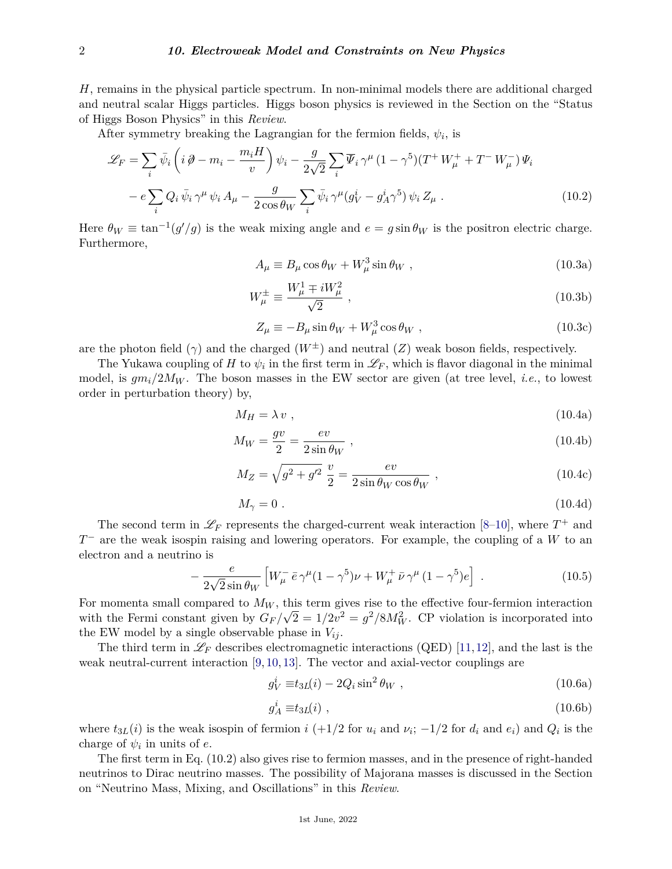*H*, remains in the physical particle spectrum. In non-minimal models there are additional charged and neutral scalar Higgs particles. Higgs boson physics is reviewed in the Section on the "Status of Higgs Boson Physics" in this *Review*.

After symmetry breaking the Lagrangian for the fermion fields,  $\psi_i$ , is

$$
\mathcal{L}_F = \sum_i \bar{\psi}_i \left( i \partial - m_i - \frac{m_i H}{v} \right) \psi_i - \frac{g}{2\sqrt{2}} \sum_i \overline{\Psi}_i \gamma^\mu (1 - \gamma^5) (T^+ W^+_\mu + T^- W^-_\mu) \Psi_i
$$

$$
- e \sum_i Q_i \bar{\psi}_i \gamma^\mu \psi_i A_\mu - \frac{g}{2 \cos \theta_W} \sum_i \bar{\psi}_i \gamma^\mu (g^i_V - g^i_A \gamma^5) \psi_i Z_\mu . \tag{10.2}
$$

Here  $\theta_W \equiv \tan^{-1}(g'/g)$  is the weak mixing angle and  $e = g \sin \theta_W$  is the positron electric charge. Furthermore,

$$
A_{\mu} \equiv B_{\mu} \cos \theta_W + W_{\mu}^3 \sin \theta_W , \qquad (10.3a)
$$

$$
W^{\pm}_{\mu} \equiv \frac{W_{\mu}^{1} \mp iW_{\mu}^{2}}{\sqrt{2}} , \qquad (10.3b)
$$

$$
Z_{\mu} \equiv -B_{\mu}\sin\theta_W + W_{\mu}^3\cos\theta_W , \qquad (10.3c)
$$

are the photon field  $(\gamma)$  and the charged  $(W^{\pm})$  and neutral  $(Z)$  weak boson fields, respectively.

The Yukawa coupling of *H* to  $\psi_i$  in the first term in  $\mathscr{L}_F$ , which is flavor diagonal in the minimal model, is  $gm_i/2M_W$ . The boson masses in the EW sector are given (at tree level, *i.e.*, to lowest order in perturbation theory) by,

$$
M_H = \lambda v \tag{10.4a}
$$

$$
M_W = \frac{gv}{2} = \frac{ev}{2\sin\theta_W} \,,\tag{10.4b}
$$

$$
M_Z = \sqrt{g^2 + g'^2} \frac{v}{2} = \frac{ev}{2\sin\theta_W \cos\theta_W} , \qquad (10.4c)
$$

$$
M_{\gamma} = 0. \tag{10.4d}
$$

The second term in  $\mathscr{L}_F$  represents the charged-current weak interaction [\[8–](#page-36-5)[10\]](#page-36-6), where  $T^+$  and *T*<sup>−</sup> are the weak isospin raising and lowering operators. For example, the coupling of a *W* to an electron and a neutrino is

$$
-\frac{e}{2\sqrt{2}\sin\theta_{W}}\left[W_{\mu}^{-}\bar{e}\gamma^{\mu}(1-\gamma^{5})\nu+W_{\mu}^{+}\bar{\nu}\gamma^{\mu}(1-\gamma^{5})e\right].
$$
 (10.5)

For momenta small compared to  $M_W$ , this term gives rise to the effective four-fermion interaction with the Fermi constant given by  $G_F/\sqrt{2} = 1/2v^2 = g^2/8M_W^2$ . CP violation is incorporated into the EW model by a single observable phase in  $V_{ij}$ .

The third term in  $\mathscr{L}_F$  describes electromagnetic interactions (QED) [\[11,](#page-36-7)[12\]](#page-36-8), and the last is the weak neutral-current interaction [\[9,](#page-36-9) [10,](#page-36-6) [13\]](#page-36-10). The vector and axial-vector couplings are

$$
g_V^i \equiv t_{3L}(i) - 2Q_i \sin^2 \theta_W , \qquad (10.6a)
$$

$$
g_A^i \equiv t_{3L}(i) \tag{10.6b}
$$

where  $t_{3L}(i)$  is the weak isospin of fermion  $i$  (+1/2 for  $u_i$  and  $v_i$ ; -1/2 for  $d_i$  and  $e_i$ ) and  $Q_i$  is the charge of  $\psi_i$  in units of *e*.

The first term in Eq. (10.2) also gives rise to fermion masses, and in the presence of right-handed neutrinos to Dirac neutrino masses. The possibility of Majorana masses is discussed in the Section on "Neutrino Mass, Mixing, and Oscillations" in this *Review*.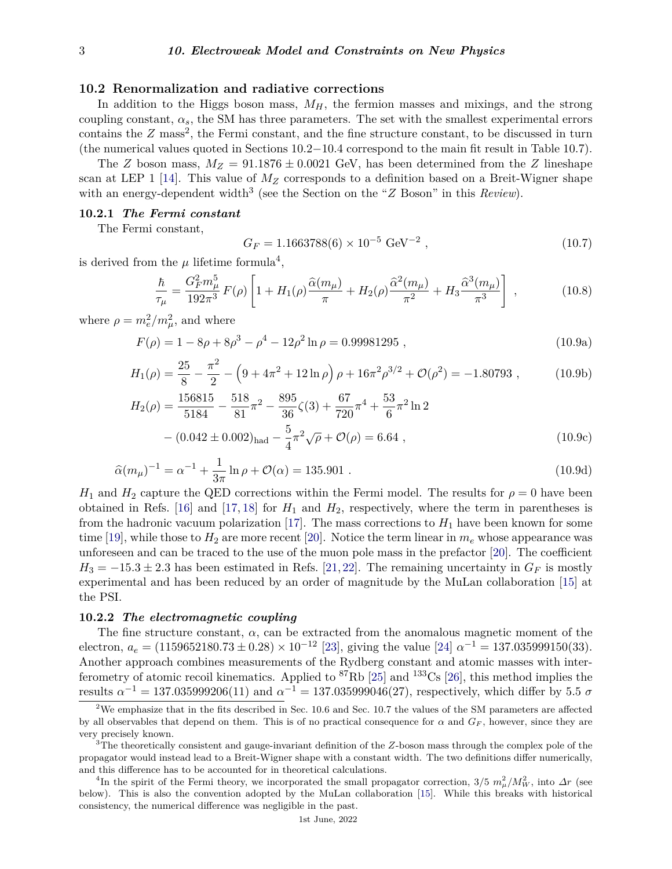# <span id="page-2-0"></span>**10.2 Renormalization and radiative corrections**

In addition to the Higgs boson mass,  $M_H$ , the fermion masses and mixings, and the strong coupling constant,  $\alpha_s$ , the SM has three parameters. The set with the smallest experimental errors contains the  $Z$  mass<sup>[2](#page-2-3)</sup>, the Fermi constant, and the fine structure constant, to be discussed in turn (the numerical values quoted in Sections 10.2−10.4 correspond to the main fit result in Table 10.7).

The *Z* boson mass,  $M_Z = 91.1876 \pm 0.0021$  GeV, has been determined from the *Z* lineshape scan at LEP 1 [\[14\]](#page-36-11). This value of  $M_Z$  corresponds to a definition based on a Breit-Wigner shape with an energy-dependent width<sup>[3](#page-2-4)</sup> (see the Section on the "*Z* Boson" in this *Review*).

#### <span id="page-2-1"></span>**10.2.1** *The Fermi constant*

The Fermi constant,

$$
G_F = 1.1663788(6) \times 10^{-5} \text{ GeV}^{-2} , \qquad (10.7)
$$

is derived from the  $\mu$  lifetime formula<sup>[4](#page-2-5)</sup>,

$$
\frac{\hbar}{\tau_{\mu}} = \frac{G_F^2 m_{\mu}^5}{192\pi^3} F(\rho) \left[ 1 + H_1(\rho) \frac{\hat{\alpha}(m_{\mu})}{\pi} + H_2(\rho) \frac{\hat{\alpha}^2(m_{\mu})}{\pi^2} + H_3 \frac{\hat{\alpha}^3(m_{\mu})}{\pi^3} \right] ,\tag{10.8}
$$

where  $\rho = m_e^2/m_\mu^2$ , and where

$$
F(\rho) = 1 - 8\rho + 8\rho^3 - \rho^4 - 12\rho^2 \ln \rho = 0.99981295 , \qquad (10.9a)
$$

$$
H_1(\rho) = \frac{25}{8} - \frac{\pi^2}{2} - \left(9 + 4\pi^2 + 12\ln\rho\right)\rho + 16\pi^2\rho^{3/2} + \mathcal{O}(\rho^2) = -1.80793\,,\tag{10.9b}
$$

$$
H_2(\rho) = \frac{156815}{5184} - \frac{518}{81}\pi^2 - \frac{895}{36}\zeta(3) + \frac{67}{720}\pi^4 + \frac{53}{6}\pi^2\ln 2
$$
  
– (0.042 ± 0.002)<sub>had</sub> –  $\frac{5}{4}\pi^2\sqrt{\rho} + \mathcal{O}(\rho) = 6.64$ , (10.9c)

$$
\hat{\alpha}(m_{\mu})^{-1} = \alpha^{-1} + \frac{1}{3\pi} \ln \rho + \mathcal{O}(\alpha) = 135.901 . \qquad (10.9d)
$$

*H*<sub>1</sub> and *H*<sub>2</sub> capture the QED corrections within the Fermi model. The results for  $\rho = 0$  have been obtained in Refs. [\[16\]](#page-36-12) and [\[17,](#page-36-13) [18\]](#page-36-14) for  $H_1$  and  $H_2$ , respectively, where the term in parentheses is from the hadronic vacuum polarization  $[17]$ . The mass corrections to  $H_1$  have been known for some time [\[19\]](#page-36-15), while those to  $H_2$  are more recent [\[20\]](#page-36-16). Notice the term linear in  $m_e$  whose appearance was unforeseen and can be traced to the use of the muon pole mass in the prefactor [\[20\]](#page-36-16). The coefficient  $H_3 = -15.3 \pm 2.3$  has been estimated in Refs. [\[21,](#page-36-17) [22\]](#page-36-18). The remaining uncertainty in  $G_F$  is mostly experimental and has been reduced by an order of magnitude by the MuLan collaboration [\[15\]](#page-36-19) at the PSI.

## <span id="page-2-2"></span>**10.2.2** *The electromagnetic coupling*

The fine structure constant, *α*, can be extracted from the anomalous magnetic moment of the electron,  $a_e = (1159652180.73 \pm 0.28) \times 10^{-12}$  [\[23\]](#page-36-20), giving the value [\[24\]](#page-36-21)  $\alpha^{-1} = 137.035999150(33)$ . Another approach combines measurements of the Rydberg constant and atomic masses with interferometry of atomic recoil kinematics. Applied to  ${}^{87}Rb$  [\[25\]](#page-37-0) and  ${}^{133}Cs$  [\[26\]](#page-37-1), this method implies the  ${\rm results}$   $\alpha^{-1} = 137.035999206(11)$  and  $\alpha^{-1} = 137.035999046(27)$ , respectively, which differ by 5.5 *σ* 

<span id="page-2-3"></span><sup>&</sup>lt;sup>2</sup>We emphasize that in the fits described in Sec. 10.6 and Sec. 10.7 the values of the SM parameters are affected by all observables that depend on them. This is of no practical consequence for  $\alpha$  and  $G_F$ , however, since they are very precisely known.

<span id="page-2-4"></span><sup>3</sup>The theoretically consistent and gauge-invariant definition of the *Z*-boson mass through the complex pole of the propagator would instead lead to a Breit-Wigner shape with a constant width. The two definitions differ numerically, and this difference has to be accounted for in theoretical calculations.

<span id="page-2-5"></span><sup>&</sup>lt;sup>4</sup>In the spirit of the Fermi theory, we incorporated the small propagator correction,  $3/5 m_\mu^2/M_W^2$ , into  $\Delta r$  (see below). This is also the convention adopted by the MuLan collaboration [\[15\]](#page-36-19). While this breaks with historical consistency, the numerical difference was negligible in the past.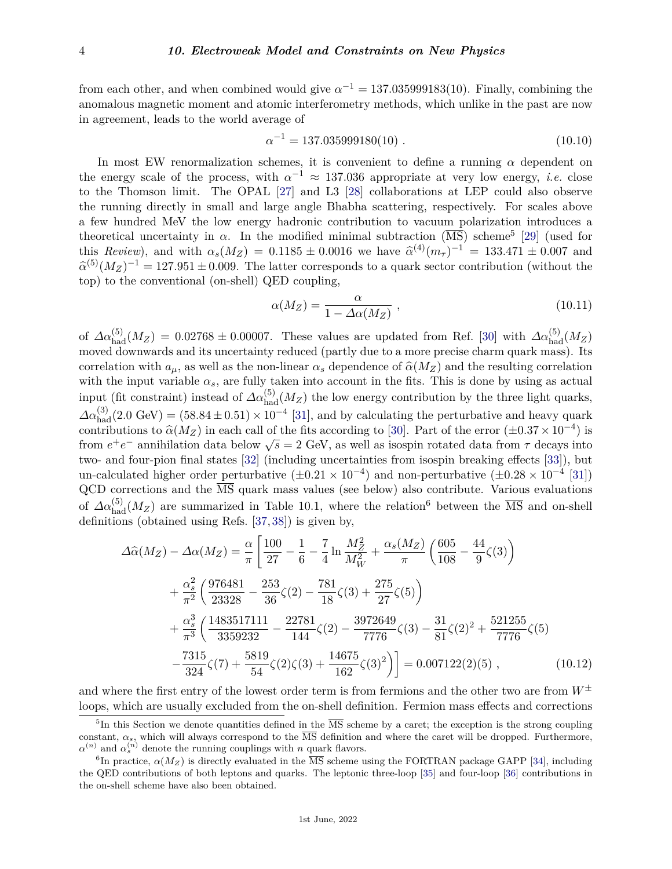from each other, and when combined would give  $\alpha^{-1} = 137.035999183(10)$ . Finally, combining the anomalous magnetic moment and atomic interferometry methods, which unlike in the past are now in agreement, leads to the world average of

$$
\alpha^{-1} = 137.035999180(10) \tag{10.10}
$$

In most EW renormalization schemes, it is convenient to define a running *α* dependent on the energy scale of the process, with  $\alpha^{-1} \approx 137.036$  appropriate at very low energy, *i.e.* close to the Thomson limit. The OPAL [\[27\]](#page-37-2) and L3 [\[28\]](#page-37-3) collaborations at LEP could also observe the running directly in small and large angle Bhabha scattering, respectively. For scales above a few hundred MeV the low energy hadronic contribution to vacuum polarization introduces a theoretical uncertainty in  $\alpha$ . In the modified minimal subtraction  $(\overline{MS})$  scheme<sup>[5](#page-3-0)</sup> [\[29\]](#page-37-4) (used for this *Review*), and with  $\alpha_s(M_Z) = 0.1185 \pm 0.0016$  we have  $\hat{\alpha}^{(4)}(m_{\tau})^{-1} = 133.471 \pm 0.007$  and  $\hat{\alpha}^{(5)}(M_{\tau})^{-1} = 137.971 \pm 0.000$  TU and the set of the set of the set of the set of the set of the set of the set o  $\hat{a}^{(5)}(M_Z)^{-1} = 127.951 \pm 0.009$ . The latter corresponds to a quark sector contribution (without the top) to the conventional (on-shell) QED coupling,

$$
\alpha(M_Z) = \frac{\alpha}{1 - \Delta\alpha(M_Z)} \tag{10.11}
$$

of  $\Delta\alpha_{\text{had}}^{(5)}(M_Z) = 0.02768 \pm 0.00007$ . These values are updated from Ref. [\[30\]](#page-37-5) with  $\Delta\alpha_{\text{had}}^{(5)}(M_Z)$ moved downwards and its uncertainty reduced (partly due to a more precise charm quark mass). Its correlation with  $a_{\mu}$ , as well as the non-linear  $\alpha_s$  dependence of  $\hat{\alpha}(M_Z)$  and the resulting correlation with the input variable  $\alpha_s$ , are fully taken into account in the fits. This is done by using as actual input (fit constraint) instead of  $\Delta \alpha_{\text{had}}^{(5)}(M_Z)$  the low energy contribution by the three light quarks,  $\Delta\alpha_{\text{had}}^{(3)}(2.0 \text{ GeV}) = (58.84 \pm 0.51) \times 10^{-4}$  [\[31\]](#page-37-6), and by calculating the perturbative and heavy quark contributions to  $\hat{\alpha}(M_Z)$  in each call of the fits according to [\[30\]](#page-37-5). Part of the error  $(\pm 0.37 \times 10^{-4})$  is from  $e^+e^-$  annihilation data below  $\sqrt{s} = 2$  GeV, as well as isospin rotated data from  $\tau$  decays into two- and four-pion final states [\[32\]](#page-37-7) (including uncertainties from isospin breaking effects [\[33\]](#page-37-8)), but un-calculated higher order perturbative  $(\pm 0.21 \times 10^{-4})$  and non-perturbative  $(\pm 0.28 \times 10^{-4}$  [\[31\]](#page-37-6))  $QCD$  corrections and the  $\overline{MS}$  quark mass values (see below) also contribute. Various evaluations of  $\Delta\alpha_{\rm had}^{(5)}(M_Z)$  are summarized in Table 10.1, where the relation<sup>[6](#page-3-1)</sup> between the  $\overline{\rm MS}$  and on-shell definitions (obtained using Refs. [\[37,](#page-37-9) [38\]](#page-37-10)) is given by,

$$
\Delta\hat{\alpha}(M_Z) - \Delta\alpha(M_Z) = \frac{\alpha}{\pi} \left[ \frac{100}{27} - \frac{1}{6} - \frac{7}{4} \ln \frac{M_Z^2}{M_W^2} + \frac{\alpha_s(M_Z)}{\pi} \left( \frac{605}{108} - \frac{44}{9} \zeta(3) \right) \right.\n+ \frac{\alpha_s^2}{\pi^2} \left( \frac{976481}{23328} - \frac{253}{36} \zeta(2) - \frac{781}{18} \zeta(3) + \frac{275}{27} \zeta(5) \right)\n+ \frac{\alpha_s^3}{\pi^3} \left( \frac{1483517111}{3359232} - \frac{22781}{144} \zeta(2) - \frac{3972649}{7776} \zeta(3) - \frac{31}{81} \zeta(2)^2 + \frac{521255}{7776} \zeta(5) \n- \frac{7315}{324} \zeta(7) + \frac{5819}{54} \zeta(2) \zeta(3) + \frac{14675}{162} \zeta(3)^2 \right) = 0.007122(2)(5) , \qquad (10.12)
$$

and where the first entry of the lowest order term is from fermions and the other two are from  $W^{\pm}$ loops, which are usually excluded from the on-shell definition. Fermion mass effects and corrections

<span id="page-3-0"></span><sup>&</sup>lt;sup>5</sup>In this Section we denote quantities defined in the  $\overline{\text{MS}}$  scheme by a caret; the exception is the strong coupling constant,  $\alpha_s$ , which will always correspond to the  $\overline{\text{MS}}$  definition and where the caret will be dropped. Furthermore,  $\alpha^{(n)}$  and  $\alpha_s^{(n)}$  denote the running couplings with *n* quark flavors.

<span id="page-3-1"></span><sup>&</sup>lt;sup>6</sup>In practice,  $\alpha(M_Z)$  is directly evaluated in the  $\overline{\text{MS}}$  scheme using the FORTRAN package GAPP [\[34\]](#page-37-11), including the QED contributions of both leptons and quarks. The leptonic three-loop [\[35\]](#page-37-12) and four-loop [\[36\]](#page-37-13) contributions in the on-shell scheme have also been obtained.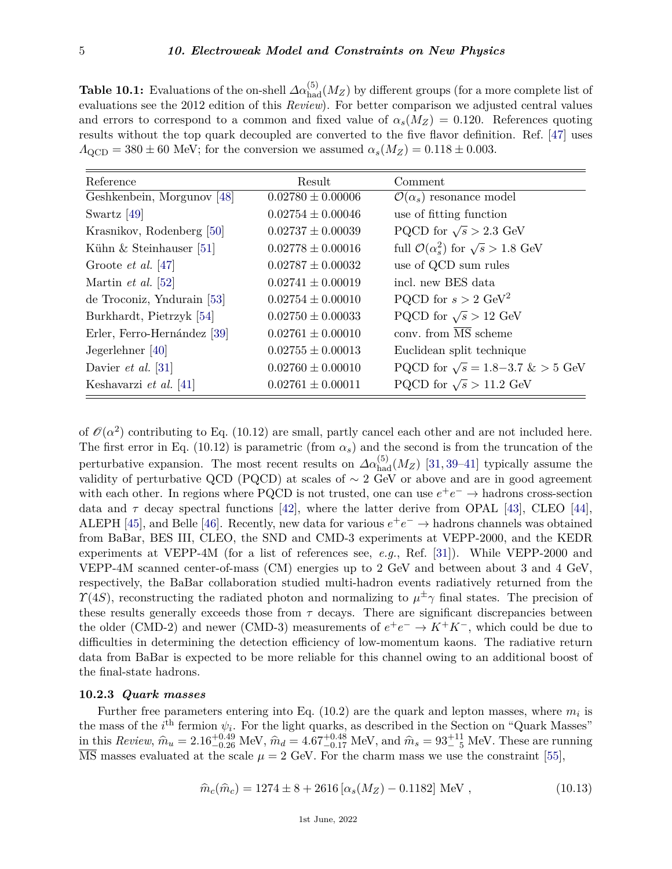**Table 10.1:** Evaluations of the on-shell  $\Delta \alpha_{\text{had}}^{(5)}(M_Z)$  by different groups (for a more complete list of evaluations see the 2012 edition of this *Review*). For better comparison we adjusted central values and errors to correspond to a common and fixed value of  $\alpha_s(M_Z) = 0.120$ . References quoting results without the top quark decoupled are converted to the five flavor definition. Ref. [\[47\]](#page-37-14) uses  $\Lambda_{\text{QCD}} = 380 \pm 60$  MeV; for the conversion we assumed  $\alpha_s(M_Z) = 0.118 \pm 0.003$ .

| Reference                   | Result                | Comment                                                 |
|-----------------------------|-----------------------|---------------------------------------------------------|
| Geshkenbein, Morgunov [48]  | $0.02780 \pm 0.00006$ | $\mathcal{O}(\alpha_s)$ resonance model                 |
| Swartz $[49]$               | $0.02754 \pm 0.00046$ | use of fitting function                                 |
| Krasnikov, Rođenberg [50]   | $0.02737 \pm 0.00039$ | PQCD for $\sqrt{s} > 2.3$ GeV                           |
| Kühn $&$ Steinhauser [51]   | $0.02778 \pm 0.00016$ | full $\mathcal{O}(\alpha_s^2)$ for $\sqrt{s} > 1.8$ GeV |
| Groote <i>et al.</i> [47]   | $0.02787 \pm 0.00032$ | use of QCD sum rules                                    |
| Martin <i>et al.</i> [52]   | $0.02741 \pm 0.00019$ | incl. new BES data                                      |
| de Troconiz, Yndurain [53]  | $0.02754 \pm 0.00010$ | PQCD for $s > 2 \text{ GeV}^2$                          |
| Burkhardt, Pietrzyk [54]    | $0.02750 \pm 0.00033$ | PQCD for $\sqrt{s} > 12$ GeV                            |
| Erler, Ferro-Hernández [39] | $0.02761 \pm 0.00010$ | conv. from $\overline{\text{MS}}$ scheme                |
| Jegerlehner [40]            | $0.02755 \pm 0.00013$ | Euclidean split technique                               |
| Davier <i>et al.</i> [31]   | $0.02760 \pm 0.00010$ | PQCD for $\sqrt{s} = 1.8 - 3.7 \& > 5 \text{ GeV}$      |
| Keshavarzi et al. [41]      | $0.02761 \pm 0.00011$ | PQCD for $\sqrt{s} > 11.2$ GeV                          |

of  $\mathcal{O}(\alpha^2)$  contributing to Eq. (10.12) are small, partly cancel each other and are not included here. The first error in Eq. (10.12) is parametric (from  $\alpha_s$ ) and the second is from the truncation of the perturbative expansion. The most recent results on  $\Delta \alpha_{\text{had}}^{(5)}(M_Z)$  [\[31,](#page-37-6) [39](#page-37-22)[–41\]](#page-37-24) typically assume the validity of perturbative QCD (PQCD) at scales of  $\sim$  2 GeV or above and are in good agreement with each other. In regions where PQCD is not trusted, one can use  $e^+e^- \to$  hadrons cross-section data and  $\tau$  decay spectral functions [\[42\]](#page-37-25), where the latter derive from OPAL [\[43\]](#page-37-26), CLEO [\[44\]](#page-37-27), ALEPH [\[45\]](#page-37-28), and Belle [\[46\]](#page-37-29). Recently, new data for various  $e^+e^- \to$  hadrons channels was obtained from BaBar, BES III, CLEO, the SND and CMD-3 experiments at VEPP-2000, and the KEDR experiments at VEPP-4M (for a list of references see, *e.g.*, Ref. [\[31\]](#page-37-6)). While VEPP-2000 and VEPP-4M scanned center-of-mass (CM) energies up to 2 GeV and between about 3 and 4 GeV, respectively, the BaBar collaboration studied multi-hadron events radiatively returned from the *Y*(4*S*), reconstructing the radiated photon and normalizing to  $\mu^{\pm}$ *γ* final states. The precision of these results generally exceeds those from  $\tau$  decays. There are significant discrepancies between the older (CMD-2) and newer (CMD-3) measurements of  $e^+e^- \to K^+K^-$ , which could be due to difficulties in determining the detection efficiency of low-momentum kaons. The radiative return data from BaBar is expected to be more reliable for this channel owing to an additional boost of the final-state hadrons.

## <span id="page-4-0"></span>**10.2.3** *Quark masses*

Further free parameters entering into Eq.  $(10.2)$  are the quark and lepton masses, where  $m_i$  is the mass of the  $i^{\text{th}}$  fermion  $\psi_i$ . For the light quarks, as described in the Section on "Quark Masses"  $\hat{m}_{\text{L}}$  in this *Review*,  $\hat{m}_{u} = 2.16_{-0.26}^{+0.49}$  MeV,  $\hat{m}_{d} = 4.67_{-0.17}^{+0.48}$  MeV, and  $\hat{m}_{s} = 93_{-0.5}^{+11}$  MeV. These are running  $\overline{\text{MS}}$  masses evaluated at the scale  $\mu = 2$  GeV. For the charm mass we use the constraint [\[55\]](#page-37-30),

$$
\hat{m}_c(\hat{m}_c) = 1274 \pm 8 + 2616 \left[ \alpha_s(M_Z) - 0.1182 \right] \text{ MeV} , \qquad (10.13)
$$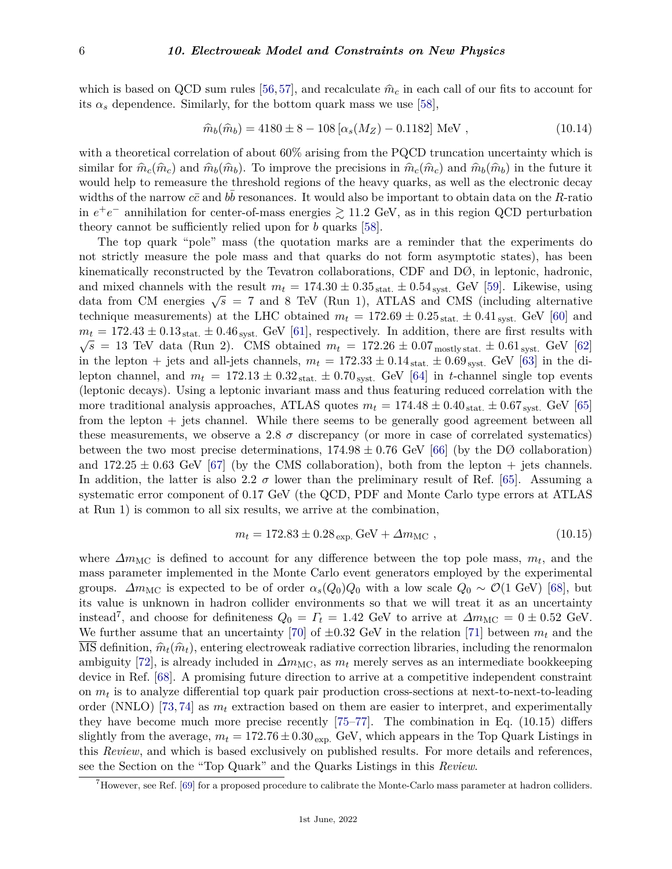#### 6 *10. Electroweak Model and Constraints on New Physics*

which is based on QCD sum rules [\[56,](#page-37-31)[57\]](#page-37-32), and recalculate  $\hat{m}_c$  in each call of our fits to account for its  $\alpha_s$  dependence. Similarly, for the bottom quark mass we use [\[58\]](#page-37-33),

$$
\hat{m}_b(\hat{m}_b) = 4180 \pm 8 - 108 [\alpha_s(M_Z) - 0.1182] \text{ MeV}, \qquad (10.14)
$$

with a theoretical correlation of about  $60\%$  arising from the PQCD truncation uncertainty which is similar for  $\hat{m}_c(\hat{m}_c)$  and  $\hat{m}_b(\hat{m}_b)$ . To improve the precisions in  $\hat{m}_c(\hat{m}_c)$  and  $\hat{m}_b(\hat{m}_b)$  in the future it would help to remeasure the threshold regions of the heavy quarks, as well as the electronic decay widths of the narrow  $c\bar{c}$  and  $b\bar{b}$  resonances. It would also be important to obtain data on the *R*-ratio in  $e^+e^-$  annihilation for center-of-mass energies  $\geq 11.2$  GeV, as in this region QCD perturbation theory cannot be sufficiently relied upon for *b* quarks [\[58\]](#page-37-33).

The top quark "pole" mass (the quotation marks are a reminder that the experiments do not strictly measure the pole mass and that quarks do not form asymptotic states), has been kinematically reconstructed by the Tevatron collaborations, CDF and DØ, in leptonic, hadronic, and mixed channels with the result  $m_t = 174.30 \pm 0.35$  stat.  $\pm 0.54$  syst. GeV [\[59\]](#page-37-34). Likewise, using data from CM energies  $\sqrt{s}$  = 7 and 8 TeV (Run 1), ATLAS and CMS (including alternative technique measurements) at the LHC obtained  $m_t = 172.69 \pm 0.25$  stat.  $\pm 0.41$  syst. GeV [\[60\]](#page-38-0) and  $m_t = 172.43 \pm 0.13$  stat.  $\pm 0.46$  syst. GeV [\[61\]](#page-38-1), respectively. In addition, there are first results with  $\sqrt{s}$  = 13 TeV data (Run 2). CMS obtained  $m_t$  = 172.26  $\pm$  0.07 mostly stat.  $\pm$  0.61 syst. GeV [\[62\]](#page-38-2) in the lepton + jets and all-jets channels,  $m_t = 172.33 \pm 0.14_{\text{stat.}} \pm 0.69_{\text{syst.}}$  GeV [\[63\]](#page-38-3) in the dilepton channel, and  $m_t = 172.13 \pm 0.32_{\text{stat.}} \pm 0.70_{\text{syst.}}$  GeV [\[64\]](#page-38-4) in *t*-channel single top events (leptonic decays). Using a leptonic invariant mass and thus featuring reduced correlation with the more traditional analysis approaches, ATLAS quotes  $m_t = 174.48 \pm 0.40_{stat.} \pm 0.67_{syst.}$  GeV [\[65\]](#page-38-5) from the lepton + jets channel. While there seems to be generally good agreement between all these measurements, we observe a 2.8  $\sigma$  discrepancy (or more in case of correlated systematics) between the two most precise determinations,  $174.98 \pm 0.76$  GeV [\[66\]](#page-38-6) (by the DØ collaboration) and  $172.25 \pm 0.63$  GeV [\[67\]](#page-38-7) (by the CMS collaboration), both from the lepton  $+$  jets channels. In addition, the latter is also 2.2  $\sigma$  lower than the preliminary result of Ref. [\[65\]](#page-38-5). Assuming a systematic error component of 0.17 GeV (the QCD, PDF and Monte Carlo type errors at ATLAS at Run 1) is common to all six results, we arrive at the combination,

$$
m_t = 172.83 \pm 0.28 \, \text{exp. GeV} + \Delta m_{\text{MC}} \,, \tag{10.15}
$$

where  $\Delta m_{MC}$  is defined to account for any difference between the top pole mass,  $m_t$ , and the mass parameter implemented in the Monte Carlo event generators employed by the experimental groups.  $\Delta m_{\text{MC}}$  is expected to be of order  $\alpha_s(Q_0)Q_0$  with a low scale  $Q_0 \sim \mathcal{O}(1 \text{ GeV})$  [\[68\]](#page-38-8), but its value is unknown in hadron collider environments so that we will treat it as an uncertainty instead<sup>[7](#page-5-0)</sup>, and choose for definiteness  $Q_0 = \Gamma_t = 1.42$  GeV to arrive at  $\Delta m_{\text{MC}} = 0 \pm 0.52$  GeV. We further assume that an uncertainty [\[70\]](#page-38-9) of  $\pm 0.32$  GeV in the relation [\[71\]](#page-38-10) between  $m_t$  and the MS definition,  $\hat{m}_t(\hat{m}_t)$ , entering electroweak radiative correction libraries, including the renormalon ambiguity [\[72\]](#page-38-11), is already included in  $\Delta m_{\text{MC}}$ , as  $m_t$  merely serves as an intermediate bookkeeping device in Ref. [\[68\]](#page-38-8). A promising future direction to arrive at a competitive independent constraint on *m<sup>t</sup>* is to analyze differential top quark pair production cross-sections at next-to-next-to-leading order (NNLO) [\[73,](#page-38-12) [74\]](#page-38-13) as  $m_t$  extraction based on them are easier to interpret, and experimentally they have become much more precise recently [\[75–](#page-38-14)[77\]](#page-38-15). The combination in Eq. (10.15) differs slightly from the average,  $m_t = 172.76 \pm 0.30_{\text{exp}}$ . GeV, which appears in the Top Quark Listings in this *Review*, and which is based exclusively on published results. For more details and references, see the Section on the "Top Quark" and the Quarks Listings in this *Review*.

<span id="page-5-0"></span> $7$ However, see Ref. [\[69\]](#page-38-16) for a proposed procedure to calibrate the Monte-Carlo mass parameter at hadron colliders.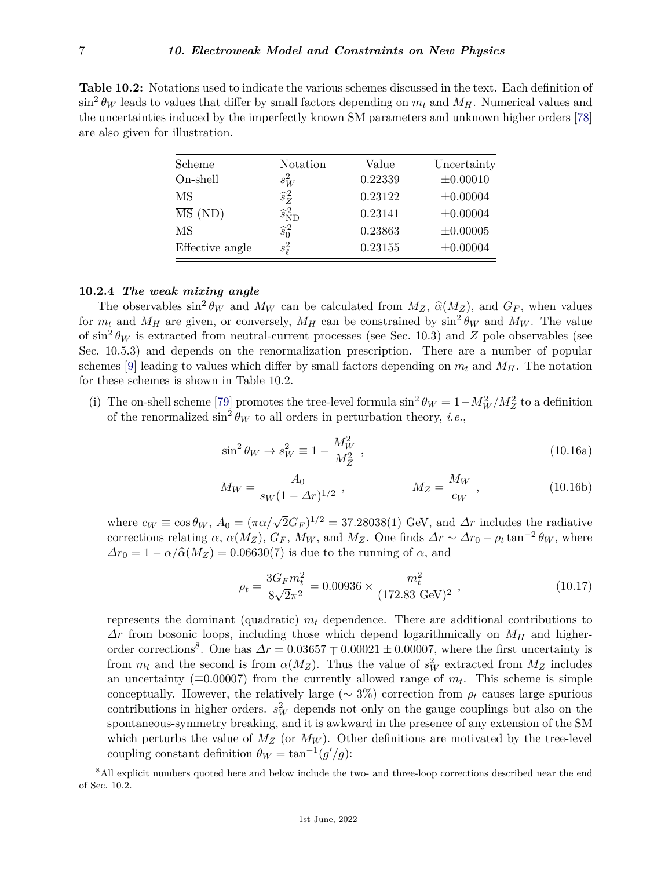**Table 10.2:** Notations used to indicate the various schemes discussed in the text. Each definition of  $\sin^2 \theta_W$  leads to values that differ by small factors depending on  $m_t$  and  $M_H$ . Numerical values and the uncertainties induced by the imperfectly known SM parameters and unknown higher orders [\[78\]](#page-38-17) are also given for illustration.

| Scheme                      | Notation                        | Value   | Uncertainty   |
|-----------------------------|---------------------------------|---------|---------------|
| On-shell                    | $s_W^2$                         | 0.22339 | $\pm 0.00010$ |
| $\overline{\text{MS}}$      | $\hat{s}_Z^2$                   | 0.23122 | $\pm 0.00004$ |
| $\overline{\text{MS}}$ (ND) | $\widehat{s}_{\text{ND}}^{\,2}$ | 0.23141 | $\pm 0.00004$ |
| $\overline{\text{MS}}$      | $\widehat{s}_0^2$               | 0.23863 | $\pm 0.00005$ |
| Effective angle             | $\bar{s}^2_{\ell}$              | 0.23155 | $\pm 0.00004$ |

# <span id="page-6-0"></span>**10.2.4** *The weak mixing angle*

The observables  $\sin^2 \theta_W$  and  $M_W$  can be calculated from  $M_Z$ ,  $\hat{\alpha}(M_Z)$ , and  $G_F$ , when values for  $m_t$  and  $M_H$  are given, or conversely,  $M_H$  can be constrained by  $\sin^2 \theta_W$  and  $M_W$ . The value of  $\sin^2 \theta_W$  is extracted from neutral-current processes (see Sec. 10.3) and *Z* pole observables (see Sec. 10.5.3) and depends on the renormalization prescription. There are a number of popular schemes [\[9\]](#page-36-9) leading to values which differ by small factors depending on  $m_t$  and  $M_H$ . The notation for these schemes is shown in Table 10.2.

(i) The on-shell scheme [\[79\]](#page-38-18) promotes the tree-level formula  $\sin^2 \theta_W = 1 - M_W^2 / M_Z^2$  to a definition of the renormalized  $\sin^2 \theta_W$  to all orders in perturbation theory, *i.e.*,

$$
\sin^2 \theta_W \to s_W^2 \equiv 1 - \frac{M_W^2}{M_Z^2} \,, \tag{10.16a}
$$

$$
M_W = \frac{A_0}{s_W (1 - \Delta r)^{1/2}} \,, \qquad \qquad M_Z = \frac{M_W}{c_W} \,, \tag{10.16b}
$$

where  $c_W \equiv \cos \theta_W$ ,  $A_0 = (\pi \alpha / \sqrt{2} G_F)^{1/2} = 37.28038(1)$  GeV, and  $\Delta r$  includes the radiative corrections relating  $\alpha$ ,  $\alpha(M_Z)$ ,  $G_F$ ,  $M_W$ , and  $M_Z$ . One finds  $\Delta r \sim \Delta r_0 - \rho_t \tan^{-2} \theta_W$ , where  $\Delta r_0 = 1 - \alpha / \hat{\alpha}(M_Z) = 0.06630(7)$  is due to the running of  $\alpha$ , and

$$
\rho_t = \frac{3G_F m_t^2}{8\sqrt{2}\pi^2} = 0.00936 \times \frac{m_t^2}{(172.83 \text{ GeV})^2} ,\qquad (10.17)
$$

represents the dominant (quadratic) *m<sup>t</sup>* dependence. There are additional contributions to *∆r* from bosonic loops, including those which depend logarithmically on *M<sup>H</sup>* and higher-order corrections<sup>[8](#page-6-1)</sup>. One has  $\Delta r = 0.03657 \pm 0.00021 \pm 0.00007$ , where the first uncertainty is from  $m_t$  and the second is from  $\alpha(M_Z)$ . Thus the value of  $s_W^2$  extracted from  $M_Z$  includes an uncertainty (∓0*.*00007) from the currently allowed range of *m<sup>t</sup>* . This scheme is simple conceptually. However, the relatively large ( $\sim 3\%$ ) correction from  $\rho_t$  causes large spurious contributions in higher orders.  $s_W^2$  depends not only on the gauge couplings but also on the spontaneous-symmetry breaking, and it is awkward in the presence of any extension of the SM which perturbs the value of  $M_Z$  (or  $M_W$ ). Other definitions are motivated by the tree-level coupling constant definition  $\theta_W = \tan^{-1}(g'/g)$ :

<span id="page-6-1"></span><sup>8</sup>All explicit numbers quoted here and below include the two- and three-loop corrections described near the end of Sec. 10.2.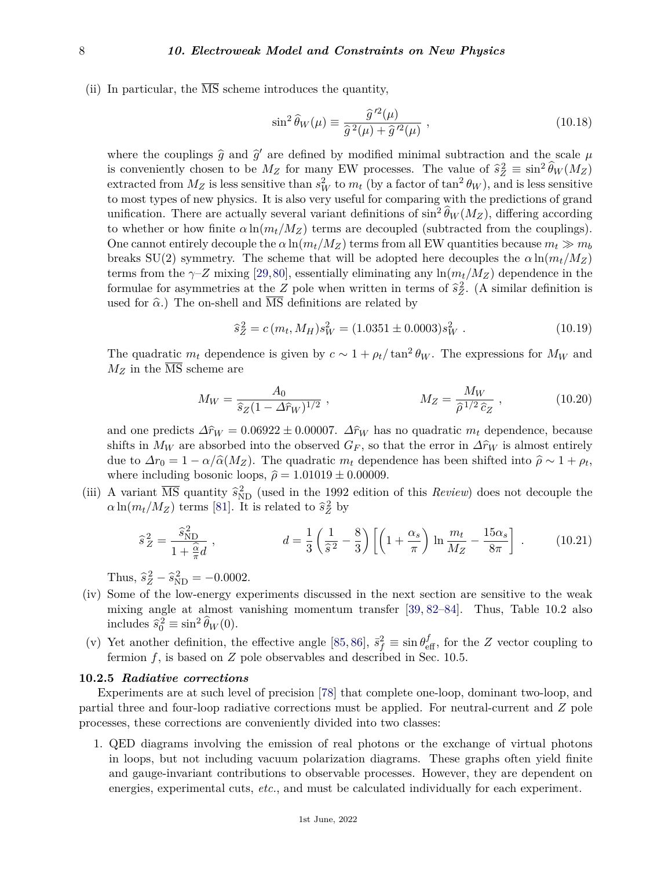(ii) In particular, the  $\overline{\text{MS}}$  scheme introduces the quantity,

$$
\sin^2 \hat{\theta}_W(\mu) \equiv \frac{\hat{g}^{\prime 2}(\mu)}{\hat{g}^2(\mu) + \hat{g}^{\prime 2}(\mu)},
$$
\n(10.18)

where the couplings  $\hat{g}$  and  $\hat{g}'$  are defined by modified minimal subtraction and the scale  $\mu$ is conveniently chosen to be  $M_Z$  for many EW processes. The value of  $\hat{s}_Z^2 \equiv \sin^2 \hat{\theta}_W(M_Z)$ extracted from  $M_Z$  is less sensitive than  $s_W^2$  to  $m_t$  (by a factor of  $\tan^2 \theta_W$ ), and is less sensitive to most types of new physics. It is also very useful for comparing with the predictions of grand unification. There are actually several variant definitions of  $\sin^2 \widehat{\theta}_W(M_Z)$ , differing according to whether or how finite  $\alpha \ln(m_t/M_Z)$  terms are decoupled (subtracted from the couplings). One cannot entirely decouple the  $\alpha \ln(m_t/M_Z)$  terms from all EW quantities because  $m_t \gg m_b$ breaks SU(2) symmetry. The scheme that will be adopted here decouples the  $\alpha \ln(m_t/M_Z)$ terms from the  $\gamma$ –*Z* mixing [\[29,](#page-37-4)[80\]](#page-38-19), essentially eliminating any  $\ln(m_t/M_Z)$  dependence in the formulae for asymmetries at the *Z* pole when written in terms of  $\hat{s}_Z^2$ . (A similar definition is used for  $\hat{\alpha}$ .) The on-shell and  $\overline{\text{MS}}$  definitions are related by

$$
\hat{s}_Z^2 = c(m_t, M_H) s_W^2 = (1.0351 \pm 0.0003) s_W^2 \tag{10.19}
$$

The quadratic  $m_t$  dependence is given by  $c \sim 1 + \rho_t / \tan^2 \theta_W$ . The expressions for  $M_W$  and  $M_Z$  in the  $\overline{\text{MS}}$  scheme are

$$
M_W = \frac{A_0}{\hat{s}_Z (1 - \Delta \hat{r}_W)^{1/2}}, \qquad M_Z = \frac{M_W}{\hat{\rho}^{1/2} \hat{c}_Z}, \qquad (10.20)
$$

and one predicts  $\Delta \hat{r}_W = 0.06922 \pm 0.00007$ .  $\Delta \hat{r}_W$  has no quadratic  $m_t$  dependence, because shifts in  $M_W$  are absorbed into the observed  $G_F$ , so that the error in  $\Delta \hat{r}_W$  is almost entirely due to  $\Delta r_0 = 1 - \alpha/\hat{\alpha}(M_Z)$ . The quadratic  $m_t$  dependence has been shifted into  $\hat{\rho} \sim 1 + \rho_t$ , where including bosonic loops,  $\hat{\rho} = 1.01019 \pm 0.00009$ .

(iii) A variant  $\overline{\text{MS}}$  quantity  $\hat{s}_{\text{ND}}^2$  (used in the 1992 edition of this *Review*) does not decouple the  $\alpha \ln(m_t/M_Z)$  terms [\[81\]](#page-38-20). It is related to  $\hat{s}_Z^2$  by

$$
\hat{s}_Z^2 = \frac{\hat{s}_{\text{ND}}^2}{1 + \frac{\hat{\alpha}}{\pi}d}, \qquad d = \frac{1}{3} \left(\frac{1}{\hat{s}^2} - \frac{8}{3}\right) \left[ \left(1 + \frac{\alpha_s}{\pi}\right) \ln \frac{m_t}{M_Z} - \frac{15\alpha_s}{8\pi} \right] \,. \tag{10.21}
$$

Thus,  $\hat{s}_Z^2 - \hat{s}_{ND}^2 = -0.0002$ .

- (iv) Some of the low-energy experiments discussed in the next section are sensitive to the weak mixing angle at almost vanishing momentum transfer [\[39,](#page-37-22) [82–](#page-38-21)[84\]](#page-38-22). Thus, Table 10.2 also includes  $\hat{s}_0^2 \equiv \sin^2 \hat{\theta}_W(0)$ .
- (v) Yet another definition, the effective angle [\[85,](#page-38-23) [86\]](#page-38-24),  $\bar{s}_f^2 \equiv \sin \theta_{\text{eff}}^f$ , for the *Z* vector coupling to fermion  $f$ , is based on  $Z$  pole observables and described in Sec. 10.5.

#### <span id="page-7-0"></span>**10.2.5** *Radiative corrections*

Experiments are at such level of precision [\[78\]](#page-38-17) that complete one-loop, dominant two-loop, and partial three and four-loop radiative corrections must be applied. For neutral-current and *Z* pole processes, these corrections are conveniently divided into two classes:

1. QED diagrams involving the emission of real photons or the exchange of virtual photons in loops, but not including vacuum polarization diagrams. These graphs often yield finite and gauge-invariant contributions to observable processes. However, they are dependent on energies, experimental cuts, *etc.*, and must be calculated individually for each experiment.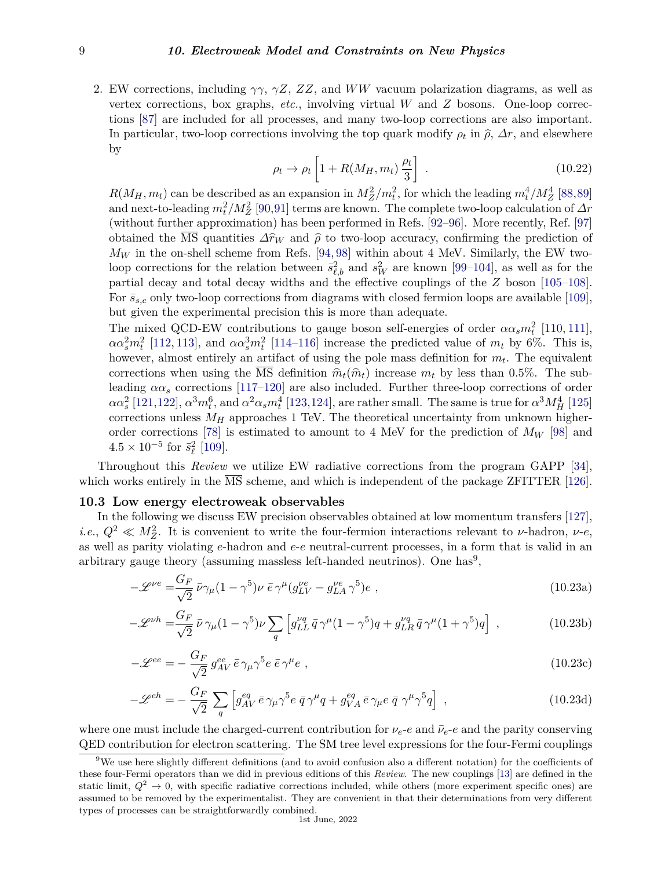2. EW corrections, including *γγ*, *γZ*, *ZZ*, and *WW* vacuum polarization diagrams, as well as vertex corrections, box graphs, *etc.*, involving virtual *W* and *Z* bosons. One-loop corrections [\[87\]](#page-38-25) are included for all processes, and many two-loop corrections are also important. In particular, two-loop corrections involving the top quark modify  $\rho_t$  in  $\hat{\rho}$ ,  $\Delta r$ , and elsewhere by

$$
\rho_t \to \rho_t \left[ 1 + R(M_H, m_t) \frac{\rho_t}{3} \right] \tag{10.22}
$$

 $R(M_H, m_t)$  can be described as an expansion in  $M_Z^2/m_t^2$ , for which the leading  $m_t^4/M_Z^4$  [\[88,](#page-38-26)[89\]](#page-38-27) and next-to-leading  $m_t^2/M_Z^2$  [\[90,](#page-38-28)[91\]](#page-38-29) terms are known. The complete two-loop calculation of  $\varDelta r$ (without further approximation) has been performed in Refs. [\[92–](#page-38-30)[96\]](#page-39-0). More recently, Ref. [\[97\]](#page-39-1) obtained the  $\overline{\text{MS}}$  quantities  $\Delta \hat{r}_W$  and  $\hat{\rho}$  to two-loop accuracy, confirming the prediction of  $M_W$  in the on-shell scheme from Refs. [\[94,](#page-38-31) [98\]](#page-39-2) within about 4 MeV. Similarly, the EW twoloop corrections for the relation between  $\bar{s}^2_{\ell,b}$  and  $s^2_W$  are known [\[99–](#page-39-3)[104\]](#page-39-4), as well as for the partial decay and total decay widths and the effective couplings of the *Z* boson [\[105–](#page-39-5)[108\]](#page-39-6). For  $\bar{s}_{s,c}$  only two-loop corrections from diagrams with closed fermion loops are available [\[109\]](#page-39-7), but given the experimental precision this is more than adequate.

The mixed QCD-EW contributions to gauge boson self-energies of order  $\alpha \alpha_s m_t^2$  [\[110,](#page-39-8) [111\]](#page-39-9),  $\alpha \alpha_s^2 m_t^2$  [\[112,](#page-39-10) [113\]](#page-39-11), and  $\alpha \alpha_s^3 m_t^2$  [\[114–](#page-39-12)[116\]](#page-39-13) increase the predicted value of  $m_t$  by 6%. This is, however, almost entirely an artifact of using the pole mass definition for  $m_t$ . The equivalent corrections when using the  $\overline{MS}$  definition  $\hat{m}_t(\hat{m}_t)$  increase  $m_t$  by less than 0.5%. The subleading  $\alpha \alpha_s$  corrections [\[117](#page-39-14)[–120\]](#page-39-15) are also included. Further three-loop corrections of order  $\alpha\alpha_s^2$  [\[121,](#page-39-16)[122\]](#page-39-17),  $\alpha^3m_t^6$ , and  $\alpha^2\alpha_s m_t^4$  [\[123,](#page-39-18)[124\]](#page-39-19), are rather small. The same is true for  $\alpha^3M_H^4$  [\[125\]](#page-39-20) corrections unless  $M_H$  approaches 1 TeV. The theoretical uncertainty from unknown higherorder corrections [\[78\]](#page-38-17) is estimated to amount to 4 MeV for the prediction of *M<sup>W</sup>* [\[98\]](#page-39-2) and  $4.5 \times 10^{-5}$  for  $\bar{s}_{\ell}^2$  [\[109\]](#page-39-7).

Throughout this *Review* we utilize EW radiative corrections from the program GAPP [\[34\]](#page-37-11), which works entirely in the MS scheme, and which is independent of the package ZFITTER [\[126\]](#page-39-21).

## <span id="page-8-0"></span>**10.3 Low energy electroweak observables**

In the following we discuss EW precision observables obtained at low momentum transfers [\[127\]](#page-39-22), *i.e.*,  $Q^2 \ll M_Z^2$ . It is convenient to write the four-fermion interactions relevant to *ν*-hadron, *ν-e*, as well as parity violating *e*-hadron and *e*-*e* neutral-current processes, in a form that is valid in an arbitrary gauge theory (assuming massless left-handed neutrinos). One has<sup>[9](#page-8-1)</sup>,

$$
-\mathcal{L}^{\nu e} = \frac{G_F}{\sqrt{2}} \bar{\nu}\gamma_\mu (1 - \gamma^5) \nu \bar{e} \gamma^\mu (g_{LV}^{\nu e} - g_{LA}^{\nu e} \gamma^5) e , \qquad (10.23a)
$$

$$
-\mathcal{L}^{\nu h} = \frac{G_F}{\sqrt{2}} \bar{\nu} \gamma_\mu (1 - \gamma^5) \nu \sum_q \left[ g_{LL}^{\nu q} \bar{q} \gamma^\mu (1 - \gamma^5) q + g_{LR}^{\nu q} \bar{q} \gamma^\mu (1 + \gamma^5) q \right] , \qquad (10.23b)
$$

$$
-\mathcal{L}^{ee} = -\frac{G_F}{\sqrt{2}} g_{AV}^{ee} \bar{e} \gamma_\mu \gamma^5 e \bar{e} \gamma^\mu e \,, \tag{10.23c}
$$

$$
-\mathscr{L}^{eh} = -\frac{G_F}{\sqrt{2}} \sum_{q} \left[ g_{AV}^{eq} \bar{e} \gamma_{\mu} \gamma^{5} e \bar{q} \gamma^{\mu} q + g_{VA}^{eq} \bar{e} \gamma_{\mu} e \bar{q} \gamma^{\mu} \gamma^{5} q \right], \qquad (10.23d)
$$

where one must include the charged-current contribution for  $\nu_e$ -*e* and the parity conserving QED contribution for electron scattering. The SM tree level expressions for the four-Fermi couplings

<span id="page-8-1"></span><sup>&</sup>lt;sup>9</sup>We use here slightly different definitions (and to avoid confusion also a different notation) for the coefficients of these four-Fermi operators than we did in previous editions of this *Review*. The new couplings [\[13\]](#page-36-10) are defined in the static limit,  $Q^2 \to 0$ , with specific radiative corrections included, while others (more experiment specific ones) are assumed to be removed by the experimentalist. They are convenient in that their determinations from very different types of processes can be straightforwardly combined.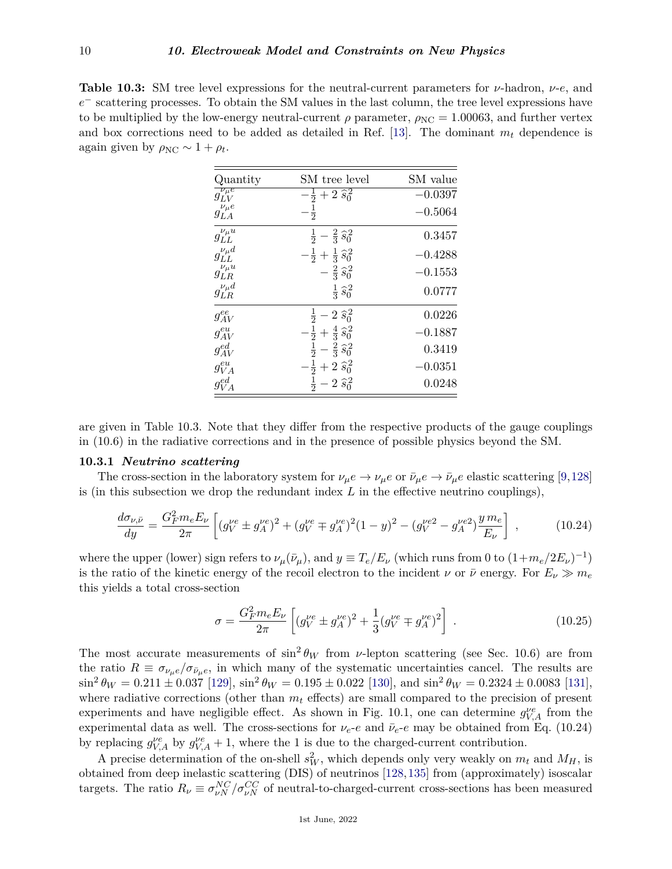**Table 10.3:** SM tree level expressions for the neutral-current parameters for *ν*-hadron, *ν*-*e*, and *e*<sup>−</sup> scattering processes. To obtain the SM values in the last column, the tree level expressions have to be multiplied by the low-energy neutral-current  $\rho$  parameter,  $\rho_{NC} = 1.00063$ , and further vertex and box corrections need to be added as detailed in Ref. [\[13\]](#page-36-10). The dominant  $m_t$  dependence is again given by  $\rho_{NC} \sim 1 + \rho_t$ .

| Quantity              | SM tree level                                                                           | SM value  |
|-----------------------|-----------------------------------------------------------------------------------------|-----------|
| $g_{LV}^{\nu_\mu e}$  | $-\frac{1}{2}+2\,\widehat{s_0}^{\,2}$                                                   | $-0.0397$ |
| $g_{LA}^{\nu_\mu e}$  | $\frac{1}{2}$                                                                           | $-0.5064$ |
| $g_{LL}^{\nu_\mu u}$  | $rac{1}{2} - \frac{2}{3} \hat{s}_0^2$                                                   | 0.3457    |
| $g_{LL}^{\nu_{\mu}d}$ | $-\frac{1}{2}+\frac{1}{3}\,\hat{s}_0^2$                                                 | $-0.4288$ |
| $g^{\nu_\mu u}_{LR}$  | $-\frac{2}{3}\hat{s}_0^2$                                                               | $-0.1553$ |
| $g_{LR}^{\nu_{\mu}d}$ | $\frac{1}{3} \hat{s}_0^2$                                                               | 0.0777    |
| $g_{AV}^{ee}$         |                                                                                         | 0.0226    |
| $g_{AV}^{eu}$         | $\frac{1}{2}-2\,\widehat{s}_{0}^{2}$<br>$-\frac{1}{2}+\frac{4}{3}\,\widehat{s}_{0}^{2}$ | $-0.1887$ |
| $g_{AV}^{ed}$         | $rac{1}{2} - \frac{2}{3} s_0^2$                                                         | 0.3419    |
| $g_{VA}^{eu}$         | $-\frac{1}{2}+2\,\widehat{s}_{0}^{2}$                                                   | 0.0351    |
| $g_{VA}^{ed}$         | $\frac{1}{2} - 2 \hat{s}_0^2$                                                           | 0.0248    |

are given in Table 10.3. Note that they differ from the respective products of the gauge couplings in (10.6) in the radiative corrections and in the presence of possible physics beyond the SM.

#### <span id="page-9-0"></span>**10.3.1** *Neutrino scattering*

The cross-section in the laboratory system for  $\nu_{\mu}e \to \nu_{\mu}e$  or  $\bar{\nu}_{\mu}e \to \bar{\nu}_{\mu}e$  elastic scattering [\[9,](#page-36-9)[128\]](#page-39-23) is (in this subsection we drop the redundant index *L* in the effective neutrino couplings),

$$
\frac{d\sigma_{\nu,\bar{\nu}}}{dy} = \frac{G_F^2 m_e E_\nu}{2\pi} \left[ (g_V^{\nu e} \pm g_A^{\nu e})^2 + (g_V^{\nu e} \mp g_A^{\nu e})^2 (1 - y)^2 - (g_V^{\nu e^2} - g_A^{\nu e^2}) \frac{y m_e}{E_\nu} \right] ,\tag{10.24}
$$

where the upper (lower) sign refers to  $\nu_{\mu}(\bar{\nu}_{\mu})$ , and  $y \equiv T_e/E_{\nu}$  (which runs from 0 to  $(1+m_e/2E_{\nu})^{-1}$ ) is the ratio of the kinetic energy of the recoil electron to the incident *ν* or  $\bar{\nu}$  energy. For  $E_{\nu} \gg m_e$ this yields a total cross-section

$$
\sigma = \frac{G_F^2 m_e E_\nu}{2\pi} \left[ (g_V^{\nu e} \pm g_A^{\nu e})^2 + \frac{1}{3} (g_V^{\nu e} \mp g_A^{\nu e})^2 \right] \,. \tag{10.25}
$$

The most accurate measurements of  $\sin^2 \theta_W$  from *v*-lepton scattering (see Sec. 10.6) are from the ratio  $R \equiv \sigma_{\nu_{\mu}e}/\sigma_{\bar{\nu}_{\mu}e}$ , in which many of the systematic uncertainties cancel. The results are  $\sin^2 \theta_W = 0.211 \pm 0.037$  [\[129\]](#page-39-24),  $\sin^2 \theta_W = 0.195 \pm 0.022$  [\[130\]](#page-40-0), and  $\sin^2 \theta_W = 0.2324 \pm 0.0083$  [\[131\]](#page-40-1), where radiative corrections (other than *m<sup>t</sup>* effects) are small compared to the precision of present experiments and have negligible effect. As shown in Fig. 10.1, one can determine  $g_{V,A}^{\nu e}$  from the experimental data as well. The cross-sections for  $\nu_e$ -*e* and  $\bar{\nu}_e$ -*e* may be obtained from Eq. (10.24) by replacing  $g_{V,A}^{\nu e}$  by  $g_{V,A}^{\nu e} + 1$ , where the 1 is due to the charged-current contribution.

A precise determination of the on-shell  $s_W^2$ , which depends only very weakly on  $m_t$  and  $M_H$ , is obtained from deep inelastic scattering (DIS) of neutrinos [\[128,](#page-39-23)[135\]](#page-40-2) from (approximately) isoscalar targets. The ratio  $R_{\nu} \equiv \sigma_{\nu N}^{NC} / \sigma_{\nu N}^{CC}$  of neutral-to-charged-current cross-sections has been measured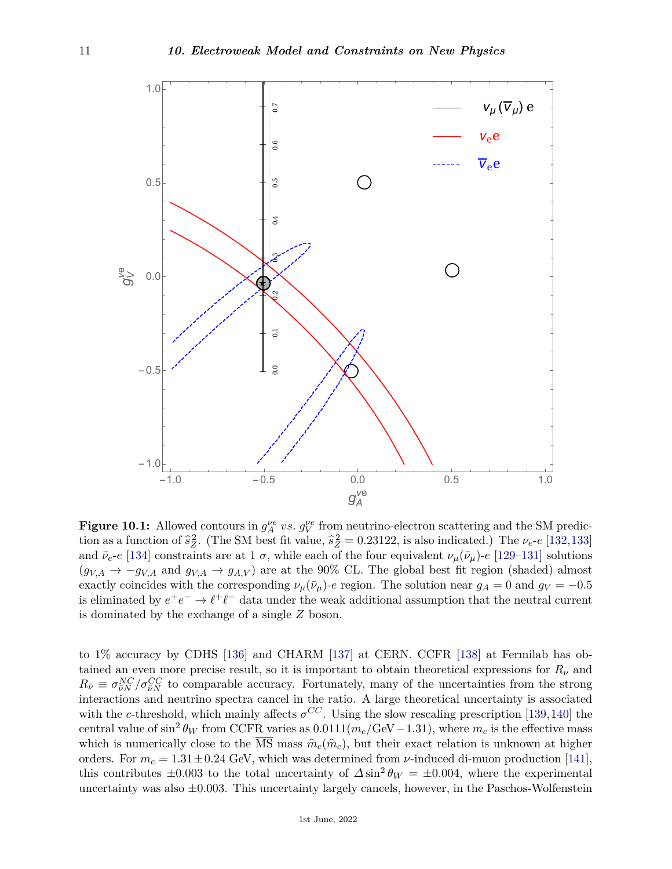

**Figure 10.1:** Allowed contours in  $g_A^{\nu e}$  *vs.*  $g_V^{\nu e}$  from neutrino-electron scattering and the SM prediction as a function of  $\hat{s}_Z^2$ . (The SM best fit value,  $\hat{s}_Z^2 = 0.23122$ , is also indicated.) The  $\nu_e \text{-}e$  [\[132,](#page-40-3)[133\]](#page-40-4) and  $\bar{\nu}_e$ -*e* [\[134\]](#page-40-5) constraints are at 1  $\sigma$ , while each of the four equivalent  $\nu_\mu(\bar{\nu}_\mu)$ -*e* [\[129–](#page-39-24)[131\]](#page-40-1) solutions  $(g_{V,A} \rightarrow -g_{V,A} \text{ and } g_{V,A} \rightarrow g_{A,V})$  are at the 90% CL. The global best fit region (shaded) almost exactly coincides with the corresponding  $\nu_{\mu}(\bar{\nu}_{\mu})$ -*e* region. The solution near  $g_A = 0$  and  $g_V = -0.5$ is eliminated by  $e^+e^- \to \ell^+\ell^-$  data under the weak additional assumption that the neutral current is dominated by the exchange of a single *Z* boson.

to 1% accuracy by CDHS [\[136\]](#page-40-6) and CHARM [\[137\]](#page-40-7) at CERN. CCFR [\[138\]](#page-40-8) at Fermilab has obtained an even more precise result, so it is important to obtain theoretical expressions for  $R_\nu$  and  $R_{\bar{\nu}} \equiv \sigma_{\bar{\nu}N}^{NC}/\sigma_{\bar{\nu}N}^{CC}$  to comparable accuracy. Fortunately, many of the uncertainties from the strong interactions and neutrino spectra cancel in the ratio. A large theoretical uncertainty is associated with the *c*-threshold, which mainly affects  $\sigma^{CC}$ . Using the slow rescaling prescription [\[139,](#page-40-9)[140\]](#page-40-10) the central value of  $\sin^2 \theta_W$  from CCFR varies as  $0.0111(m_c/\text{GeV}-1.31)$ , where  $m_c$  is the effective mass which is numerically close to the MS mass  $\hat{m}_c(\hat{m}_c)$ , but their exact relation is unknown at higher orders. For  $m_c = 1.31 \pm 0.24$  GeV, which was determined from *ν*-induced di-muon production [\[141\]](#page-40-11), this contributes  $\pm 0.003$  to the total uncertainty of  $\Delta \sin^2 \theta_W = \pm 0.004$ , where the experimental uncertainty was also ±0*.*003. This uncertainty largely cancels, however, in the Paschos-Wolfenstein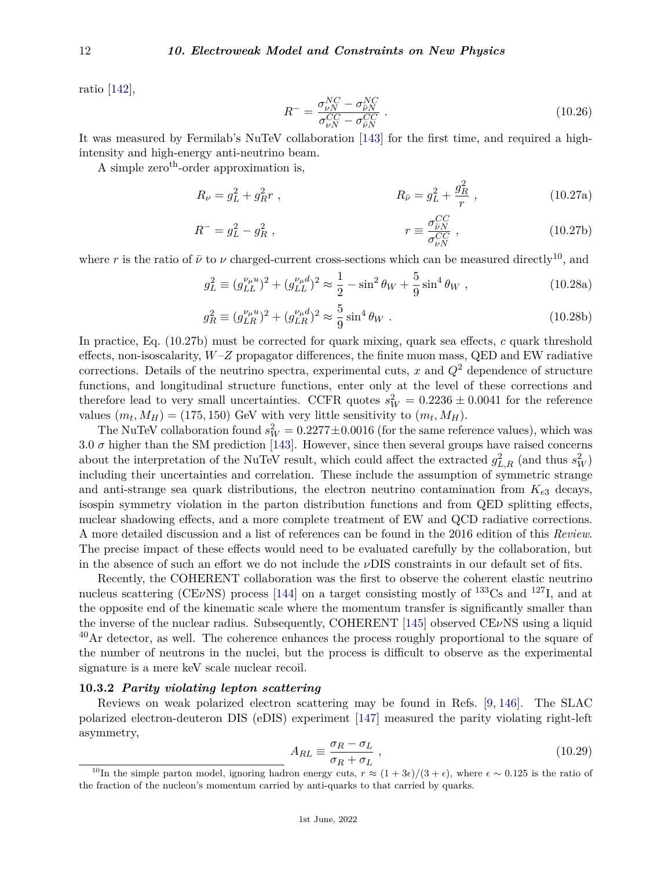ratio [\[142\]](#page-40-12),

$$
R^{-} = \frac{\sigma_{\nu N}^{NC} - \sigma_{\bar{\nu}N}^{NC}}{\sigma_{\nu N}^{CC} - \sigma_{\bar{\nu}N}^{CC}}.
$$
\n(10.26)

 $\overline{2}$ 

It was measured by Fermilab's NuTeV collaboration [\[143\]](#page-40-13) for the first time, and required a highintensity and high-energy anti-neutrino beam.

A simple zero<sup>th</sup>-order approximation is,

$$
R_{\nu} = g_L^2 + g_R^2 r \tag{10.27a}
$$
\n
$$
R_{\bar{\nu}} = g_L^2 + \frac{g_R^2}{r} \tag{10.27a}
$$

$$
R^{-} = g_L^2 - g_R^2 \t\t, \t\t r \equiv \frac{\sigma_{\bar{\nu}N}^{CC}}{\sigma_{\nu N}^{CC}} \t\t, \t\t (10.27b)
$$

where *r* is the ratio of  $\bar{\nu}$  to  $\nu$  charged-current cross-sections which can be measured directly<sup>[10](#page-11-1)</sup>, and

$$
g_L^2 \equiv (g_{LL}^{\nu_\mu u})^2 + (g_{LL}^{\nu_\mu d})^2 \approx \frac{1}{2} - \sin^2 \theta_W + \frac{5}{9} \sin^4 \theta_W , \qquad (10.28a)
$$

$$
g_R^2 \equiv (g_{LR}^{\nu_\mu u})^2 + (g_{LR}^{\nu_\mu d})^2 \approx \frac{5}{9} \sin^4 \theta_W \ . \tag{10.28b}
$$

In practice, Eq. (10.27b) must be corrected for quark mixing, quark sea effects, *c* quark threshold effects, non-isoscalarity, *W*–*Z* propagator differences, the finite muon mass, QED and EW radiative corrections. Details of the neutrino spectra, experimental cuts, *x* and *Q*<sup>2</sup> dependence of structure functions, and longitudinal structure functions, enter only at the level of these corrections and therefore lead to very small uncertainties. CCFR quotes  $s_W^2 = 0.2236 \pm 0.0041$  for the reference values  $(m_t, M_H) = (175, 150)$  GeV with very little sensitivity to  $(m_t, M_H)$ .

The NuTeV collaboration found  $s_W^2 = 0.2277 \pm 0.0016$  (for the same reference values), which was 3.0  $\sigma$  higher than the SM prediction [\[143\]](#page-40-13). However, since then several groups have raised concerns about the interpretation of the NuTeV result, which could affect the extracted  $g_{L,R}^2$  (and thus  $s_W^2$ ) including their uncertainties and correlation. These include the assumption of symmetric strange and anti-strange sea quark distributions, the electron neutrino contamination from  $K_{e3}$  decays, isospin symmetry violation in the parton distribution functions and from QED splitting effects, nuclear shadowing effects, and a more complete treatment of EW and QCD radiative corrections. A more detailed discussion and a list of references can be found in the 2016 edition of this *Review*. The precise impact of these effects would need to be evaluated carefully by the collaboration, but in the absence of such an effort we do not include the *ν*DIS constraints in our default set of fits.

Recently, the COHERENT collaboration was the first to observe the coherent elastic neutrino nucleus scattering (CE*ν*NS) process [\[144\]](#page-40-14) on a target consisting mostly of <sup>133</sup>Cs and <sup>127</sup>I, and at the opposite end of the kinematic scale where the momentum transfer is significantly smaller than the inverse of the nuclear radius. Subsequently, COHERENT [\[145\]](#page-40-15) observed CE*ν*NS using a liquid  $^{40}$ Ar detector, as well. The coherence enhances the process roughly proportional to the square of the number of neutrons in the nuclei, but the process is difficult to observe as the experimental signature is a mere keV scale nuclear recoil.

# <span id="page-11-0"></span>**10.3.2** *Parity violating lepton scattering*

Reviews on weak polarized electron scattering may be found in Refs. [\[9,](#page-36-9) [146\]](#page-40-16). The SLAC polarized electron-deuteron DIS (eDIS) experiment [\[147\]](#page-40-17) measured the parity violating right-left asymmetry,

$$
A_{RL} \equiv \frac{\sigma_R - \sigma_L}{\sigma_R + \sigma_L} \,,\tag{10.29}
$$

<span id="page-11-1"></span><sup>&</sup>lt;sup>10</sup>In the simple parton model, ignoring hadron energy cuts,  $r \approx (1 + 3\epsilon)/(3 + \epsilon)$ , where  $\epsilon \sim 0.125$  is the ratio of the fraction of the nucleon's momentum carried by anti-quarks to that carried by quarks.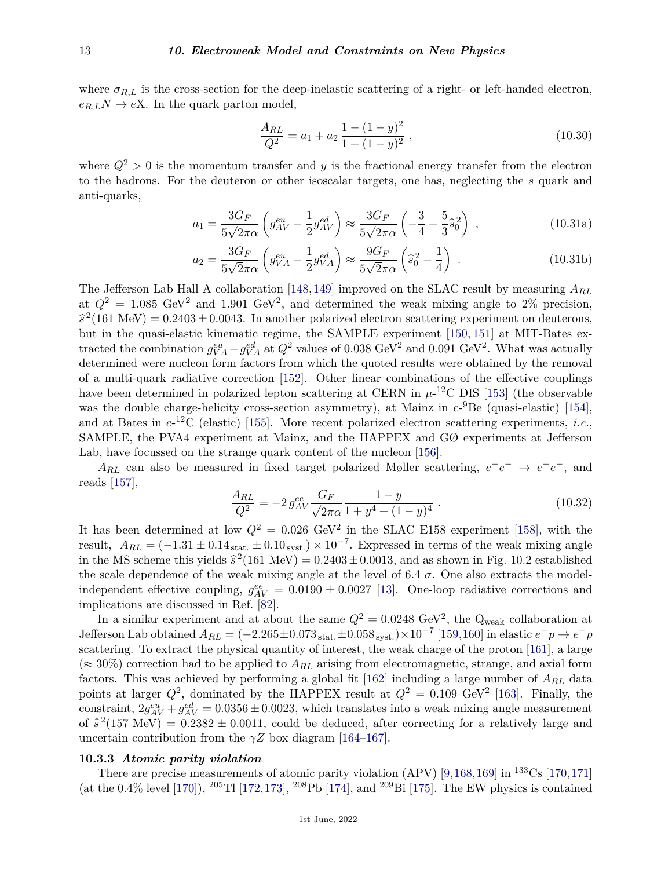where  $\sigma_{R,L}$  is the cross-section for the deep-inelastic scattering of a right- or left-handed electron,  $e_{R,L}$ *N*  $\rightarrow$  *eX*. In the quark parton model,

$$
\frac{A_{RL}}{Q^2} = a_1 + a_2 \frac{1 - (1 - y)^2}{1 + (1 - y)^2},
$$
\n(10.30)

where  $Q^2 > 0$  is the momentum transfer and *y* is the fractional energy transfer from the electron to the hadrons. For the deuteron or other isoscalar targets, one has, neglecting the *s* quark and anti-quarks,

$$
a_1 = \frac{3G_F}{5\sqrt{2}\pi\alpha} \left( g_{AV}^{eu} - \frac{1}{2} g_{AV}^{ed} \right) \approx \frac{3G_F}{5\sqrt{2}\pi\alpha} \left( -\frac{3}{4} + \frac{5}{3} \hat{s}_0^2 \right) ,
$$
 (10.31a)

$$
a_2 = \frac{3G_F}{5\sqrt{2}\pi\alpha} \left( g_{VA}^{eu} - \frac{1}{2} g_{VA}^{ed} \right) \approx \frac{9G_F}{5\sqrt{2}\pi\alpha} \left( \hat{s}_0^2 - \frac{1}{4} \right) . \tag{10.31b}
$$

The Jefferson Lab Hall A collaboration [\[148,](#page-40-18)[149\]](#page-40-19) improved on the SLAC result by measuring *ARL* at  $Q^2 = 1.085 \text{ GeV}^2$  and 1.901 GeV<sup>2</sup>, and determined the weak mixing angle to 2% precision,  $\hat{s}^2$ (161 MeV) = 0*.*2403 ± 0*.*0043. In another polarized electron scattering experiment on deuterons, but in the quasi-elastic kinematic regime, the SAMPLE experiment [\[150,](#page-40-20) [151\]](#page-40-21) at MIT-Bates extracted the combination  $g_{VA}^{eu} - g_{VA}^{ed}$  at  $Q^2$  values of 0.038 GeV<sup>2</sup> and 0.091 GeV<sup>2</sup>. What was actually determined were nucleon form factors from which the quoted results were obtained by the removal of a multi-quark radiative correction [\[152\]](#page-40-22). Other linear combinations of the effective couplings have been determined in polarized lepton scattering at CERN in  $\mu$ -<sup>12</sup>C DIS [\[153\]](#page-40-23) (the observable was the double charge-helicity cross-section asymmetry), at Mainz in  $e^{-9}$ Be (quasi-elastic) [\[154\]](#page-40-24), and at Bates in *e*-<sup>12</sup>C (elastic) [\[155\]](#page-40-25). More recent polarized electron scattering experiments, *i.e.*, SAMPLE, the PVA4 experiment at Mainz, and the HAPPEX and GØ experiments at Jefferson Lab, have focussed on the strange quark content of the nucleon [\[156\]](#page-40-26).

 $A_{RL}$  can also be measured in fixed target polarized Møller scattering,  $e^-e^- \rightarrow e^-e^-$ , and reads [\[157\]](#page-40-27),

$$
\frac{A_{RL}}{Q^2} = -2 g_{AV}^{ee} \frac{G_F}{\sqrt{2\pi\alpha}} \frac{1-y}{1+y^4 + (1-y)^4} .
$$
\n(10.32)

It has been determined at low  $Q^2 = 0.026 \text{ GeV}^2$  in the SLAC E158 experiment [\[158\]](#page-40-28), with the result,  $A_{RL} = (-1.31 \pm 0.14_{stat.} \pm 0.10_{syst.}) \times 10^{-7}$ . Expressed in terms of the weak mixing angle in the  $\overline{\text{MS}}$  scheme this yields  $\hat{s}^2(161 \text{ MeV}) = 0.2403 \pm 0.0013$ , and as shown in Fig. 10.2 established the scale dependence of the weak mixing angle at the level of 6.4  $\sigma$ . One also extracts the modelindependent effective coupling,  $g_{AV}^{ee} = 0.0190 \pm 0.0027$  [\[13\]](#page-36-10). One-loop radiative corrections and implications are discussed in Ref. [\[82\]](#page-38-21).

In a similar experiment and at about the same  $Q^2 = 0.0248 \text{ GeV}^2$ , the Q<sub>weak</sub> collaboration at  $J$ efferson Lab obtained  $A_{RL} = (-2.265 \pm 0.073_{stat.} \pm 0.058_{syst.}) \times 10^{-7}$  [\[159,](#page-40-29)[160\]](#page-40-30) in elastic  $e^-p \to e^-p$ scattering. To extract the physical quantity of interest, the weak charge of the proton [\[161\]](#page-40-31), a large  $(\approx 30\%)$  correction had to be applied to  $A_{RL}$  arising from electromagnetic, strange, and axial form factors. This was achieved by performing a global fit [\[162\]](#page-40-32) including a large number of *ARL* data points at larger  $Q^2$ , dominated by the HAPPEX result at  $Q^2 = 0.109$  GeV<sup>2</sup> [\[163\]](#page-40-33). Finally, the constraint,  $2g_{AV}^{eu} + g_{AV}^{ed} = 0.0356 \pm 0.0023$ , which translates into a weak mixing angle measurement of  $\hat{s}^2$ (157 MeV) = 0.2382 ± 0.0011, could be deduced, after correcting for a relatively large and uncertain contribution from the  $\gamma Z$  box diagram [\[164–](#page-40-34)[167\]](#page-41-0).

# <span id="page-12-0"></span>**10.3.3** *Atomic parity violation*

There are precise measurements of atomic parity violation (APV) [\[9,](#page-36-9)[168,](#page-41-1)[169\]](#page-41-2) in  $^{133}Cs$  [\[170,](#page-41-3)[171\]](#page-41-4) (at the 0.4% level [\[170\]](#page-41-3)), <sup>205</sup>Tl [\[172,](#page-41-5)[173\]](#page-41-6), <sup>208</sup>Pb [\[174\]](#page-41-7), and <sup>209</sup>Bi [\[175\]](#page-41-8). The EW physics is contained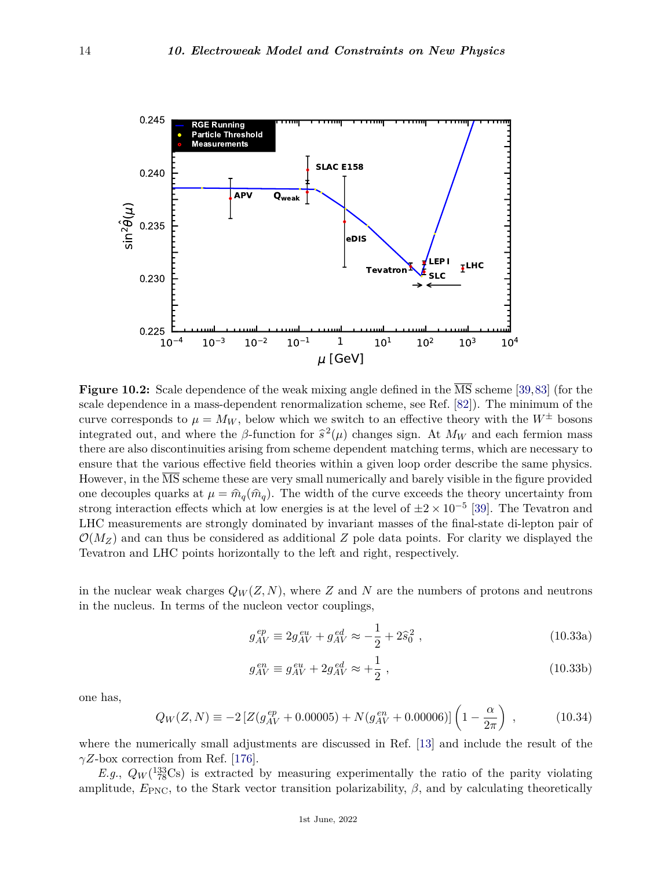

**Figure 10.2:** Scale dependence of the weak mixing angle defined in the MS scheme [\[39,](#page-37-22)[83\]](#page-38-32) (for the scale dependence in a mass-dependent renormalization scheme, see Ref. [\[82\]](#page-38-21)). The minimum of the curve corresponds to  $\mu = M_W$ , below which we switch to an effective theory with the  $W^{\pm}$  bosons integrated out, and where the *β*-function for  $\hat{s}^2(\mu)$  changes sign. At  $M_W$  and each fermion mass there are also discontinuities arising from scheme dependent matching terms, which are necessary to ensure that the various effective field theories within a given loop order describe the same physics. However, in the MS scheme these are very small numerically and barely visible in the figure provided one decouples quarks at  $\mu = \hat{m}_q(\hat{m}_q)$ . The width of the curve exceeds the theory uncertainty from strong interaction effects which at low energies is at the level of  $\pm 2 \times 10^{-5}$  [\[39\]](#page-37-22). The Tevatron and LHC measurements are strongly dominated by invariant masses of the final-state di-lepton pair of  $\mathcal{O}(M_Z)$  and can thus be considered as additional Z pole data points. For clarity we displayed the Tevatron and LHC points horizontally to the left and right, respectively.

in the nuclear weak charges  $Q_W(Z, N)$ , where *Z* and *N* are the numbers of protons and neutrons in the nucleus. In terms of the nucleon vector couplings,

$$
g_{AV}^{ep} \equiv 2g_{AV}^{eu} + g_{AV}^{ed} \approx -\frac{1}{2} + 2\hat{s}_0^2 \,, \tag{10.33a}
$$

$$
g_{AV}^{en} \equiv g_{AV}^{eu} + 2g_{AV}^{ed} \approx +\frac{1}{2} \,, \tag{10.33b}
$$

one has,

$$
Q_W(Z,N) \equiv -2\left[Z(g_{AV}^{ep} + 0.00005) + N(g_{AV}^{en} + 0.00006)\right]\left(1 - \frac{\alpha}{2\pi}\right) ,\qquad (10.34)
$$

where the numerically small adjustments are discussed in Ref. [\[13\]](#page-36-10) and include the result of the *γZ*-box correction from Ref. [\[176\]](#page-41-9).

*E.g.*,  $Q_W$ <sup>(133</sup>/Cs) is extracted by measuring experimentally the ratio of the parity violating amplitude,  $E_{\text{PNC}}$ , to the Stark vector transition polarizability,  $\beta$ , and by calculating theoretically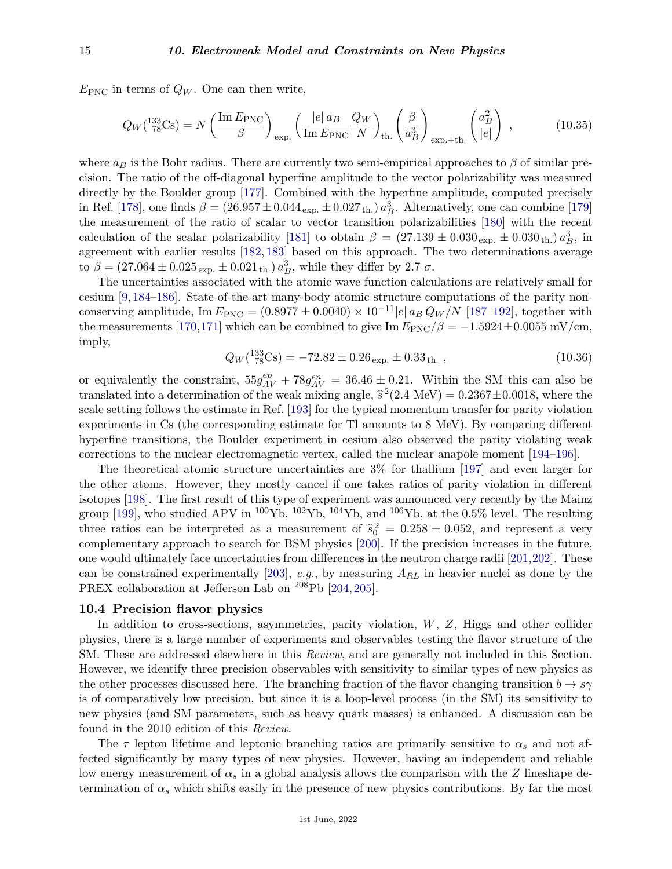$E_{\text{PNC}}$  in terms of  $Q_W$ . One can then write,

$$
Q_W(^{133}_{78}\text{Cs}) = N \left(\frac{\text{Im} E_{\text{PNC}}}{\beta}\right)_{\text{exp.}} \left(\frac{|e| a_B Q_W}{\text{Im} E_{\text{PNC}}} \frac{Q_W}{N}\right)_{\text{th.}} \left(\frac{\beta}{a_B^3}\right)_{\text{exp.}+\text{th.}} \left(\frac{a_B^2}{|e|}\right) ,\tag{10.35}
$$

where  $a_B$  is the Bohr radius. There are currently two semi-empirical approaches to  $\beta$  of similar precision. The ratio of the off-diagonal hyperfine amplitude to the vector polarizability was measured directly by the Boulder group [\[177\]](#page-41-10). Combined with the hyperfine amplitude, computed precisely in Ref. [\[178\]](#page-41-11), one finds  $\beta = (26.957 \pm 0.044_{\text{ exp.}} \pm 0.027_{\text{ th.}})\ a_B^3$ . Alternatively, one can combine [\[179\]](#page-41-12) the measurement of the ratio of scalar to vector transition polarizabilities [\[180\]](#page-41-13) with the recent calculation of the scalar polarizability [\[181\]](#page-41-14) to obtain  $\beta = (27.139 \pm 0.030_{\rm exp.} \pm 0.030_{\rm th.}) a_B^3$ , in agreement with earlier results [\[182,](#page-41-15) [183\]](#page-41-16) based on this approach. The two determinations average to  $\beta = (27.064 \pm 0.025_{\text{exp.}} \pm 0.021_{\text{th.}}) a_B^3$ , while they differ by 2.7  $\sigma$ .

The uncertainties associated with the atomic wave function calculations are relatively small for cesium [\[9,](#page-36-9) [184–](#page-41-17)[186\]](#page-41-18). State-of-the-art many-body atomic structure computations of the parity nonconserving amplitude, Im  $E_{PNC} = (0.8977 \pm 0.0040) \times 10^{-11} |e| a_B Q_W / N$  [\[187](#page-41-19)[–192\]](#page-41-20), together with the measurements [\[170,](#page-41-3)[171\]](#page-41-4) which can be combined to give Im  $E_{PNC}/\beta = -1.5924 \pm 0.0055$  mV/cm, imply,

$$
Q_W(^{133}_{78}\text{Cs}) = -72.82 \pm 0.26_{\text{exp.}} \pm 0.33_{\text{th.}},\tag{10.36}
$$

or equivalently the constraint,  $55g_{AV}^{ep} + 78g_{AV}^{en} = 36.46 \pm 0.21$ . Within the SM this can also be translated into a determination of the weak mixing angle,  $\hat{s}^2$ (2.4 MeV) = 0.2367 $\pm$ 0.0018, where the scale setting follows the estimate in Ref. [\[193\]](#page-41-21) for the typical momentum transfer for parity violation experiments in Cs (the corresponding estimate for Tl amounts to 8 MeV). By comparing different hyperfine transitions, the Boulder experiment in cesium also observed the parity violating weak corrections to the nuclear electromagnetic vertex, called the nuclear anapole moment [\[194–](#page-41-22)[196\]](#page-41-23).

The theoretical atomic structure uncertainties are 3% for thallium [\[197\]](#page-42-0) and even larger for the other atoms. However, they mostly cancel if one takes ratios of parity violation in different isotopes [\[198\]](#page-42-1). The first result of this type of experiment was announced very recently by the Mainz group [\[199\]](#page-42-2), who studied APV in <sup>100</sup>Yb, <sup>102</sup>Yb, <sup>104</sup>Yb, and <sup>106</sup>Yb, at the 0.5% level. The resulting three ratios can be interpreted as a measurement of  $\hat{s}_0^2 = 0.258 \pm 0.052$ , and represent a very complementary approach to search for BSM physics [\[200\]](#page-42-3). If the precision increases in the future, one would ultimately face uncertainties from differences in the neutron charge radii [\[201,](#page-42-4)[202\]](#page-42-5). These can be constrained experimentally [\[203\]](#page-42-6), *e.g.*, by measuring *ARL* in heavier nuclei as done by the PREX collaboration at Jefferson Lab on <sup>208</sup>Pb [\[204,](#page-42-7) [205\]](#page-42-8).

## <span id="page-14-0"></span>**10.4 Precision flavor physics**

In addition to cross-sections, asymmetries, parity violation, *W*, *Z*, Higgs and other collider physics, there is a large number of experiments and observables testing the flavor structure of the SM. These are addressed elsewhere in this *Review*, and are generally not included in this Section. However, we identify three precision observables with sensitivity to similar types of new physics as the other processes discussed here. The branching fraction of the flavor changing transition  $b \to s\gamma$ is of comparatively low precision, but since it is a loop-level process (in the SM) its sensitivity to new physics (and SM parameters, such as heavy quark masses) is enhanced. A discussion can be found in the 2010 edition of this *Review*.

The  $\tau$  lepton lifetime and leptonic branching ratios are primarily sensitive to  $\alpha_s$  and not affected significantly by many types of new physics. However, having an independent and reliable low energy measurement of *α<sup>s</sup>* in a global analysis allows the comparison with the *Z* lineshape determination of  $\alpha_s$  which shifts easily in the presence of new physics contributions. By far the most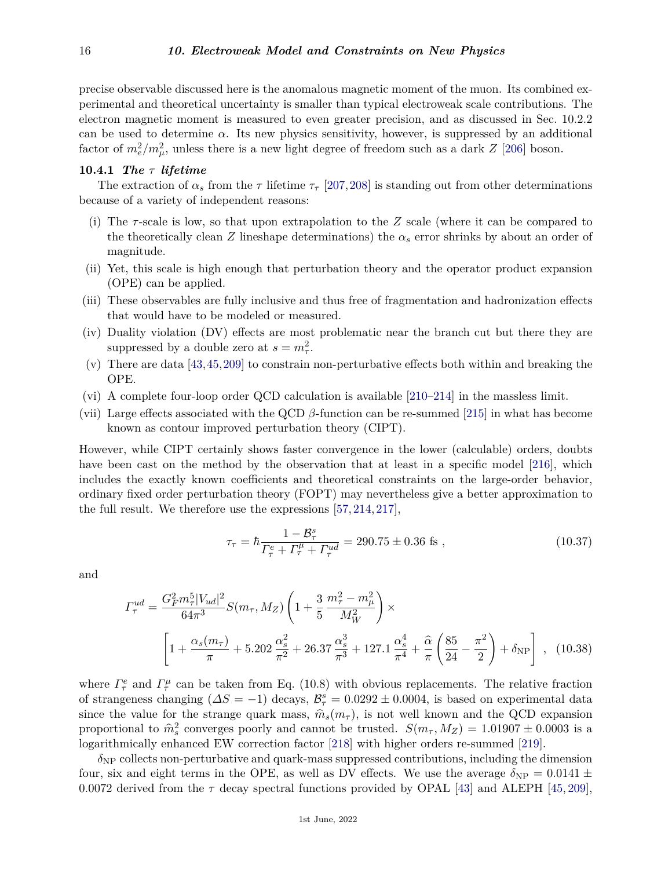precise observable discussed here is the anomalous magnetic moment of the muon. Its combined experimental and theoretical uncertainty is smaller than typical electroweak scale contributions. The electron magnetic moment is measured to even greater precision, and as discussed in Sec. 10.2.2 can be used to determine  $\alpha$ . Its new physics sensitivity, however, is suppressed by an additional factor of  $m_e^2/m_\mu^2$ , unless there is a new light degree of freedom such as a dark *Z* [\[206\]](#page-42-9) boson.

## <span id="page-15-0"></span>**10.4.1** *The τ lifetime*

The extraction of  $\alpha_s$  from the  $\tau$  lifetime  $\tau_\tau$  [\[207,](#page-42-10)[208\]](#page-42-11) is standing out from other determinations because of a variety of independent reasons:

- (i) The *τ* -scale is low, so that upon extrapolation to the *Z* scale (where it can be compared to the theoretically clean *Z* lineshape determinations) the  $\alpha_s$  error shrinks by about an order of magnitude.
- (ii) Yet, this scale is high enough that perturbation theory and the operator product expansion (OPE) can be applied.
- (iii) These observables are fully inclusive and thus free of fragmentation and hadronization effects that would have to be modeled or measured.
- (iv) Duality violation (DV) effects are most problematic near the branch cut but there they are suppressed by a double zero at  $s = m_\tau^2$ .
- (v) There are data [\[43,](#page-37-26)[45,](#page-37-28)[209\]](#page-42-12) to constrain non-perturbative effects both within and breaking the OPE.
- (vi) A complete four-loop order QCD calculation is available [\[210–](#page-42-13)[214\]](#page-42-14) in the massless limit.
- (vii) Large effects associated with the QCD *β*-function can be re-summed [\[215\]](#page-42-15) in what has become known as contour improved perturbation theory (CIPT).

However, while CIPT certainly shows faster convergence in the lower (calculable) orders, doubts have been cast on the method by the observation that at least in a specific model [\[216\]](#page-42-16), which includes the exactly known coefficients and theoretical constraints on the large-order behavior, ordinary fixed order perturbation theory (FOPT) may nevertheless give a better approximation to the full result. We therefore use the expressions [\[57,](#page-37-32) [214,](#page-42-14) [217\]](#page-42-17),

$$
\tau_{\tau} = \hbar \frac{1 - B_{\tau}^{s}}{\Gamma_{\tau}^{e} + \Gamma_{\tau}^{\mu} + \Gamma_{\tau}^{ud}} = 290.75 \pm 0.36 \text{ fs} ,\qquad (10.37)
$$

and

$$
\Gamma_{\tau}^{ud} = \frac{G_F^2 m_\tau^5 |V_{ud}|^2}{64\pi^3} S(m_\tau, M_Z) \left( 1 + \frac{3}{5} \frac{m_\tau^2 - m_\mu^2}{M_W^2} \right) \times \left[ 1 + \frac{\alpha_s(m_\tau)}{\pi} + 5.202 \frac{\alpha_s^2}{\pi^2} + 26.37 \frac{\alpha_s^3}{\pi^3} + 127.1 \frac{\alpha_s^4}{\pi^4} + \frac{\hat{\alpha}}{\pi} \left( \frac{85}{24} - \frac{\pi^2}{2} \right) + \delta_{\text{NP}} \right] , \quad (10.38)
$$

where  $\Gamma^e_\tau$  and  $\Gamma^{\mu}_\tau$  can be taken from Eq. (10.8) with obvious replacements. The relative fraction of strangeness changing  $(\Delta S = -1)$  decays,  $\mathcal{B}_{\tau}^s = 0.0292 \pm 0.0004$ , is based on experimental data since the value for the strange quark mass,  $\hat{m}_s(m_\tau)$ , is not well known and the QCD expansion proportional to  $\hat{m}_s^2$  converges poorly and cannot be trusted.  $S(m_\tau, M_Z) = 1.01907 \pm 0.0003$  is a logarithmically enhanced EW correction factor [\[218\]](#page-42-18) with higher orders re-summed [\[219\]](#page-42-19).

 $\delta_{\text{NP}}$  collects non-perturbative and quark-mass suppressed contributions, including the dimension four, six and eight terms in the OPE, as well as DV effects. We use the average  $\delta_{\rm NP} = 0.0141 \pm$ 0.0072 derived from the  $\tau$  decay spectral functions provided by OPAL [\[43\]](#page-37-26) and ALEPH [\[45,](#page-37-28) [209\]](#page-42-12),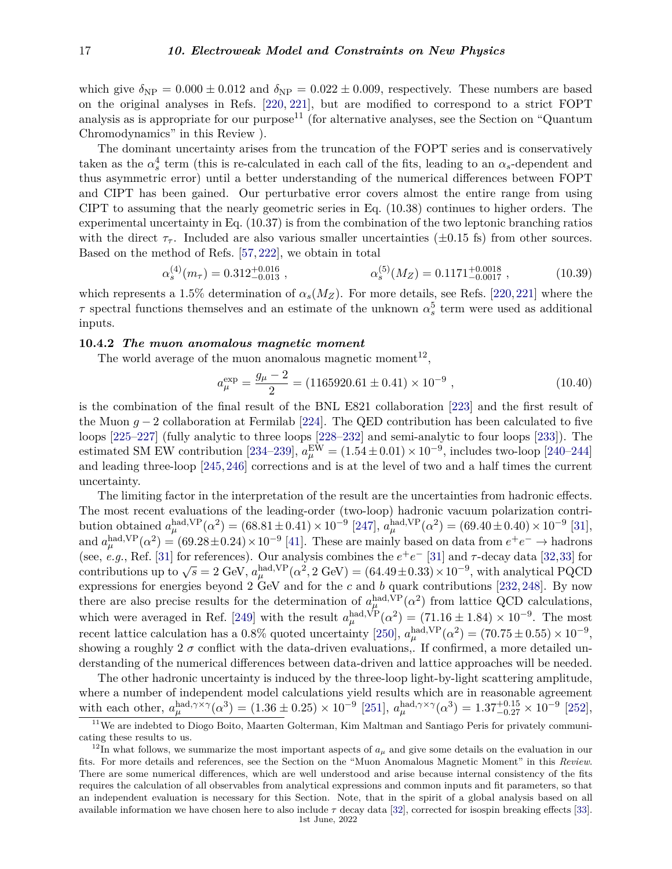which give  $\delta_{\text{NP}} = 0.000 \pm 0.012$  and  $\delta_{\text{NP}} = 0.022 \pm 0.009$ , respectively. These numbers are based on the original analyses in Refs. [\[220,](#page-42-20) [221\]](#page-42-21), but are modified to correspond to a strict FOPT analysis as is appropriate for our purpose<sup>[11](#page-16-1)</sup> (for alternative analyses, see the Section on "Quantum" Chromodynamics" in this Review ).

The dominant uncertainty arises from the truncation of the FOPT series and is conservatively taken as the  $\alpha_s^4$  term (this is re-calculated in each call of the fits, leading to an  $\alpha_s$ -dependent and thus asymmetric error) until a better understanding of the numerical differences between FOPT and CIPT has been gained. Our perturbative error covers almost the entire range from using CIPT to assuming that the nearly geometric series in Eq. (10.38) continues to higher orders. The experimental uncertainty in Eq. (10.37) is from the combination of the two leptonic branching ratios with the direct  $\tau_{\tau}$ . Included are also various smaller uncertainties ( $\pm 0.15$  fs) from other sources. Based on the method of Refs. [\[57,](#page-37-32) [222\]](#page-42-22), we obtain in total

$$
\alpha_s^{(4)}(m_\tau) = 0.312_{-0.013}^{+0.016} ,\qquad \alpha_s^{(5)}(M_Z) = 0.1171_{-0.0017}^{+0.0018} ,\qquad (10.39)
$$

which represents a 1.5% determination of  $\alpha_s(M_Z)$ . For more details, see Refs. [\[220,](#page-42-20) [221\]](#page-42-21) where the *τ* spectral functions themselves and an estimate of the unknown  $\alpha_s^5$  term were used as additional inputs.

# <span id="page-16-0"></span>**10.4.2** *The muon anomalous magnetic moment*

The world average of the muon anomalous magnetic moment<sup>[12](#page-16-2)</sup>,

$$
a_{\mu}^{\exp} = \frac{g_{\mu} - 2}{2} = (1165920.61 \pm 0.41) \times 10^{-9}, \qquad (10.40)
$$

is the combination of the final result of the BNL E821 collaboration [\[223\]](#page-42-23) and the first result of the Muon  $g - 2$  collaboration at Fermilab [\[224\]](#page-42-24). The QED contribution has been calculated to five loops [\[225–](#page-42-25)[227\]](#page-42-26) (fully analytic to three loops [\[228–](#page-42-27)[232\]](#page-42-28) and semi-analytic to four loops [\[233\]](#page-42-29)). The estimated SM EW contribution [\[234–](#page-43-0)[239\]](#page-43-1),  $a_{\mu}^{\text{EW}} = (1.54 \pm 0.01) \times 10^{-9}$ , includes two-loop [\[240–](#page-43-2)[244\]](#page-43-3) and leading three-loop [\[245,](#page-43-4)[246\]](#page-43-5) corrections and is at the level of two and a half times the current uncertainty.

The limiting factor in the interpretation of the result are the uncertainties from hadronic effects. The most recent evaluations of the leading-order (two-loop) hadronic vacuum polarization contri- $\frac{1}{24}$  bution obtained  $a_{\mu}^{\text{had,VP}}(\alpha^2) = (68.81 \pm 0.41) \times 10^{-9}$  [\[247\]](#page-43-6),  $a_{\mu}^{\text{had,VP}}(\alpha^2) = (69.40 \pm 0.40) \times 10^{-9}$  [\[31\]](#page-37-6), and  $a_{\mu}^{\text{had,VP}}(\alpha^2) = (69.28 \pm 0.24) \times 10^{-9}$  [\[41\]](#page-37-24). These are mainly based on data from  $e^+e^- \to \text{hadrons}$ (see, *e.g.*, Ref. [\[31\]](#page-37-6) for references). Our analysis combines the  $e^+e^-$  [31] and  $\tau$ -decay data [\[32,](#page-37-7)[33\]](#page-37-8) for contributions up to  $\sqrt{s} = 2$  GeV,  $a_{\mu}^{\text{had,VP}}(\alpha^2, 2 \text{ GeV}) = (64.49 \pm 0.33) \times 10^{-9}$ , with analytical PQCD contributions up to  $\sqrt{s} = 2$  GeV,  $a_{\mu}^{\text{had,VP}}(\alpha^2, 2 \text{ GeV}) = (64.49 \pm 0.33) \times 10^{-9}$ , with analytical PQCD expressions for energies beyond 2 GeV and for the *c* and *b* quark contributions [\[232,](#page-42-28) [248\]](#page-43-7). By now there are also precise results for the determination of  $a_{\mu}^{\text{had,VP}}(\alpha^2)$  from lattice QCD calculations, *µ* which were averaged in Ref. [\[249\]](#page-43-8) with the result  $a_{\mu}^{\text{had,VP}}(\alpha^2) = (71.16 \pm 1.84) \times 10^{-9}$ . The most recent lattice calculation has a  $0.8\%$  quoted uncertainty [\[250\]](#page-43-9),  $a_{\mu}^{\text{had,VP}}(\alpha^2) = (70.75 \pm 0.55) \times 10^{-9}$ , showing a roughly  $2\sigma$  conflict with the data-driven evaluations,. If confirmed, a more detailed understanding of the numerical differences between data-driven and lattice approaches will be needed.

The other hadronic uncertainty is induced by the three-loop light-by-light scattering amplitude, where a number of independent model calculations yield results which are in reasonable agreement with each other,  $a_{\mu}^{\text{had}, \gamma \times \gamma}(\alpha^3) = (1.36 \pm 0.25) \times 10^{-9}$  [\[251\]](#page-43-10),  $a_{\mu}^{\text{had}, \gamma \times \gamma}(\alpha^3) = 1.37^{+0.15}_{-0.27} \times 10^{-9}$  [\[252\]](#page-43-11),

<span id="page-16-1"></span><sup>&</sup>lt;sup>11</sup>We are indebted to Diogo Boito, Maarten Golterman, Kim Maltman and Santiago Peris for privately communicating these results to us.

<span id="page-16-2"></span><sup>&</sup>lt;sup>12</sup>In what follows, we summarize the most important aspects of  $a_\mu$  and give some details on the evaluation in our fits. For more details and references, see the Section on the "Muon Anomalous Magnetic Moment" in this *Review*. There are some numerical differences, which are well understood and arise because internal consistency of the fits requires the calculation of all observables from analytical expressions and common inputs and fit parameters, so that an independent evaluation is necessary for this Section. Note, that in the spirit of a global analysis based on all available information we have chosen here to also include *τ* decay data [\[32\]](#page-37-7), corrected for isospin breaking effects [\[33\]](#page-37-8). 1st June, 2022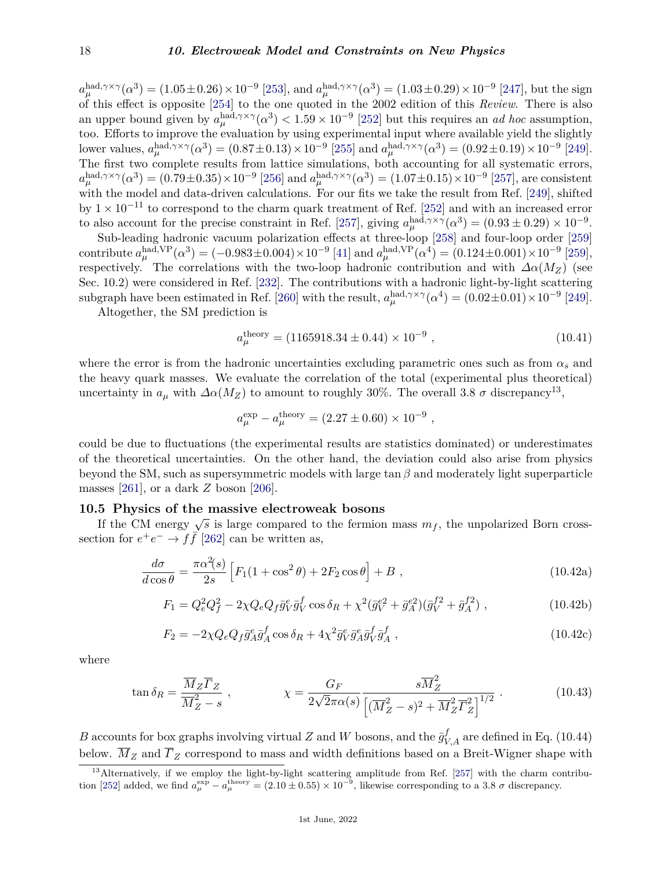$a_{\mu}^{\text{had}, \gamma \times \gamma}(\alpha^3) = (1.05 \pm 0.26) \times 10^{-9}$  [\[253\]](#page-43-12), and  $a_{\mu}^{\text{had}, \gamma \times \gamma}(\alpha^3) = (1.03 \pm 0.29) \times 10^{-9}$  [\[247\]](#page-43-6), but the sign of this effect is opposite [\[254\]](#page-43-13) to the one quoted in the 2002 edition of this *Review*. There is also an upper bound given by  $a_{\mu}^{\text{had}, \gamma \times \gamma}(\alpha^3) < 1.59 \times 10^{-9}$  [\[252\]](#page-43-11) but this requires an *ad hoc* assumption, too. Efforts to improve the evaluation by using experimental input where available yield the slightly lower values,  $a_{\mu}^{\text{had}, \gamma \times \gamma}(\alpha^3) = (0.87 \pm 0.13) \times 10^{-9}$  [\[255\]](#page-43-14) and  $a_{\mu}^{\text{had}, \gamma \times \gamma}(\alpha^3) = (0.92 \pm 0.19) \times 10^{-9}$  [\[249\]](#page-43-8). The first two complete results from lattice simulations, both accounting for all systematic errors,  $a_{\mu}^{\text{had}, \gamma \times \gamma}(\alpha^3) = (0.79 \pm 0.35) \times 10^{-9}$  [\[256\]](#page-43-15) and  $a_{\mu}^{\text{had}, \gamma \times \gamma}(\alpha^3) = (1.07 \pm 0.15) \times 10^{-9}$  [\[257\]](#page-43-16), are consistent with the model and data-driven calculations. For our fits we take the result from Ref. [\[249\]](#page-43-8), shifted by  $1 \times 10^{-11}$  to correspond to the charm quark treatment of Ref. [\[252\]](#page-43-11) and with an increased error to also account for the precise constraint in Ref. [\[257\]](#page-43-16), giving  $a_{\mu}^{\text{had},\gamma\times\gamma}(\alpha^3) = (0.93 \pm 0.29) \times 10^{-9}$ .

Sub-leading hadronic vacuum polarization effects at three-loop [\[258\]](#page-43-17) and four-loop order [\[259\]](#page-43-18)  $\text{contribute } a_{\mu}^{\text{had,VP}}(\alpha^3) = (-0.983 \pm 0.004) \times 10^{-9} \,[41] \text{ and } a_{\mu}^{\text{had,VP}}(\alpha^4) = (0.124 \pm 0.001) \times 10^{-9} \,[259],$  $\text{contribute } a_{\mu}^{\text{had,VP}}(\alpha^3) = (-0.983 \pm 0.004) \times 10^{-9} \,[41] \text{ and } a_{\mu}^{\text{had,VP}}(\alpha^4) = (0.124 \pm 0.001) \times 10^{-9} \,[259],$  $\text{contribute } a_{\mu}^{\text{had,VP}}(\alpha^3) = (-0.983 \pm 0.004) \times 10^{-9} \,[41] \text{ and } a_{\mu}^{\text{had,VP}}(\alpha^4) = (0.124 \pm 0.001) \times 10^{-9} \,[259],$  $\text{contribute } a_{\mu}^{\text{had,VP}}(\alpha^3) = (-0.983 \pm 0.004) \times 10^{-9} \,[41] \text{ and } a_{\mu}^{\text{had,VP}}(\alpha^4) = (0.124 \pm 0.001) \times 10^{-9} \,[259],$  $\text{contribute } a_{\mu}^{\text{had,VP}}(\alpha^3) = (-0.983 \pm 0.004) \times 10^{-9} \,[41] \text{ and } a_{\mu}^{\text{had,VP}}(\alpha^4) = (0.124 \pm 0.001) \times 10^{-9} \,[259],$ respectively. The correlations with the two-loop hadronic contribution and with  $\Delta \alpha(M_Z)$  (see Sec. 10.2) were considered in Ref. [\[232\]](#page-42-28). The contributions with a hadronic light-by-light scattering subgraph have been estimated in Ref. [\[260\]](#page-43-19) with the result,  $a_{\mu}^{\text{had},\gamma\times\gamma}(\alpha^4) = (0.02\pm0.01)\times10^{-9}$  [\[249\]](#page-43-8).

Altogether, the SM prediction is

$$
a_{\mu}^{\text{theory}} = (1165918.34 \pm 0.44) \times 10^{-9} , \qquad (10.41)
$$

*,*

where the error is from the hadronic uncertainties excluding parametric ones such as from  $\alpha_s$  and the heavy quark masses. We evaluate the correlation of the total (experimental plus theoretical) uncertainty in  $a_{\mu}$  with  $\Delta \alpha(M_Z)$  to amount to roughly 30%. The overall 3.8  $\sigma$  discrepancy<sup>[13](#page-17-1)</sup>,

$$
a_{\mu}^{\text{exp}} - a_{\mu}^{\text{theory}} = (2.27 \pm 0.60) \times 10^{-9}
$$

could be due to fluctuations (the experimental results are statistics dominated) or underestimates of the theoretical uncertainties. On the other hand, the deviation could also arise from physics beyond the SM, such as supersymmetric models with large tan *β* and moderately light superparticle masses [\[261\]](#page-43-20), or a dark *Z* boson [\[206\]](#page-42-9).

# <span id="page-17-0"></span>**10.5 Physics of the massive electroweak bosons**

If the CM energy  $\sqrt{s}$  is large compared to the fermion mass  $m_f$ , the unpolarized Born crosssection for  $e^+e^- \to f\bar{f}$  [\[262\]](#page-43-21) can be written as,

$$
\frac{d\sigma}{d\cos\theta} = \frac{\pi\alpha^2(s)}{2s} \left[ F_1(1+\cos^2\theta) + 2F_2\cos\theta \right] + B \tag{10.42a}
$$

$$
F_1 = Q_e^2 Q_f^2 - 2\chi Q_e Q_f \bar{g}_V^e \bar{g}_V^f \cos \delta_R + \chi^2 (\bar{g}_V^{e2} + \bar{g}_A^{e2}) (\bar{g}_V^{f2} + \bar{g}_A^{f2}), \qquad (10.42b)
$$

$$
F_2 = -2\chi Q_e Q_f \bar{g}_A^e \bar{g}_A^f \cos \delta_R + 4\chi^2 \bar{g}_V^e \bar{g}_A^e \bar{g}_V^f \bar{g}_A^f , \qquad (10.42c)
$$

where

$$
\tan \delta_R = \frac{\overline{M}_Z \overline{\Gamma}_Z}{\overline{M}_Z^2 - s} , \qquad \chi = \frac{G_F}{2\sqrt{2}\pi\alpha(s)} \frac{s\overline{M}_Z^2}{\left[ (\overline{M}_Z^2 - s)^2 + \overline{M}_Z^2 \overline{\Gamma}_Z^2 \right]^{1/2}} . \qquad (10.43)
$$

*B* accounts for box graphs involving virtual *Z* and *W* bosons, and the  $\bar{g}^f_{V,A}$  are defined in Eq. (10.44) below.  $\overline{M}_Z$  and  $\overline{F}_Z$  correspond to mass and width definitions based on a Breit-Wigner shape with

<span id="page-17-1"></span><sup>&</sup>lt;sup>13</sup>Alternatively, if we employ the light-by-light scattering amplitude from Ref. [\[257\]](#page-43-16) with the charm contribu-tion [\[252\]](#page-43-11) added, we find  $a_{\mu}^{\text{exp}} - a_{\mu}^{\text{theory}} = (2.10 \pm 0.55) \times 10^{-9}$ , likewise corresponding to a 3.8  $\sigma$  discrepancy.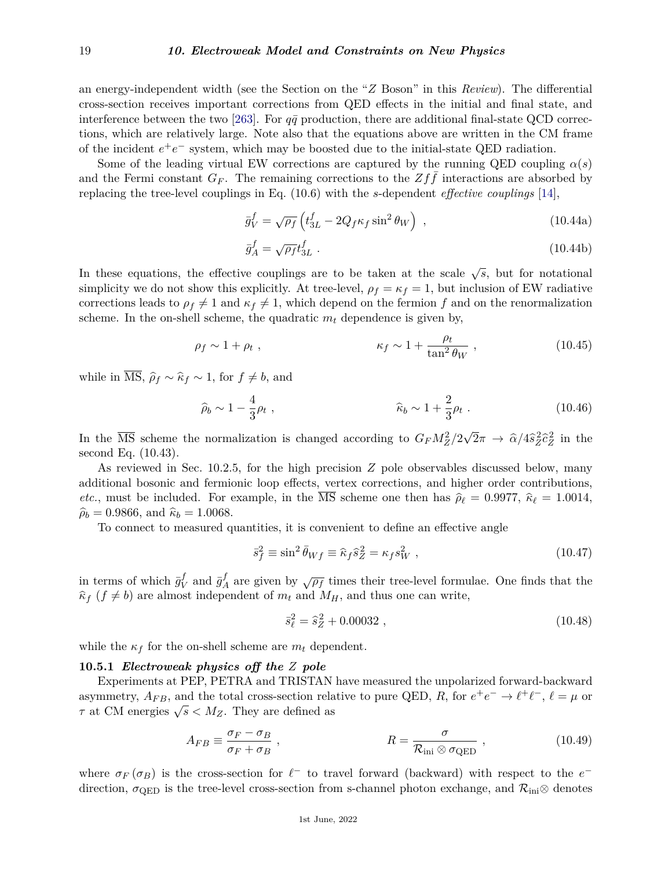an energy-independent width (see the Section on the "*Z* Boson" in this *Review*). The differential cross-section receives important corrections from QED effects in the initial and final state, and interference between the two [\[263\]](#page-43-22). For  $q\bar{q}$  production, there are additional final-state QCD corrections, which are relatively large. Note also that the equations above are written in the CM frame of the incident  $e^+e^-$  system, which may be boosted due to the initial-state QED radiation.

Some of the leading virtual EW corrections are captured by the running QED coupling  $\alpha(s)$ and the Fermi constant  $G_F$ . The remaining corrections to the  $Zff$  interactions are absorbed by replacing the tree-level couplings in Eq. (10.6) with the *s*-dependent *effective couplings* [\[14\]](#page-36-11),

$$
\bar{g}_V^f = \sqrt{\rho_f} \left( t_{3L}^f - 2Q_f \kappa_f \sin^2 \theta_W \right) , \qquad (10.44a)
$$

$$
\bar{g}_A^f = \sqrt{\rho_f} t_{3L}^f \tag{10.44b}
$$

In these equations, the effective couplings are to be taken at the scale  $\sqrt{s}$ , but for notational simplicity we do not show this explicitly. At tree-level,  $\rho_f = \kappa_f = 1$ , but inclusion of EW radiative corrections leads to  $\rho_f \neq 1$  and  $\kappa_f \neq 1$ , which depend on the fermion f and on the renormalization scheme. In the on-shell scheme, the quadratic  $m_t$  dependence is given by,

$$
\rho_f \sim 1 + \rho_t , \qquad \qquad \kappa_f \sim 1 + \frac{\rho_t}{\tan^2 \theta_W} , \qquad (10.45)
$$

while in  $\overline{\text{MS}}, \hat{\rho}_f \sim \hat{\kappa}_f \sim 1$ , for  $f \neq b$ , and

$$
\hat{\rho}_b \sim 1 - \frac{4}{3} \rho_t
$$
, \n $\hat{\kappa}_b \sim 1 + \frac{2}{3} \rho_t$ . (10.46)

In the  $\overline{\text{MS}}$  scheme the normalization is changed according to  $G_F M_Z^2/2$ √  $\overline{2}\pi \rightarrow \hat{\alpha}/4\hat{s}_Z^2 \hat{c}_Z^2$  in the second Eq. (10.43).

As reviewed in Sec. 10.2.5, for the high precision *Z* pole observables discussed below, many additional bosonic and fermionic loop effects, vertex corrections, and higher order contributions, *etc.*, must be included. For example, in the  $\overline{\text{MS}}$  scheme one then has  $\hat{\rho}_{\ell} = 0.9977$ ,  $\hat{\kappa}_{\ell} = 1.0014$ ,  $\hat{\rho}_b = 0.9866$ , and  $\hat{\kappa}_b = 1.0068$ .

To connect to measured quantities, it is convenient to define an effective angle

$$
\bar{s}_f^2 \equiv \sin^2 \bar{\theta}_{Wf} \equiv \hat{\kappa}_f \hat{s}_Z^2 = \kappa_f s_W^2 \,, \tag{10.47}
$$

in terms of which  $\bar{g}^f_{V}$  $\bar{g}^f$  and  $\bar{g}^f$  $A \atop A$  are given by  $\sqrt{\rho_f}$  times their tree-level formulae. One finds that the  $\hat{\kappa}_f$  ( $f \neq b$ ) are almost independent of  $m_t$  and  $M_H$ , and thus one can write,

$$
\bar{s}_{\ell}^2 = \hat{s}_Z^2 + 0.00032 , \qquad (10.48)
$$

while the  $\kappa_f$  for the on-shell scheme are  $m_t$  dependent.

## <span id="page-18-0"></span>**10.5.1** *Electroweak physics off the Z pole*

Experiments at PEP, PETRA and TRISTAN have measured the unpolarized forward-backward asymmetry,  $A_{FB}$ , and the total cross-section relative to pure QED, R, for  $e^+e^- \to \ell^+\ell^-$ ,  $\ell = \mu$  or  $\tau$  at CM energies  $\sqrt{s} < M_Z$ . They are defined as

$$
A_{FB} \equiv \frac{\sigma_F - \sigma_B}{\sigma_F + \sigma_B} \,, \qquad R = \frac{\sigma}{\mathcal{R}_{\text{ini}} \otimes \sigma_{\text{QED}}} \,, \tag{10.49}
$$

where  $\sigma_F(\sigma_B)$  is the cross-section for  $\ell^-$  to travel forward (backward) with respect to the  $e^$ direction,  $\sigma_{\text{QED}}$  is the tree-level cross-section from s-channel photon exchange, and  $\mathcal{R}_{\text{ini}}\otimes$  denotes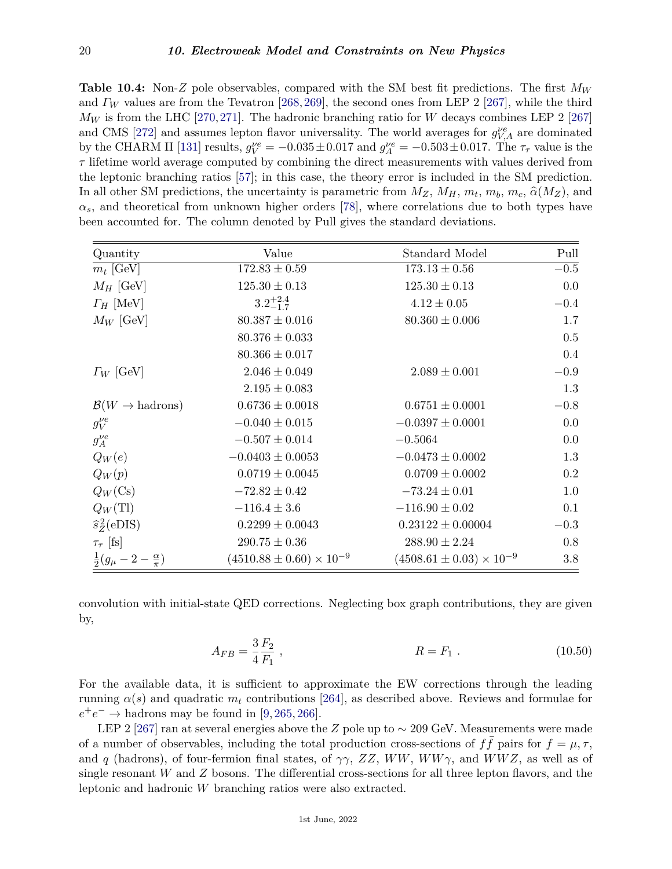**Table 10.4:** Non-*Z* pole observables, compared with the SM best fit predictions. The first *M<sup>W</sup>* and *Γ<sup>W</sup>* values are from the Tevatron [\[268,](#page-44-0)[269\]](#page-44-1), the second ones from LEP 2 [\[267\]](#page-43-23), while the third  $M_W$  is from the LHC [\[270,](#page-44-2)[271\]](#page-44-3). The hadronic branching ratio for *W* decays combines LEP 2 [\[267\]](#page-43-23) and CMS [\[272\]](#page-44-4) and assumes lepton flavor universality. The world averages for  $g_{V,A}^{\nu e}$  are dominated by the CHARM II [\[131\]](#page-40-1) results,  $g_V^{\nu e} = -0.035 \pm 0.017$  and  $g_A^{\nu e} = -0.503 \pm 0.017$ . The  $\tau_{\tau}$  value is the *τ* lifetime world average computed by combining the direct measurements with values derived from the leptonic branching ratios [\[57\]](#page-37-32); in this case, the theory error is included in the SM prediction. In all other SM predictions, the uncertainty is parametric from  $M_Z$ ,  $M_H$ ,  $m_t$ ,  $m_b$ ,  $m_c$ ,  $\hat{\alpha}(M_Z)$ , and  $\alpha_s$ , and theoretical from unknown higher orders [\[78\]](#page-38-17), where correlations due to both types have been accounted for. The column denoted by Pull gives the standard deviations.

| Quantity                                  | Value                               | Standard Model                      | Pull   |
|-------------------------------------------|-------------------------------------|-------------------------------------|--------|
| $m_t$ [GeV]                               | $172.83 \pm 0.59$                   | $173.13 \pm 0.56$                   | $-0.5$ |
| $M_H$ [GeV]                               | $125.30 \pm 0.13$                   | $125.30 \pm 0.13$                   | 0.0    |
| $\Gamma_H$ [MeV]                          | $3.2^{+2.4}_{-1.7}$                 | $4.12 \pm 0.05$                     | $-0.4$ |
| $M_W$ [GeV]                               | $80.387 \pm 0.016$                  | $80.360 \pm 0.006$                  | 1.7    |
|                                           | $80.376 \pm 0.033$                  |                                     | 0.5    |
|                                           | $80.366 \pm 0.017$                  |                                     | 0.4    |
| $\Gamma_W$ [GeV]                          | $2.046 \pm 0.049$                   | $2.089 \pm 0.001$                   | $-0.9$ |
|                                           | $2.195 \pm 0.083$                   |                                     | 1.3    |
| $\mathcal{B}(W \to \text{hadrons})$       | $0.6736 \pm 0.0018$                 | $0.6751 \pm 0.0001$                 | $-0.8$ |
| $g_V^{\nu e}$                             | $-0.040 \pm 0.015$                  | $-0.0397 \pm 0.0001$                | 0.0    |
| $g_A^{\nu e}$                             | $-0.507 \pm 0.014$                  | $-0.5064$                           | 0.0    |
| $Q_W(e)$                                  | $-0.0403 \pm 0.0053$                | $-0.0473 \pm 0.0002$                | 1.3    |
| $Q_W(p)$                                  | $0.0719 \pm 0.0045$                 | $0.0709 \pm 0.0002$                 | 0.2    |
| $Q_W(\text{Cs})$                          | $-72.82 \pm 0.42$                   | $-73.24 \pm 0.01$                   | 1.0    |
| $Q_W(T)$                                  | $-116.4 \pm 3.6$                    | $-116.90 \pm 0.02$                  | 0.1    |
| $\hat{s}_z^2(\text{eDIS})$                | $0.2299 \pm 0.0043$                 | $0.23122 \pm 0.00004$               | $-0.3$ |
| $\tau_{\tau}$ [fs]                        | $290.75 \pm 0.36$                   | $288.90 \pm 2.24$                   | 0.8    |
| $rac{1}{2}(g_{\mu}-2-\frac{\alpha}{\pi})$ | $(4510.88 \pm 0.60) \times 10^{-9}$ | $(4508.61 \pm 0.03) \times 10^{-9}$ | 3.8    |

convolution with initial-state QED corrections. Neglecting box graph contributions, they are given by,

$$
A_{FB} = \frac{3}{4} \frac{F_2}{F_1} , \qquad R = F_1 . \qquad (10.50)
$$

For the available data, it is sufficient to approximate the EW corrections through the leading running  $\alpha(s)$  and quadratic  $m_t$  contributions [\[264\]](#page-43-24), as described above. Reviews and formulae for  $e^+e^- \rightarrow$  hadrons may be found in [\[9,](#page-36-9) [265,](#page-43-25) [266\]](#page-43-26).

LEP 2 [\[267\]](#page-43-23) ran at several energies above the *Z* pole up to ∼ 209 GeV. Measurements were made of a number of observables, including the total production cross-sections of  $f\bar{f}$  pairs for  $f = \mu, \tau$ , and *q* (hadrons), of four-fermion final states, of  $\gamma\gamma$ , ZZ, WW, WW $\gamma$ , and WWZ, as well as of single resonant *W* and *Z* bosons. The differential cross-sections for all three lepton flavors, and the leptonic and hadronic *W* branching ratios were also extracted.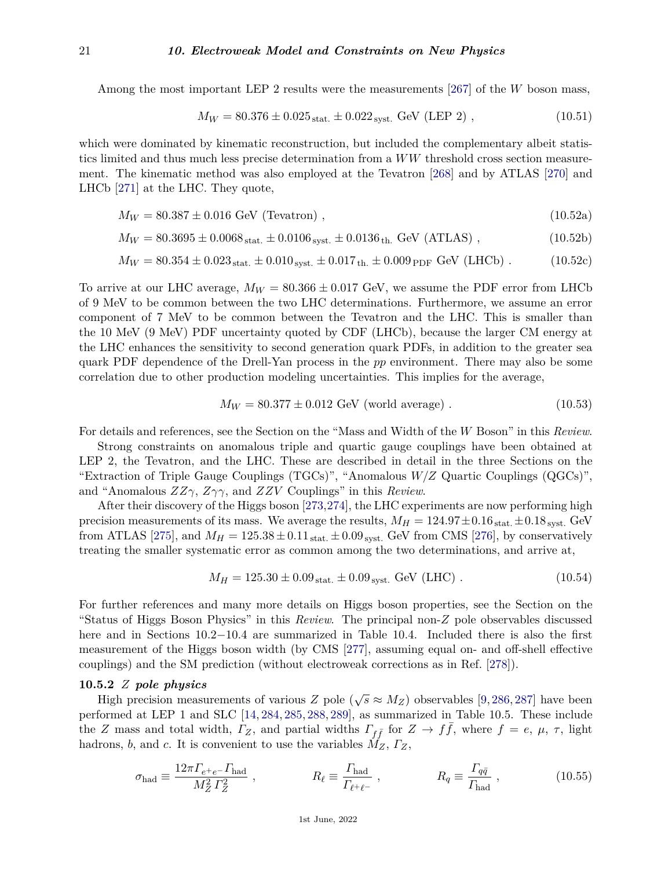Among the most important LEP 2 results were the measurements [\[267\]](#page-43-23) of the *W* boson mass,

$$
M_W = 80.376 \pm 0.025_{\text{stat.}} \pm 0.022_{\text{syst.}} \text{ GeV (LEP 2)}, \qquad (10.51)
$$

which were dominated by kinematic reconstruction, but included the complementary albeit statistics limited and thus much less precise determination from a *WW* threshold cross section measurement. The kinematic method was also employed at the Tevatron [\[268\]](#page-44-0) and by ATLAS [\[270\]](#page-44-2) and LHCb [\[271\]](#page-44-3) at the LHC. They quote,

$$
M_W = 80.387 \pm 0.016 \text{ GeV (Tevatron)}, \qquad (10.52a)
$$

$$
M_W = 80.3695 \pm 0.0068_{\text{stat.}} \pm 0.0106_{\text{syst.}} \pm 0.0136_{\text{th.}} \text{ GeV (ATLAS)}, \qquad (10.52b)
$$

$$
M_W = 80.354 \pm 0.023_{\text{stat.}} \pm 0.010_{\text{syst.}} \pm 0.017_{\text{th.}} \pm 0.009_{\text{PDF}} \text{ GeV (LHCb)}.
$$
 (10.52c)

To arrive at our LHC average,  $M_W = 80.366 \pm 0.017$  GeV, we assume the PDF error from LHCb of 9 MeV to be common between the two LHC determinations. Furthermore, we assume an error component of 7 MeV to be common between the Tevatron and the LHC. This is smaller than the 10 MeV (9 MeV) PDF uncertainty quoted by CDF (LHCb), because the larger CM energy at the LHC enhances the sensitivity to second generation quark PDFs, in addition to the greater sea quark PDF dependence of the Drell-Yan process in the *pp* environment. There may also be some correlation due to other production modeling uncertainties. This implies for the average,

$$
M_W = 80.377 \pm 0.012 \text{ GeV (world average)}.
$$
 (10.53)

For details and references, see the Section on the "Mass and Width of the *W* Boson" in this *Review*.

Strong constraints on anomalous triple and quartic gauge couplings have been obtained at LEP 2, the Tevatron, and the LHC. These are described in detail in the three Sections on the "Extraction of Triple Gauge Couplings (TGCs)", "Anomalous *W/Z* Quartic Couplings (QGCs)", and "Anomalous *ZZγ*, *Zγγ*, and *ZZV* Couplings" in this *Review*.

After their discovery of the Higgs boson [\[273,](#page-44-5)[274\]](#page-44-6), the LHC experiments are now performing high precision measurements of its mass. We average the results,  $M_H = 124.97 \pm 0.16$  stat.  $\pm 0.18$  syst. GeV from ATLAS [\[275\]](#page-44-7), and  $M_H = 125.38 \pm 0.11_{\text{stat.}} \pm 0.09_{\text{syst.}}$  GeV from CMS [\[276\]](#page-44-8), by conservatively treating the smaller systematic error as common among the two determinations, and arrive at,

$$
M_H = 125.30 \pm 0.09_{\text{stat.}} \pm 0.09_{\text{syst.}} \text{GeV (LHC)} \,. \tag{10.54}
$$

For further references and many more details on Higgs boson properties, see the Section on the "Status of Higgs Boson Physics" in this *Review*. The principal non-*Z* pole observables discussed here and in Sections 10.2−10.4 are summarized in Table 10.4. Included there is also the first measurement of the Higgs boson width (by CMS [\[277\]](#page-44-9), assuming equal on- and off-shell effective couplings) and the SM prediction (without electroweak corrections as in Ref. [\[278\]](#page-44-10)).

#### <span id="page-20-0"></span>**10.5.2** *Z pole physics*

High precision measurements of various  $Z$  pole ( $\sqrt{s} \approx M_Z$ ) observables [\[9,](#page-36-9) [286,](#page-44-11) [287\]](#page-44-12) have been performed at LEP 1 and SLC [\[14,](#page-36-11) [284,](#page-44-13) [285,](#page-44-14) [288,](#page-44-15) [289\]](#page-44-16), as summarized in Table 10.5. These include the *Z* mass and total width,  $\Gamma_Z$ , and partial widths  $\Gamma_{f\bar{f}}$  for  $Z \to f\bar{f}$ , where  $f = e, \mu, \tau$ , light hadrons, *b*, and *c*. It is convenient to use the variables *MZ*, *ΓZ*,

$$
\sigma_{\text{had}} \equiv \frac{12\pi \Gamma_{e^+e^-} \Gamma_{\text{had}}}{M_Z^2 \Gamma_Z^2} \,, \qquad R_\ell \equiv \frac{\Gamma_{\text{had}}}{\Gamma_{e^+e^-}} \,, \qquad R_q \equiv \frac{\Gamma_{q\bar{q}}}{\Gamma_{\text{had}}} \,, \tag{10.55}
$$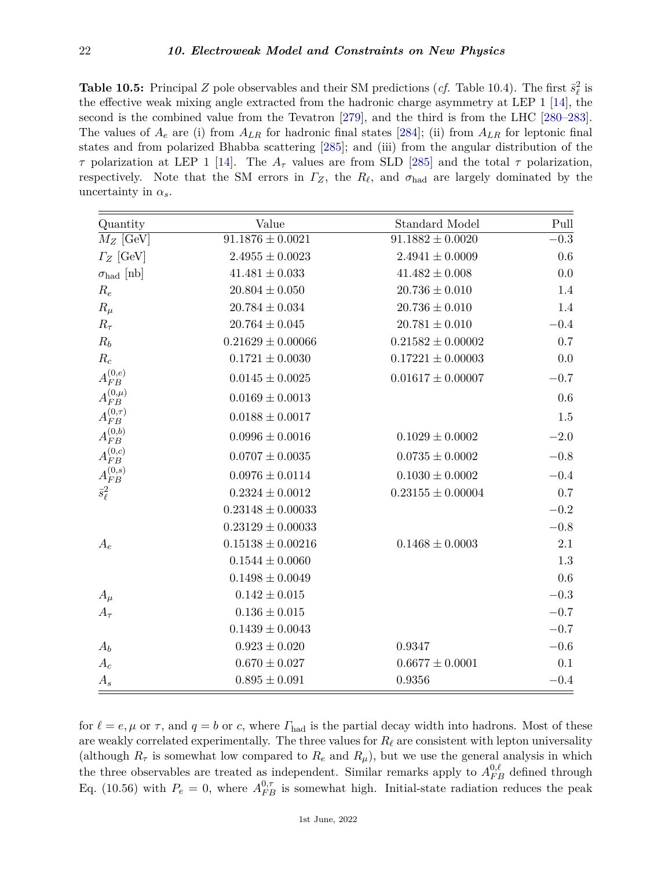**Table 10.5:** Principal *Z* pole observables and their SM predictions (*cf.* Table 10.4). The first  $\bar{s}_{\ell}^2$  is the effective weak mixing angle extracted from the hadronic charge asymmetry at LEP 1 [\[14\]](#page-36-11), the second is the combined value from the Tevatron [\[279\]](#page-44-17), and the third is from the LHC [\[280–](#page-44-18)[283\]](#page-44-19). The values of  $A_e$  are (i) from  $A_{LR}$  for hadronic final states [\[284\]](#page-44-13); (ii) from  $A_{LR}$  for leptonic final states and from polarized Bhabba scattering [\[285\]](#page-44-14); and (iii) from the angular distribution of the *τ* polarization at LEP 1 [\[14\]](#page-36-11). The *A<sup>τ</sup>* values are from SLD [\[285\]](#page-44-14) and the total *τ* polarization, respectively. Note that the SM errors in  $\Gamma_Z$ , the  $R_\ell$ , and  $\sigma_{\text{had}}$  are largely dominated by the uncertainty in  $\alpha_s$ .

| Quantity                   | Value                 | <b>Standard Model</b> | Pull     |
|----------------------------|-----------------------|-----------------------|----------|
| $M_Z$ [GeV]                | $91.1876 \pm 0.0021$  | $91.1882 \pm 0.0020$  | $-0.3$   |
| $\Gamma_Z$ [GeV]           | $2.4955 \pm 0.0023$   | $2.4941 \pm 0.0009$   | $0.6\,$  |
| $\sigma_{\text{had}}$ [nb] | $41.481 \pm 0.033$    | $41.482 \pm 0.008$    | 0.0      |
| $R_e$                      | $20.804 \pm 0.050$    | $20.736 \pm 0.010$    | 1.4      |
| $R_\mu$                    | $20.784 \pm 0.034$    | $20.736 \pm 0.010$    | 1.4      |
| $R_{\tau}$                 | $20.764 \pm 0.045$    | $20.781 \pm 0.010$    | $-0.4$   |
| $R_b$                      | $0.21629 \pm 0.00066$ | $0.21582 \pm 0.00002$ | 0.7      |
| $R_c$                      | $0.1721 \pm 0.0030$   | $0.17221 \pm 0.00003$ | 0.0      |
| ${\cal A}_{FB}^{(0,e)}$    | $0.0145 \pm 0.0025$   | $0.01617 \pm 0.00007$ | $-0.7$   |
| $A_{FB}^{(0,\mu)}$         | $0.0169 \pm 0.0013$   |                       | 0.6      |
| $A_{FB}^{(0,\tau)}$        | $0.0188 \pm 0.0017$   |                       | 1.5      |
| $A_{FB}^{(0,b)}$           | $0.0996 \pm 0.0016$   | $0.1029 \pm 0.0002$   | $-2.0$   |
| ${\cal A}_{FB}^{(0,c)}$    | $0.0707 \pm 0.0035$   | $0.0735 \pm 0.0002$   | $-0.8$   |
| ${\cal A}_{FB}^{(0,s)}$    | $0.0976 \pm 0.0114$   | $0.1030 \pm 0.0002$   | $-0.4$   |
| $\bar{s}^2_\ell$           | $0.2324 \pm 0.0012$   | $0.23155 \pm 0.00004$ | 0.7      |
|                            | $0.23148 \pm 0.00033$ |                       | $-0.2$   |
|                            | $0.23129 \pm 0.00033$ |                       | $-0.8$   |
| $A_e$                      | $0.15138 \pm 0.00216$ | $0.1468 \pm 0.0003$   | 2.1      |
|                            | $0.1544 \pm 0.0060$   |                       | 1.3      |
|                            | $0.1498 \pm 0.0049$   |                       | 0.6      |
| $A_\mu$                    | $0.142 \pm 0.015$     |                       | $\!-0.3$ |
| $A_\tau$                   | $0.136 \pm 0.015$     |                       | $-0.7$   |
|                            | $0.1439 \pm 0.0043$   |                       | $-0.7$   |
| $A_b$                      | $0.923 \pm 0.020$     | 0.9347                | $\!-0.6$ |
| $A_c$                      | $0.670 \pm 0.027$     | $0.6677 \pm 0.0001$   | 0.1      |
| $A_s$                      | $0.895 \pm 0.091$     | 0.9356                | $-0.4$   |

for  $\ell = e, \mu$  or  $\tau$ , and  $q = b$  or *c*, where  $\Gamma_{\text{had}}$  is the partial decay width into hadrons. Most of these are weakly correlated experimentally. The three values for  $R_\ell$  are consistent with lepton universality (although  $R_{\tau}$  is somewhat low compared to  $R_e$  and  $R_{\mu}$ ), but we use the general analysis in which the three observables are treated as independent. Similar remarks apply to  $A_{FB}^{0,\ell}$  defined through Eq. (10.56) with  $P_e = 0$ , where  $A_{FB}^{0,\tau}$  is somewhat high. Initial-state radiation reduces the peak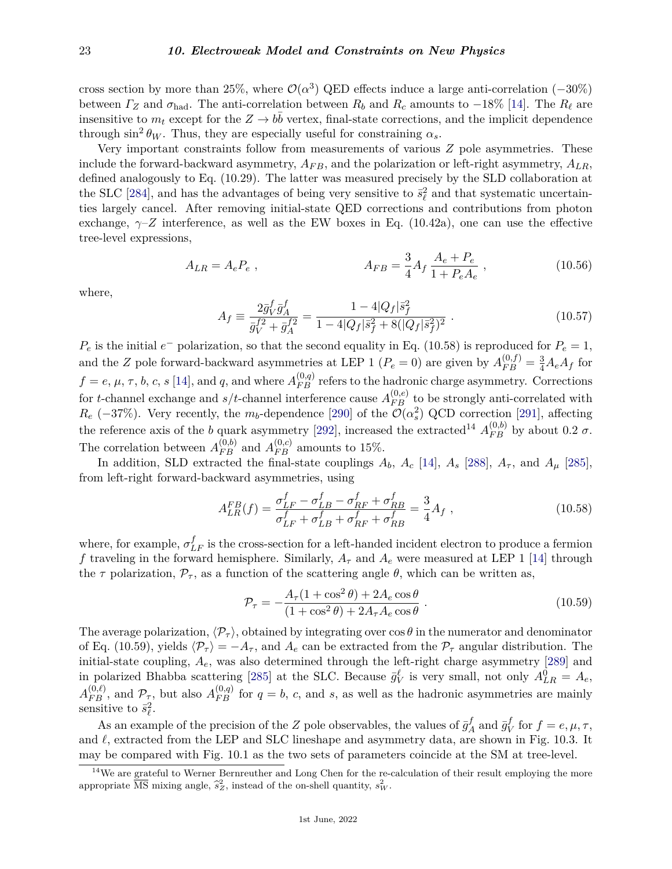cross section by more than 25%, where  $\mathcal{O}(\alpha^3)$  QED effects induce a large anti-correlation (-30%) between  $\Gamma_Z$  and  $\sigma_{\text{had}}$ . The anti-correlation between  $R_b$  and  $R_c$  amounts to  $-18\%$  [\[14\]](#page-36-11). The  $R_\ell$  are insensitive to  $m_t$  except for the  $Z \to b\bar{b}$  vertex, final-state corrections, and the implicit dependence through  $\sin^2 \theta_W$ . Thus, they are especially useful for constraining  $\alpha_s$ .

Very important constraints follow from measurements of various *Z* pole asymmetries. These include the forward-backward asymmetry,  $A_{FB}$ , and the polarization or left-right asymmetry,  $A_{LR}$ , defined analogously to Eq. (10.29). The latter was measured precisely by the SLD collaboration at the SLC [\[284\]](#page-44-13), and has the advantages of being very sensitive to  $\bar{s}^2_\ell$  and that systematic uncertainties largely cancel. After removing initial-state QED corrections and contributions from photon exchange,  $\gamma$ –*Z* interference, as well as the EW boxes in Eq. (10.42a), one can use the effective tree-level expressions,

$$
A_{LR} = A_e P_e , \qquad A_{FB} = \frac{3}{4} A_f \frac{A_e + P_e}{1 + P_e A_e} , \qquad (10.56)
$$

where,

$$
A_f \equiv \frac{2\bar{g}_V^f \bar{g}_A^f}{\bar{g}_V^{f2} + \bar{g}_A^{f2}} = \frac{1 - 4|Q_f|\bar{s}_f^2}{1 - 4|Q_f|\bar{s}_f^2 + 8(|Q_f|\bar{s}_f^2)^2} \tag{10.57}
$$

 $P_e$  is the initial  $e^-$  polarization, so that the second equality in Eq. (10.58) is reproduced for  $P_e = 1$ , and the *Z* pole forward-backward asymmetries at LEP 1 ( $P_e = 0$ ) are given by  $A_{FB}^{(0,f)} = \frac{3}{4}A_eA_f$  for  $f = e, \mu, \tau, b, c, s$  [\[14\]](#page-36-11), and *q*, and where  $A_{FB}^{(0,q)}$  refers to the hadronic charge asymmetry. Corrections for *t*-channel exchange and  $s/t$ -channel interference cause  $A_{FB}^{(0,e)}$  to be strongly anti-correlated with  $R_e$  (−37%). Very recently, the  $m_b$ -dependence [\[290\]](#page-44-20) of the  $\overline{\mathcal{O}}(\alpha_s^2)$  QCD correction [\[291\]](#page-44-21), affecting the reference axis of the *b* quark asymmetry [\[292\]](#page-44-22), increased the extracted<sup>[14](#page-22-0)</sup>  $A_{FB}^{(0,b)}$  by about 0.2  $\sigma$ . The correlation between  $A_{FB}^{(0,b)}$  and  $A_{FB}^{(0,c)}$  amounts to 15%.

In addition, SLD extracted the final-state couplings  $A_b$ ,  $A_c$  [\[14\]](#page-36-11),  $A_s$  [\[288\]](#page-44-15),  $A_{\tau}$ , and  $A_{\mu}$  [\[285\]](#page-44-14), from left-right forward-backward asymmetries, using

$$
A_{LR}^{FB}(f) = \frac{\sigma_{LF}^f - \sigma_{LB}^f - \sigma_{RF}^f + \sigma_{RB}^f}{\sigma_{LF}^f + \sigma_{LB}^f + \sigma_{RF}^f + \sigma_{RB}^f} = \frac{3}{4} A_f ,
$$
\n(10.58)

where, for example,  $\sigma_{LF}^{f}$  is the cross-section for a left-handed incident electron to produce a fermion *f* traveling in the forward hemisphere. Similarly,  $A_{\tau}$  and  $A_{e}$  were measured at LEP 1 [\[14\]](#page-36-11) through the  $\tau$  polarization,  $\mathcal{P}_{\tau}$ , as a function of the scattering angle  $\theta$ , which can be written as,

$$
\mathcal{P}_{\tau} = -\frac{A_{\tau}(1+\cos^2\theta) + 2A_e\cos\theta}{(1+\cos^2\theta) + 2A_{\tau}A_e\cos\theta}.
$$
\n(10.59)

The average polarization,  $\langle \mathcal{P}_\tau \rangle$ , obtained by integrating over  $\cos \theta$  in the numerator and denominator of Eq. (10.59), yields  $\langle \mathcal{P}_{\tau} \rangle = -A_{\tau}$ , and  $A_e$  can be extracted from the  $\mathcal{P}_{\tau}$  angular distribution. The initial-state coupling, *Ae*, was also determined through the left-right charge asymmetry [\[289\]](#page-44-16) and in polarized Bhabba scattering [\[285\]](#page-44-14) at the SLC. Because  $\bar{g}_V^{\ell}$  is very small, not only  $A_{LR}^0 = A_e$ ,  $A_{FB}^{(0,\ell)}$ , and  $\mathcal{P}_{\tau}$ , but also  $A_{FB}^{(0,q)}$  for  $q = b$ , *c*, and *s*, as well as the hadronic asymmetries are mainly sensitive to  $\bar{s}_{\ell}^2$ .

As an example of the precision of the *Z* pole observables, the values of  $\bar{g}^f$  $\frac{f}{A}$  and  $\bar{g}^f_V$  $V$  for  $f = e, \mu, \tau$ , and  $\ell$ , extracted from the LEP and SLC lineshape and asymmetry data, are shown in Fig. 10.3. It may be compared with Fig. 10.1 as the two sets of parameters coincide at the SM at tree-level.

<span id="page-22-0"></span><sup>&</sup>lt;sup>14</sup>We are grateful to Werner Bernreuther and Long Chen for the re-calculation of their result employing the more appropriate  $\overline{\text{MS}}$  mixing angle,  $\hat{s}_Z^2$ , instead of the on-shell quantity,  $s_W^2$ .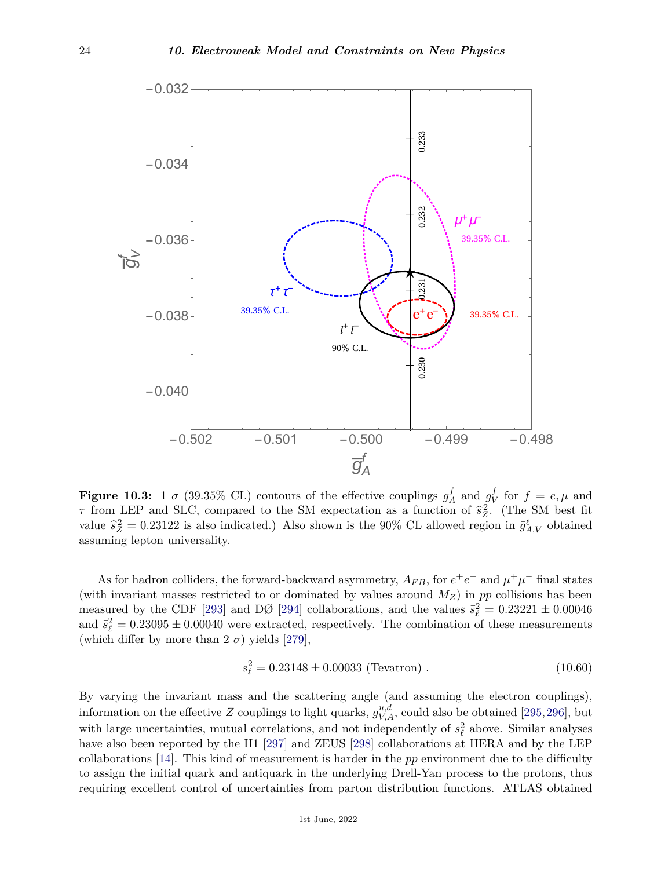

**Figure 10.3:** 1  $\sigma$  (39.35% CL) contours of the effective couplings  $\bar{g}^f$  $\bar{g}^f$ <sub>*A*</sub> and  $\bar{g}^f$ <sub>*V*</sub>  $V$  for  $f = e, \mu$  and *τ* from LEP and SLC, compared to the SM expectation as a function of  $\hat{s}_{Z}^{2}$ . (The SM best fit value  $\hat{s}_Z^2 = 0.23122$  is also indicated.) Also shown is the 90% CL allowed region in  $\bar{g}_{A,V}^{\ell}$  obtained assuming lepton universality.

As for hadron colliders, the forward-backward asymmetry,  $A_{FB}$ , for  $e^+e^-$  and  $\mu^+\mu^-$  final states (with invariant masses restricted to or dominated by values around  $M_Z$ ) in  $p\bar{p}$  collisions has been measured by the CDF [\[293\]](#page-44-23) and DØ [\[294\]](#page-44-24) collaborations, and the values  $\bar{s}_{\ell}^2 = 0.23221 \pm 0.00046$ and  $\bar{s}_{\ell}^2 = 0.23095 \pm 0.00040$  were extracted, respectively. The combination of these measurements (which differ by more than  $2 \sigma$ ) yields [\[279\]](#page-44-17),

$$
\bar{s}_{\ell}^2 = 0.23148 \pm 0.00033 \text{ (Tevatron)}.
$$
\n(10.60)

By varying the invariant mass and the scattering angle (and assuming the electron couplings), information on the effective *Z* couplings to light quarks,  $\bar{g}_{V,A}^{u,d}$ , could also be obtained [\[295,](#page-44-25)[296\]](#page-44-26), but with large uncertainties, mutual correlations, and not independently of  $\bar{s}_{\ell}^2$  above. Similar analyses have also been reported by the H1 [\[297\]](#page-44-27) and ZEUS [\[298\]](#page-44-28) collaborations at HERA and by the LEP collaborations [\[14\]](#page-36-11). This kind of measurement is harder in the *pp* environment due to the difficulty to assign the initial quark and antiquark in the underlying Drell-Yan process to the protons, thus requiring excellent control of uncertainties from parton distribution functions. ATLAS obtained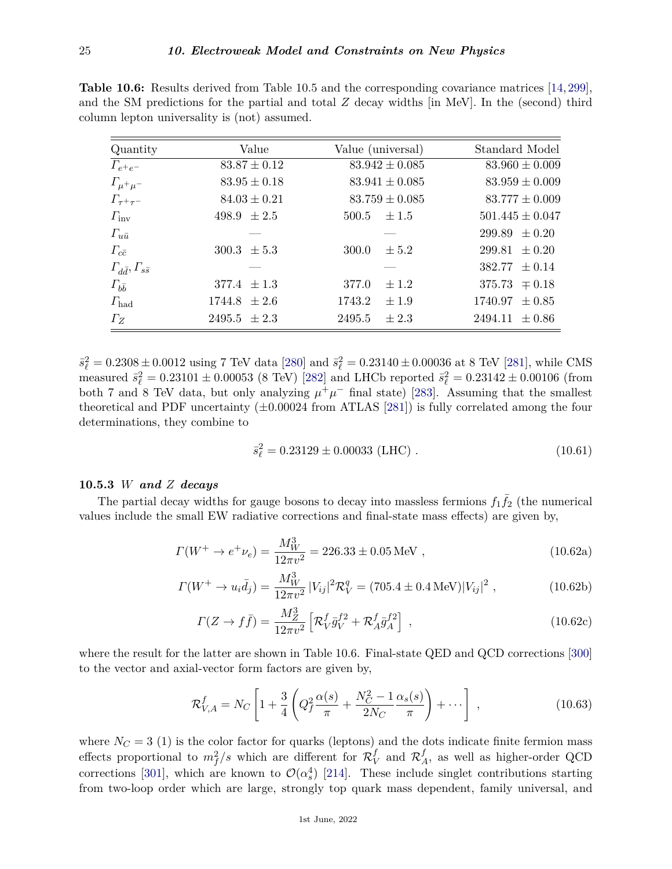| <b>Table 10.6:</b> Results derived from Table 10.5 and the corresponding covariance matrices [14, 299], |  |
|---------------------------------------------------------------------------------------------------------|--|
| and the SM predictions for the partial and total Z decay widths [in MeV]. In the (second) third         |  |
| column lepton universality is (not) assumed.                                                            |  |

| Quantity                               | Value            | Value (universal)   | Standard Model      |
|----------------------------------------|------------------|---------------------|---------------------|
| $\Gamma_{e^+e^-}$                      | $83.87 \pm 0.12$ | $83.942 \pm 0.085$  | $83.960 \pm 0.009$  |
| $\Gamma_{\mu^+\mu^-}$                  | $83.95 \pm 0.18$ | $83.941 \pm 0.085$  | $83.959 \pm 0.009$  |
| $\Gamma_{\tau^+\tau^-}$                | $84.03 \pm 0.21$ | $83.759 \pm 0.085$  | $83.777 \pm 0.009$  |
| $\Gamma_{\rm inv}$                     | 498.9 $\pm 2.5$  | $500.5 \pm 1.5$     | $501.445 \pm 0.047$ |
| $\varGamma_{u\bar{u}}$                 |                  |                     | $299.89 \pm 0.20$   |
| $\Gamma_{c\bar{c}}$                    | $300.3 \pm 5.3$  | $\pm 5.2$<br>300.0  | $299.81 \pm 0.20$   |
| $\Gamma_{d\bar{d}}, \Gamma_{s\bar{s}}$ |                  |                     | $382.77 \pm 0.14$   |
| $\varGamma_{b\bar{b}}$                 | 377.4 $\pm 1.3$  | 377.0<br>$\pm 1.2$  | $375.73 \pm 0.18$   |
| $\Gamma_{\rm had}$                     | $1744.8 \pm 2.6$ | 1743.2<br>$\pm 1.9$ | $1740.97 \pm 0.85$  |
| $\Gamma_Z$                             | $2495.5 \pm 2.3$ | 2495.5<br>$\pm 2.3$ | $2494.11 \pm 0.86$  |

 $\bar{s}_{\ell}^2 = 0.2308 \pm 0.0012$  using 7 TeV data [\[280\]](#page-44-18) and  $\bar{s}_{\ell}^2 = 0.23140 \pm 0.00036$  at 8 TeV [\[281\]](#page-44-30), while CMS measured  $\bar{s}^2_\ell = 0.23101 \pm 0.00053$  (8 TeV) [\[282\]](#page-44-31) and LHCb reported  $\bar{s}^2_\ell = 0.23142 \pm 0.00106$  (from both 7 and 8 TeV data, but only analyzing  $\mu^+\mu^-$  final state) [\[283\]](#page-44-19). Assuming that the smallest theoretical and PDF uncertainty  $(\pm 0.00024 \text{ from ATLAS} [281])$  $(\pm 0.00024 \text{ from ATLAS} [281])$  $(\pm 0.00024 \text{ from ATLAS} [281])$  is fully correlated among the four determinations, they combine to

$$
\bar{s}_{\ell}^2 = 0.23129 \pm 0.00033 \text{ (LHC)}.
$$
\n(10.61)

# <span id="page-24-0"></span>**10.5.3** *W and Z decays*

The partial decay widths for gauge bosons to decay into massless fermions  $f_1\bar{f}_2$  (the numerical values include the small EW radiative corrections and final-state mass effects) are given by,

$$
\Gamma(W^+ \to e^+ \nu_e) = \frac{M_W^3}{12\pi v^2} = 226.33 \pm 0.05 \,\text{MeV} \,, \tag{10.62a}
$$

$$
\Gamma(W^+ \to u_i \bar{d}_j) = \frac{M_W^3}{12\pi v^2} |V_{ij}|^2 \mathcal{R}_V^q = (705.4 \pm 0.4 \,\text{MeV}) |V_{ij}|^2 \,, \tag{10.62b}
$$

$$
\Gamma(Z \to f\bar{f}) = \frac{M_Z^3}{12\pi v^2} \left[ \mathcal{R}_V^f \bar{g}_V^{f2} + \mathcal{R}_A^f \bar{g}_A^{f2} \right] , \qquad (10.62c)
$$

where the result for the latter are shown in Table 10.6. Final-state QED and QCD corrections [\[300\]](#page-44-32) to the vector and axial-vector form factors are given by,

$$
\mathcal{R}_{V,A}^f = N_C \left[ 1 + \frac{3}{4} \left( Q_f^2 \frac{\alpha(s)}{\pi} + \frac{N_C^2 - 1}{2N_C} \frac{\alpha_s(s)}{\pi} \right) + \cdots \right] , \qquad (10.63)
$$

where  $N_C = 3$  (1) is the color factor for quarks (leptons) and the dots indicate finite fermion mass effects proportional to  $m_f^2/s$  which are different for  $\mathcal{R}_V^f$  $V$ <sub>*V*</sub> and  $\mathcal{R}_{A}^{f}$  $A^J$ , as well as higher-order QCD corrections [\[301\]](#page-44-33), which are known to  $\mathcal{O}(\alpha_s^4)$  [\[214\]](#page-42-14). These include singlet contributions starting from two-loop order which are large, strongly top quark mass dependent, family universal, and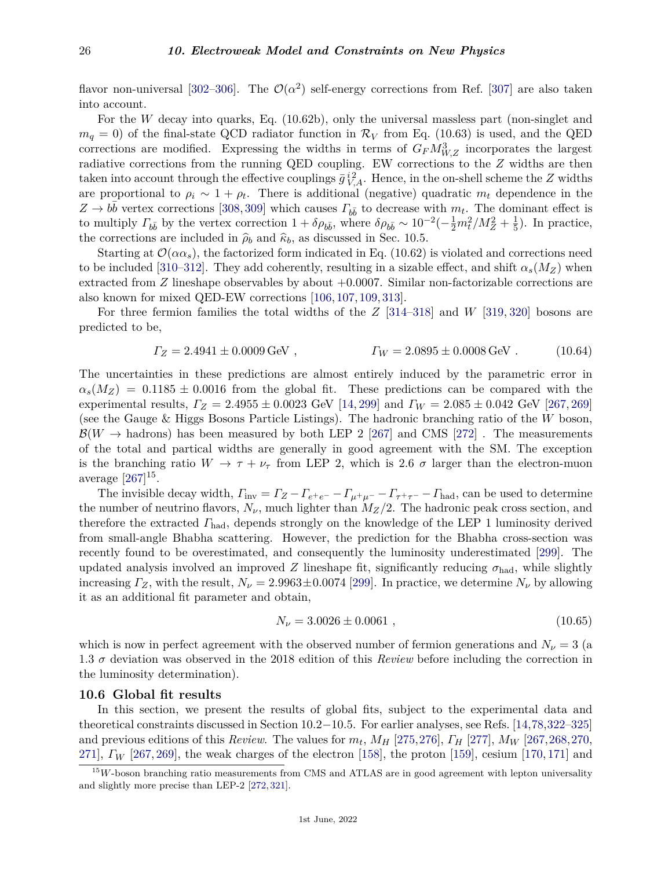flavor non-universal [\[302–](#page-44-34)[306\]](#page-45-0). The  $\mathcal{O}(\alpha^2)$  self-energy corrections from Ref. [\[307\]](#page-45-1) are also taken into account.

For the *W* decay into quarks, Eq. (10.62b), only the universal massless part (non-singlet and  $m_q = 0$ ) of the final-state QCD radiator function in  $\mathcal{R}_V$  from Eq. (10.63) is used, and the QED corrections are modified. Expressing the widths in terms of  $G_F M_{W,Z}^3$  incorporates the largest radiative corrections from the running QED coupling. EW corrections to the *Z* widths are then taken into account through the effective couplings  $\bar{g}^{i2}_{V,A}$ . Hence, in the on-shell scheme the *Z* widths are proportional to  $\rho_i \sim 1 + \rho_t$ . There is additional (negative) quadratic  $m_t$  dependence in the  $Z \rightarrow b\bar{b}$  vertex corrections [\[308,](#page-45-2) [309\]](#page-45-3) which causes  $\Gamma_{b\bar{b}}$  to decrease with  $m_t$ . The dominant effect is to multiply  $\Gamma_{b\bar{b}}$  by the vertex correction  $1 + \delta \rho_{b\bar{b}}$ , where  $\delta \rho_{b\bar{b}} \sim 10^{-2}(-\frac{1}{2}m_t^2/M_Z^2 + \frac{1}{5})$  $\frac{1}{5}$ ). In practice, the corrections are included in  $\hat{\rho}_b$  and  $\hat{\kappa}_b$ , as discussed in Sec. 10.5.

Starting at  $\mathcal{O}(\alpha \alpha_s)$ , the factorized form indicated in Eq. (10.62) is violated and corrections need to be included [\[310](#page-45-4)[–312\]](#page-45-5). They add coherently, resulting in a sizable effect, and shift  $\alpha_s(M_Z)$  when extracted from  $Z$  lineshape observables by about  $+0.0007$ . Similar non-factorizable corrections are also known for mixed QED-EW corrections [\[106,](#page-39-25) [107,](#page-39-26) [109,](#page-39-7) [313\]](#page-45-6).

For three fermion families the total widths of the *Z* [\[314](#page-45-7)[–318\]](#page-45-8) and *W* [\[319,](#page-45-9) [320\]](#page-45-10) bosons are predicted to be,

$$
\Gamma_Z = 2.4941 \pm 0.0009 \,\text{GeV} \,, \qquad \qquad \Gamma_W = 2.0895 \pm 0.0008 \,\text{GeV} \,. \tag{10.64}
$$

The uncertainties in these predictions are almost entirely induced by the parametric error in  $\alpha_s(M_Z) = 0.1185 \pm 0.0016$  from the global fit. These predictions can be compared with the experimental results, *Γ<sup>Z</sup>* = 2*.*4955 ± 0*.*0023 GeV [\[14,](#page-36-11) [299\]](#page-44-29) and *Γ<sup>W</sup>* = 2*.*085 ± 0*.*042 GeV [\[267,](#page-43-23) [269\]](#page-44-1) (see the Gauge & Higgs Bosons Particle Listings). The hadronic branching ratio of the *W* boson,  $\mathcal{B}(W \to \text{hadrons})$  has been measured by both LEP 2 [\[267\]](#page-43-23) and CMS [\[272\]](#page-44-4). The measurements of the total and partical widths are generally in good agreement with the SM. The exception is the branching ratio  $W \to \tau + \nu_{\tau}$  from LEP 2, which is 2.6  $\sigma$  larger than the electron-muon average  $[267]^{15}$  $[267]^{15}$  $[267]^{15}$  $[267]^{15}$ .

The invisible decay width,  $\Gamma_{\text{inv}} = \Gamma_Z - \Gamma_{e^+e^-} - \Gamma_{\mu^+\mu^-} - \Gamma_{\tau^+\tau^-} - \Gamma_{\text{had}}$ , can be used to determine the number of neutrino flavors,  $N_{\nu}$ , much lighter than  $M_Z/2$ . The hadronic peak cross section, and therefore the extracted *Γ*had, depends strongly on the knowledge of the LEP 1 luminosity derived from small-angle Bhabha scattering. However, the prediction for the Bhabha cross-section was recently found to be overestimated, and consequently the luminosity underestimated [\[299\]](#page-44-29). The updated analysis involved an improved *Z* lineshape fit, significantly reducing  $\sigma_{\text{had}}$ , while slightly increasing  $\Gamma_Z$ , with the result,  $N_\nu = 2.9963 \pm 0.0074$  [\[299\]](#page-44-29). In practice, we determine  $N_\nu$  by allowing it as an additional fit parameter and obtain,

$$
N_{\nu} = 3.0026 \pm 0.0061 , \qquad (10.65)
$$

which is now in perfect agreement with the observed number of fermion generations and  $N_{\nu} = 3$  (a 1.3 *σ* deviation was observed in the 2018 edition of this *Review* before including the correction in the luminosity determination).

#### <span id="page-25-0"></span>**10.6 Global fit results**

In this section, we present the results of global fits, subject to the experimental data and theoretical constraints discussed in Section 10.2−10.5. For earlier analyses, see Refs. [\[14,](#page-36-11)[78,](#page-38-17)[322–](#page-45-11)[325\]](#page-45-12) and previous editions of this *Review*. The values for  $m_t$ ,  $M_H$  [\[275,](#page-44-7)[276\]](#page-44-8),  $\Gamma_H$  [\[277\]](#page-44-9),  $M_W$  [\[267,](#page-43-23)[268,](#page-44-0)[270,](#page-44-2) [271\]](#page-44-3), *Γ<sub>W</sub>* [\[267,](#page-43-23) [269\]](#page-44-1), the weak charges of the electron [\[158\]](#page-40-28), the proton [\[159\]](#page-40-29), cesium [\[170,](#page-41-3) [171\]](#page-41-4) and

<span id="page-25-1"></span><sup>&</sup>lt;sup>15</sup>W-boson branching ratio measurements from CMS and ATLAS are in good agreement with lepton universality and slightly more precise than LEP-2 [\[272,](#page-44-4) [321\]](#page-45-13).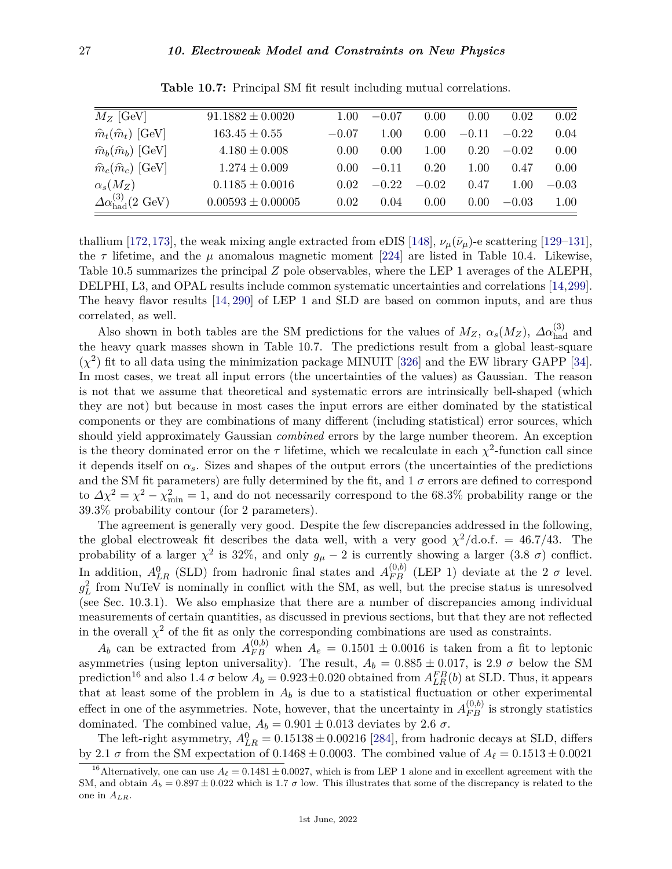| $M_Z$ [GeV]                                    | $91.1882 \pm 0.0020$  | 1.00              | $-0.07$ | 0.00    | 0.00           | 0.02    | 0.02    |
|------------------------------------------------|-----------------------|-------------------|---------|---------|----------------|---------|---------|
| $\hat{m}_t(\hat{m}_t)$ [GeV]                   | $163.45 \pm 0.55$     | $-0.07$           | 1.00    | 0.00    | $-0.11$        | $-0.22$ | 0.04    |
| $\hat{m}_b(\hat{m}_b)$ [GeV]                   | $4.180 \pm 0.008$     | 0.00              | 0.00    | 1.00    | 0.20           | $-0.02$ | 0.00    |
| $\hat{m}_c(\hat{m}_c)$ [GeV]                   | $1.274 \pm 0.009$     | 0.00 <sub>1</sub> | $-0.11$ | 0.20    | $1.00\,$       | 0.47    | 0.00    |
| $\alpha_s(M_Z)$                                | $0.1185 \pm 0.0016$   | 0.02              | $-0.22$ | $-0.02$ | 0.47           | 1.00    | $-0.03$ |
| $\Delta \alpha_{\rm had}^{(3)}(2 \text{ GeV})$ | $0.00593 \pm 0.00005$ | 0.02              | 0.04    | 0.00    | $0.00^{\circ}$ | $-0.03$ | 1.00    |

**Table 10.7:** Principal SM fit result including mutual correlations.

thallium [\[172,](#page-41-5)[173\]](#page-41-6), the weak mixing angle extracted from eDIS [\[148\]](#page-40-18),  $\nu_{\mu}(\bar{\nu}_{\mu})$ -e scattering [\[129–](#page-39-24)[131\]](#page-40-1), the  $\tau$  lifetime, and the  $\mu$  anomalous magnetic moment [\[224\]](#page-42-24) are listed in Table 10.4. Likewise, Table 10.5 summarizes the principal *Z* pole observables, where the LEP 1 averages of the ALEPH, DELPHI, L3, and OPAL results include common systematic uncertainties and correlations [\[14,](#page-36-11)[299\]](#page-44-29). The heavy flavor results [\[14,](#page-36-11) [290\]](#page-44-20) of LEP 1 and SLD are based on common inputs, and are thus correlated, as well.

Also shown in both tables are the SM predictions for the values of  $M_Z$ ,  $\alpha_s(M_Z)$ ,  $\Delta \alpha_{\text{had}}^{(3)}$  and the heavy quark masses shown in Table 10.7. The predictions result from a global least-square  $(\chi^2)$  fit to all data using the minimization package MINUIT [\[326\]](#page-45-14) and the EW library GAPP [\[34\]](#page-37-11). In most cases, we treat all input errors (the uncertainties of the values) as Gaussian. The reason is not that we assume that theoretical and systematic errors are intrinsically bell-shaped (which they are not) but because in most cases the input errors are either dominated by the statistical components or they are combinations of many different (including statistical) error sources, which should yield approximately Gaussian *combined* errors by the large number theorem. An exception is the theory dominated error on the  $\tau$  lifetime, which we recalculate in each  $\chi^2$ -function call since it depends itself on  $\alpha_s$ . Sizes and shapes of the output errors (the uncertainties of the predictions and the SM fit parameters) are fully determined by the fit, and  $1\ \sigma$  errors are defined to correspond to  $\Delta \chi^2 = \chi^2 - \chi^2_{\text{min}} = 1$ , and do not necessarily correspond to the 68.3% probability range or the 39.3% probability contour (for 2 parameters).

The agreement is generally very good. Despite the few discrepancies addressed in the following, the global electroweak fit describes the data well, with a very good  $\chi^2/\text{d.o.f.} = 46.7/43$ . The probability of a larger  $\chi^2$  is 32%, and only  $g_\mu - 2$  is currently showing a larger (3.8  $\sigma$ ) conflict. In addition,  $A_{LR}^0$  (SLD) from hadronic final states and  $A_{FB}^{(0,b)}$  (LEP 1) deviate at the 2  $\sigma$  level.  $g_L^2$  from NuTeV is nominally in conflict with the SM, as well, but the precise status is unresolved (see Sec. 10.3.1). We also emphasize that there are a number of discrepancies among individual measurements of certain quantities, as discussed in previous sections, but that they are not reflected in the overall  $\chi^2$  of the fit as only the corresponding combinations are used as constraints.

 $A_b$  can be extracted from  $A_{FB}^{(0,b)}$  when  $A_e = 0.1501 \pm 0.0016$  is taken from a fit to leptonic asymmetries (using lepton universality). The result,  $A_b = 0.885 \pm 0.017$ , is 2.9  $\sigma$  below the SM prediction<sup>[16](#page-26-0)</sup> and also 1.4  $\sigma$  below  $A_b = 0.923 \pm 0.020$  obtained from  $A_{LR}^{FB}(b)$  at SLD. Thus, it appears that at least some of the problem in  $A_b$  is due to a statistical fluctuation or other experimental effect in one of the asymmetries. Note, however, that the uncertainty in  $A_{FB}^{(0,b)}$  is strongly statistics dominated. The combined value,  $A_b = 0.901 \pm 0.013$  deviates by 2.6  $\sigma$ .

The left-right asymmetry,  $A_{LR}^0 = 0.15138 \pm 0.00216$  [\[284\]](#page-44-13), from hadronic decays at SLD, differs by 2.1  $\sigma$  from the SM expectation of 0.1468  $\pm$  0.0003. The combined value of  $A_\ell = 0.1513 \pm 0.0021$ 

<span id="page-26-0"></span><sup>&</sup>lt;sup>16</sup>Alternatively, one can use  $A_\ell = 0.1481 \pm 0.0027$ , which is from LEP 1 alone and in excellent agreement with the SM, and obtain  $A_b = 0.897 \pm 0.022$  which is 1.7  $\sigma$  low. This illustrates that some of the discrepancy is related to the one in *ALR*.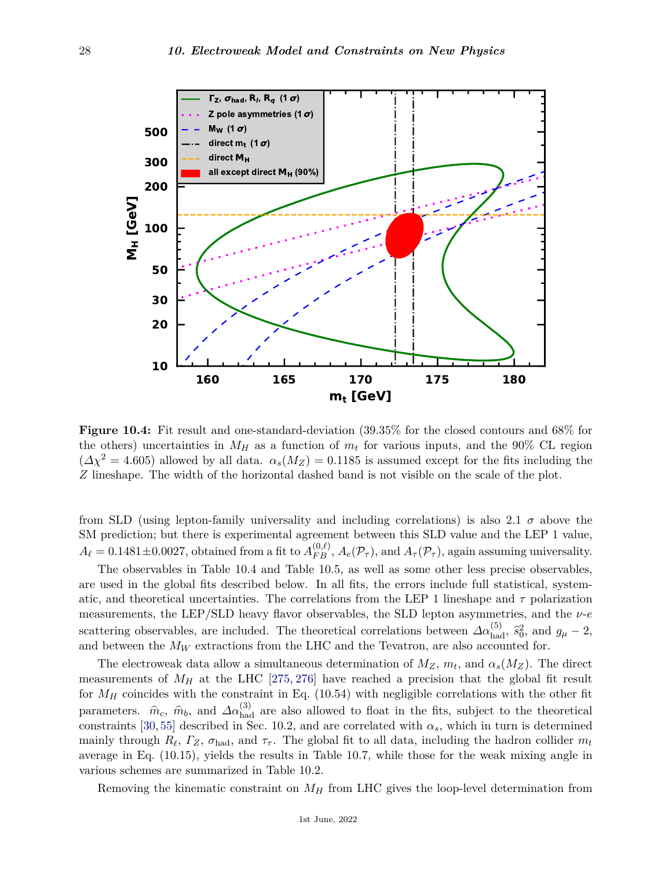

**Figure 10.4:** Fit result and one-standard-deviation (39.35% for the closed contours and 68% for the others) uncertainties in  $M_H$  as a function of  $m_t$  for various inputs, and the 90% CL region  $(\Delta \chi^2 = 4.605)$  allowed by all data.  $\alpha_s(M_Z) = 0.1185$  is assumed except for the fits including the *Z* lineshape. The width of the horizontal dashed band is not visible on the scale of the plot.

from SLD (using lepton-family universality and including correlations) is also 2.1  $\sigma$  above the SM prediction; but there is experimental agreement between this SLD value and the LEP 1 value,  $A_{\ell} = 0.1481 \pm 0.0027$ , obtained from a fit to  $A_{FB}^{(0,\ell)}$ ,  $A_{e}(\mathcal{P}_{\tau})$ , and  $A_{\tau}(\mathcal{P}_{\tau})$ , again assuming universality.

The observables in Table 10.4 and Table 10.5, as well as some other less precise observables, are used in the global fits described below. In all fits, the errors include full statistical, systematic, and theoretical uncertainties. The correlations from the LEP 1 lineshape and *τ* polarization measurements, the LEP/SLD heavy flavor observables, the SLD lepton asymmetries, and the *ν*-*e* scattering observables, are included. The theoretical correlations between  $\Delta \alpha_{\text{had}}^{(5)}$ ,  $\hat{s}_0^2$ , and  $g_\mu - 2$ , and between the  $M_W$  extractions from the LHC and the Tevatron, are also accounted for.

The electroweak data allow a simultaneous determination of  $M_Z$ ,  $m_t$ , and  $\alpha_s(M_Z)$ . The direct measurements of  $M_H$  at the LHC [\[275,](#page-44-7) [276\]](#page-44-8) have reached a precision that the global fit result for  $M_H$  coincides with the constraint in Eq. (10.54) with negligible correlations with the other fit parameters.  $\hat{m}_c$ ,  $\hat{m}_b$ , and  $\Delta \alpha_{\text{had}}^{(3)}$  are also allowed to float in the fits, subject to the theoretical constraints [\[30,](#page-37-5) [55\]](#page-37-30) described in Sec. 10.2, and are correlated with  $\alpha_s$ , which in turn is determined mainly through  $R_\ell$ ,  $\Gamma_Z$ ,  $\sigma_{\text{had}}$ , and  $\tau_{\tau}$ . The global fit to all data, including the hadron collider  $m_t$ average in Eq. (10.15), yields the results in Table 10.7, while those for the weak mixing angle in various schemes are summarized in Table 10.2.

Removing the kinematic constraint on *M<sup>H</sup>* from LHC gives the loop-level determination from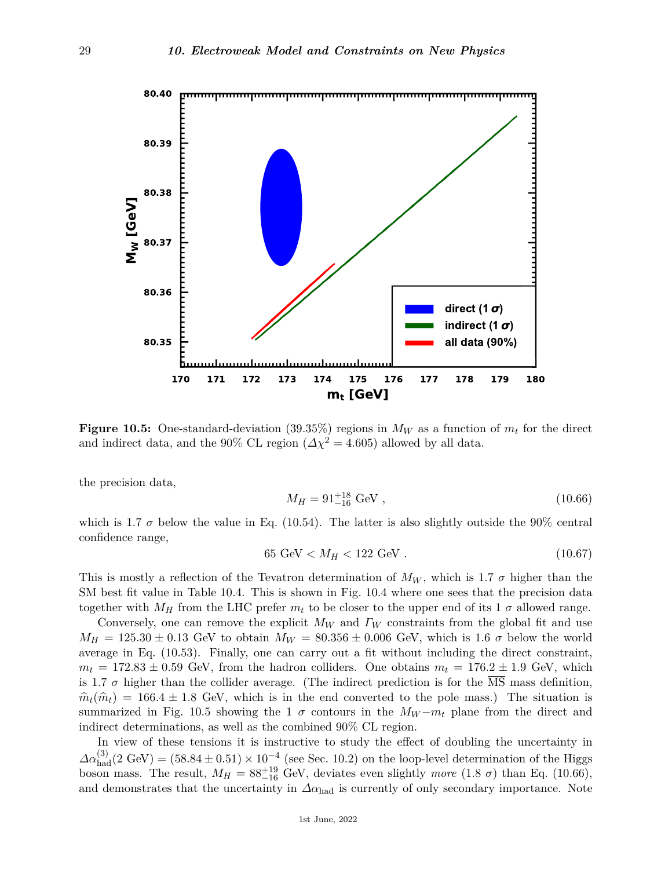

**Figure 10.5:** One-standard-deviation (39.35%) regions in  $M_W$  as a function of  $m_t$  for the direct and indirect data, and the 90% CL region ( $\Delta \chi^2 = 4.605$ ) allowed by all data.

the precision data,

$$
M_H = 91^{+18}_{-16} \text{ GeV} , \qquad (10.66)
$$

which is 1.7  $\sigma$  below the value in Eq. (10.54). The latter is also slightly outside the 90% central confidence range,

$$
65 \text{ GeV} < M_H < 122 \text{ GeV} \tag{10.67}
$$

This is mostly a reflection of the Tevatron determination of  $M_W$ , which is 1.7  $\sigma$  higher than the SM best fit value in Table 10.4. This is shown in Fig. 10.4 where one sees that the precision data together with  $M_H$  from the LHC prefer  $m_t$  to be closer to the upper end of its 1  $\sigma$  allowed range.

Conversely, one can remove the explicit *M<sup>W</sup>* and *Γ<sup>W</sup>* constraints from the global fit and use  $M_H = 125.30 \pm 0.13$  GeV to obtain  $M_W = 80.356 \pm 0.006$  GeV, which is 1.6  $\sigma$  below the world average in Eq. (10.53). Finally, one can carry out a fit without including the direct constraint,  $m_t = 172.83 \pm 0.59$  GeV, from the hadron colliders. One obtains  $m_t = 176.2 \pm 1.9$  GeV, which is 1.7  $\sigma$  higher than the collider average. (The indirect prediction is for the MS mass definition,  $\hat{m}_t(\hat{m}_t) = 166.4 \pm 1.8$  GeV, which is in the end converted to the pole mass.) The situation is summarized in Fig. 10.5 showing the 1  $\sigma$  contours in the  $M_W - m_t$  plane from the direct and indirect determinations, as well as the combined 90% CL region.

In view of these tensions it is instructive to study the effect of doubling the uncertainty in  $\Delta\alpha_{\text{had}}^{(3)}(2 \text{ GeV}) = (58.84 \pm 0.51) \times 10^{-4}$  (see Sec. 10.2) on the loop-level determination of the Higgs boson mass. The result,  $M_H = 88^{+19}_{-16}$  GeV, deviates even slightly *more* (1.8  $\sigma$ ) than Eq. (10.66), and demonstrates that the uncertainty in  $\Delta \alpha_{\text{had}}$  is currently of only secondary importance. Note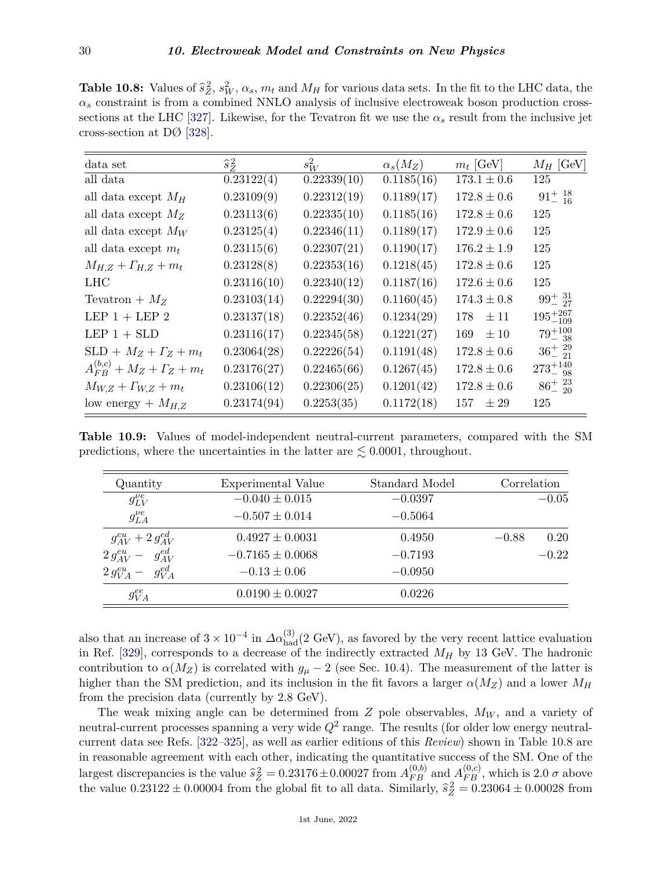**Table 10.8:** Values of  $\hat{s}_Z^2$ ,  $s_W^2$ ,  $\alpha_s$ ,  $m_t$  and  $M_H$  for various data sets. In the fit to the LHC data, the  $\alpha_s$  constraint is from a combined NNLO analysis of inclusive electroweak boson production cross-sections at the LHC [\[327\]](#page-45-15). Likewise, for the Tevatron fit we use the  $\alpha_s$  result from the inclusive jet cross-section at DØ [\[328\]](#page-45-16).

| data set                                | $\hat{s}_z^2$ | $s_W^2$     | $\alpha_s(M_Z)$ | $m_t$ [GeV]      | $M_H$ [GeV]         |
|-----------------------------------------|---------------|-------------|-----------------|------------------|---------------------|
| all data                                | 0.23122(4)    | 0.22339(10) | 0.1185(16)      | $173.1 \pm 0.6$  | 125                 |
| all data except $M_H$                   | 0.23109(9)    | 0.22312(19) | 0.1189(17)      | $172.8\pm0.6$    | $91^{+18}_{-16}$    |
| all data except $M_Z$                   | 0.23113(6)    | 0.22335(10) | 0.1185(16)      | $172.8 \pm 0.6$  | 125                 |
| all data except $M_W$                   | 0.23125(4)    | 0.22346(11) | 0.1189(17)      | $172.9 \pm 0.6$  | 125                 |
| all data except $m_t$                   | 0.23115(6)    | 0.22307(21) | 0.1190(17)      | $176.2 \pm 1.9$  | 125                 |
| $M_{H,Z} + \Gamma_{H,Z} + m_t$          | 0.23128(8)    | 0.22353(16) | 0.1218(45)      | $172.8 \pm 0.6$  | 125                 |
| <b>LHC</b>                              | 0.23116(10)   | 0.22340(12) | 0.1187(16)      | $172.6 \pm 0.6$  | 125                 |
| Tevatron + $M_Z$                        | 0.23103(14)   | 0.22294(30) | 0.1160(45)      | $174.3 \pm 0.8$  | $99^{+31}_{-27}$    |
| LEP $1 + LEP$ 2                         | 0.23137(18)   | 0.22352(46) | 0.1234(29)      | $\pm 11$<br>178  | $195^{+267}_{-109}$ |
| LEP $1 +$ SLD                           | 0.23116(17)   | 0.22345(58) | 0.1221(27)      | $\pm\,10$<br>169 | $79^{+100}_{-38}$   |
| $SLD + M_Z + \Gamma_Z + m_t$            | 0.23064(28)   | 0.22226(54) | 0.1191(48)      | $172.8 \pm 0.6$  | $36^{+29}_{-21}$    |
| $A_{FB}^{(b,c)} + M_Z + \Gamma_Z + m_t$ | 0.23176(27)   | 0.22465(66) | 0.1267(45)      | $172.8 \pm 0.6$  | $273^{+140}_{-98}$  |
| $M_{W,Z} + \Gamma_{W,Z} + m_t$          | 0.23106(12)   | 0.22306(25) | 0.1201(42)      | $172.8 \pm 0.6$  | $86^{+23}_{-20}$    |
| low energy + $M_{H,Z}$                  | 0.23174(94)   | 0.2253(35)  | 0.1172(18)      | 157<br>$\pm 29$  | 125                 |

**Table 10.9:** Values of model-independent neutral-current parameters, compared with the SM predictions, where the uncertainties in the latter are  $\leq 0.0001$ , throughout.

| Quantity                      | Experimental Value   | Standard Model | Correlation     |
|-------------------------------|----------------------|----------------|-----------------|
| $g_{LV}^{\nu e}$              | $-0.040 \pm 0.015$   | $-0.0397$      | $-0.05$         |
| $g_{LA}^{\nu e}$              | $-0.507 \pm 0.014$   | $-0.5064$      |                 |
| $g_{AV}^{eu} + 2 g_{AV}^{ed}$ | $0.4927 \pm 0.0031$  | 0.4950         | 0.20<br>$-0.88$ |
| $2 g_{AV}^{eu} - g_{AV}^{ed}$ | $-0.7165 \pm 0.0068$ | $-0.7193$      | $-0.22$         |
| $2 g_{VA}^{eu} - g_{VA}^{ed}$ | $-0.13 \pm 0.06$     | $-0.0950$      |                 |
| $g_{VA}^{ee}$                 | $0.0190 \pm 0.0027$  | 0.0226         |                 |

also that an increase of  $3 \times 10^{-4}$  in  $\Delta \alpha_{\rm had}^{(3)}(2 \text{ GeV})$ , as favored by the very recent lattice evaluation in Ref. [\[329\]](#page-45-17), corresponds to a decrease of the indirectly extracted *M<sup>H</sup>* by 13 GeV. The hadronic contribution to  $\alpha(M_Z)$  is correlated with  $g_\mu - 2$  (see Sec. 10.4). The measurement of the latter is higher than the SM prediction, and its inclusion in the fit favors a larger  $\alpha(M_Z)$  and a lower  $M_H$ from the precision data (currently by 2.8 GeV).

The weak mixing angle can be determined from *Z* pole observables,  $M_W$ , and a variety of neutral-current processes spanning a very wide  $Q^2$  range. The results (for older low energy neutralcurrent data see Refs. [\[322–](#page-45-11)[325\]](#page-45-12), as well as earlier editions of this *Review*) shown in Table 10.8 are in reasonable agreement with each other, indicating the quantitative success of the SM. One of the largest discrepancies is the value  $\hat{s}_Z^2 = 0.23176 \pm 0.00027$  from  $A_{FB}^{(0,b)}$  and  $A_{FB}^{(0,c)}$ , which is 2.0 *σ* above<br>the subset of 23199 + 0.00004 from the which fit to all data. Similarly  $\hat{s}_B^2 = 0.29064 + 0.00098$  the value  $0.23122 \pm 0.00004$  from the global fit to all data. Similarly,  $\hat{s}_Z^2 = 0.23064 \pm 0.00028$  from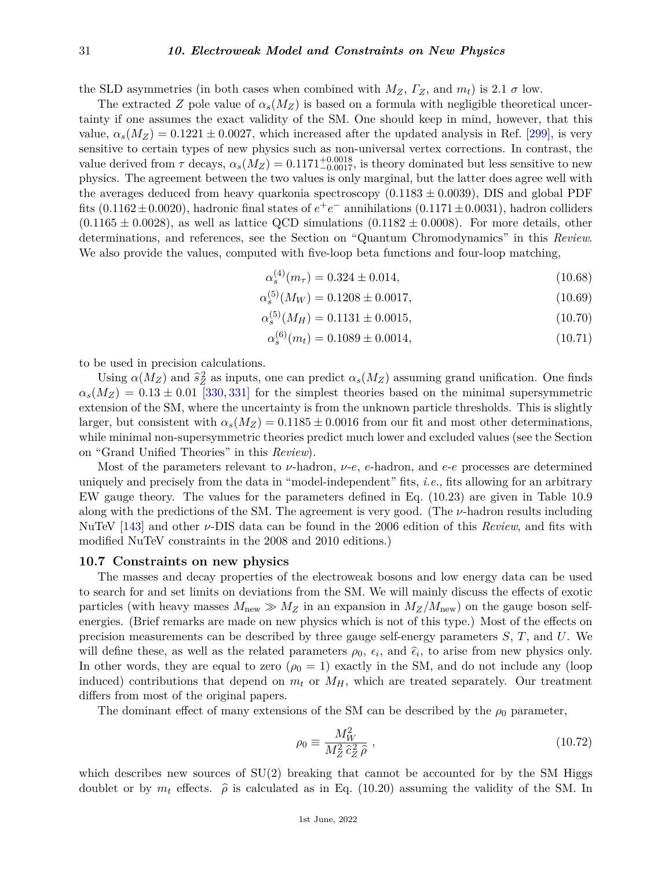the SLD asymmetries (in both cases when combined with  $M_Z$ ,  $\Gamma_Z$ , and  $m_t$ ) is 2.1  $\sigma$  low.

The extracted *Z* pole value of  $\alpha_s(M_Z)$  is based on a formula with negligible theoretical uncertainty if one assumes the exact validity of the SM. One should keep in mind, however, that this value,  $\alpha_s(M_Z) = 0.1221 \pm 0.0027$ , which increased after the updated analysis in Ref. [\[299\]](#page-44-29), is very sensitive to certain types of new physics such as non-universal vertex corrections. In contrast, the value derived from  $\tau$  decays,  $\alpha_s(M_Z) = 0.1171^{+0.0018}_{-0.0017}$ , is theory dominated but less sensitive to new physics. The agreement between the two values is only marginal, but the latter does agree well with the averages deduced from heavy quarkonia spectroscopy  $(0.1183 \pm 0.0039)$ , DIS and global PDF fits (0.1162±0.0020), hadronic final states of  $e^+e^-$  annihilations (0.1171±0.0031), hadron colliders  $(0.1165 \pm 0.0028)$ , as well as lattice QCD simulations  $(0.1182 \pm 0.0008)$ . For more details, other determinations, and references, see the Section on "Quantum Chromodynamics" in this *Review*. We also provide the values, computed with five-loop beta functions and four-loop matching,

$$
\alpha_s^{(4)}(m_\tau) = 0.324 \pm 0.014,\tag{10.68}
$$

$$
\alpha_s^{(5)}(M_W) = 0.1208 \pm 0.0017,\tag{10.69}
$$

$$
\alpha_s^{(5)}(M_H) = 0.1131 \pm 0.0015,\tag{10.70}
$$

$$
\alpha_s^{(6)}(m_t) = 0.1089 \pm 0.0014,\tag{10.71}
$$

to be used in precision calculations.

Using  $\alpha(M_Z)$  and  $\hat{s}_Z^2$  as inputs, one can predict  $\alpha_s(M_Z)$  assuming grand unification. One finds  $\alpha_s(M_Z) = 0.13 \pm 0.01$  [\[330,](#page-45-18) [331\]](#page-45-19) for the simplest theories based on the minimal supersymmetric extension of the SM, where the uncertainty is from the unknown particle thresholds. This is slightly larger, but consistent with  $\alpha_s(M_Z) = 0.1185 \pm 0.0016$  from our fit and most other determinations, while minimal non-supersymmetric theories predict much lower and excluded values (see the Section on "Grand Unified Theories" in this *Review*).

Most of the parameters relevant to *ν*-hadron, *ν*-*e*, *e*-hadron, and *e*-*e* processes are determined uniquely and precisely from the data in "model-independent" fits, *i.e.*, fits allowing for an arbitrary EW gauge theory. The values for the parameters defined in Eq. (10.23) are given in Table 10.9 along with the predictions of the SM. The agreement is very good. (The *ν*-hadron results including NuTeV [\[143\]](#page-40-13) and other *ν*-DIS data can be found in the 2006 edition of this *Review*, and fits with modified NuTeV constraints in the 2008 and 2010 editions.)

#### <span id="page-30-0"></span>**10.7 Constraints on new physics**

The masses and decay properties of the electroweak bosons and low energy data can be used to search for and set limits on deviations from the SM. We will mainly discuss the effects of exotic particles (with heavy masses  $M_{\text{new}} \gg M_Z$  in an expansion in  $M_Z/M_{\text{new}}$ ) on the gauge boson selfenergies. (Brief remarks are made on new physics which is not of this type.) Most of the effects on precision measurements can be described by three gauge self-energy parameters *S*, *T*, and *U*. We will define these, as well as the related parameters  $\rho_0$ ,  $\epsilon_i$ , and  $\hat{\epsilon}_i$ , to arise from new physics only. In other words, they are equal to zero  $(\rho_0 = 1)$  exactly in the SM, and do not include any (loop induced) contributions that depend on  $m_t$  or  $M_H$ , which are treated separately. Our treatment differs from most of the original papers.

The dominant effect of many extensions of the SM can be described by the  $\rho_0$  parameter,

$$
\rho_0 \equiv \frac{M_W^2}{M_Z^2 \,\hat{c}_Z^2 \,\hat{\rho}} \,,\tag{10.72}
$$

which describes new sources of  $SU(2)$  breaking that cannot be accounted for by the SM Higgs doublet or by  $m_t$  effects.  $\hat{\rho}$  is calculated as in Eq. (10.20) assuming the validity of the SM. In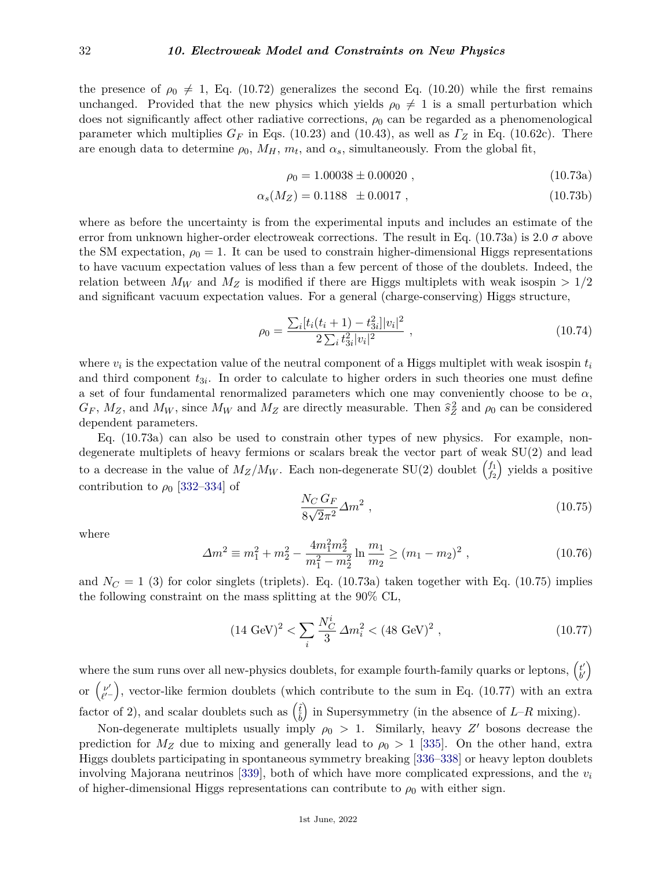the presence of  $\rho_0 \neq 1$ , Eq. (10.72) generalizes the second Eq. (10.20) while the first remains unchanged. Provided that the new physics which yields  $\rho_0 \neq 1$  is a small perturbation which does not significantly affect other radiative corrections,  $\rho_0$  can be regarded as a phenomenological parameter which multiplies  $G_F$  in Eqs. (10.23) and (10.43), as well as  $\Gamma_Z$  in Eq. (10.62c). There are enough data to determine  $\rho_0$ ,  $M_H$ ,  $m_t$ , and  $\alpha_s$ , simultaneously. From the global fit,

$$
\rho_0 = 1.00038 \pm 0.00020 , \qquad (10.73a)
$$

$$
\alpha_s(M_Z) = 0.1188 \pm 0.0017 , \qquad (10.73b)
$$

where as before the uncertainty is from the experimental inputs and includes an estimate of the error from unknown higher-order electroweak corrections. The result in Eq.  $(10.73a)$  is 2.0  $\sigma$  above the SM expectation,  $\rho_0 = 1$ . It can be used to constrain higher-dimensional Higgs representations to have vacuum expectation values of less than a few percent of those of the doublets. Indeed, the relation between  $M_W$  and  $M_Z$  is modified if there are Higgs multiplets with weak isospin  $>1/2$ and significant vacuum expectation values. For a general (charge-conserving) Higgs structure,

$$
\rho_0 = \frac{\sum_i [t_i(t_i+1) - t_{3i}^2] |v_i|^2}{2 \sum_i t_{3i}^2 |v_i|^2} \,, \tag{10.74}
$$

where  $v_i$  is the expectation value of the neutral component of a Higgs multiplet with weak isospin  $t_i$ and third component  $t_{3i}$ . In order to calculate to higher orders in such theories one must define a set of four fundamental renormalized parameters which one may conveniently choose to be *α*,  $G_F$ ,  $M_Z$ , and  $M_W$ , since  $M_W$  and  $M_Z$  are directly measurable. Then  $\hat{s}_Z^2$  and  $\rho_0$  can be considered dependent parameters.

Eq. (10.73a) can also be used to constrain other types of new physics. For example, nondegenerate multiplets of heavy fermions or scalars break the vector part of weak SU(2) and lead to a decrease in the value of  $M_Z/M_W$ . Each non-degenerate SU(2) doublet  $\begin{pmatrix} f_1 \\ f_2 \end{pmatrix}$  $f_1 \choose f_2$  yields a positive contribution to  $\rho_0$  [\[332](#page-45-20)[–334\]](#page-45-21) of

$$
\frac{N_C G_F}{8\sqrt{2}\pi^2} \Delta m^2 \,,\tag{10.75}
$$

where

$$
\Delta m^2 \equiv m_1^2 + m_2^2 - \frac{4m_1^2 m_2^2}{m_1^2 - m_2^2} \ln \frac{m_1}{m_2} \ge (m_1 - m_2)^2 \,,\tag{10.76}
$$

and  $N_C = 1$  (3) for color singlets (triplets). Eq. (10.73a) taken together with Eq. (10.75) implies the following constraint on the mass splitting at the 90% CL,

$$
(14 \text{ GeV})^2 < \sum_{i} \frac{N_C^i}{3} \Delta m_i^2 < (48 \text{ GeV})^2 \,, \tag{10.77}
$$

where the sum runs over all new-physics doublets, for example fourth-family quarks or leptons,  $\begin{pmatrix} t' \\ b' \end{pmatrix}$  $_{b^{\prime}}^{t^{\prime}}\Big)$ or (μ'  $\binom{\nu'}{\ell'}$ , vector-like fermion doublets (which contribute to the sum in Eq. (10.77) with an extra factor of 2), and scalar doublets such as  $\begin{pmatrix} \tilde{t} \\ \tilde{b} \end{pmatrix}$ in Supersymmetry (in the absence of  $L-R$  mixing).

Non-degenerate multiplets usually imply  $\rho_0 > 1$ . Similarly, heavy Z' bosons decrease the prediction for  $M_Z$  due to mixing and generally lead to  $\rho_0 > 1$  [\[335\]](#page-45-22). On the other hand, extra Higgs doublets participating in spontaneous symmetry breaking [\[336–](#page-45-23)[338\]](#page-45-24) or heavy lepton doublets involving Majorana neutrinos [\[339\]](#page-45-25), both of which have more complicated expressions, and the *v<sup>i</sup>* of higher-dimensional Higgs representations can contribute to  $\rho_0$  with either sign.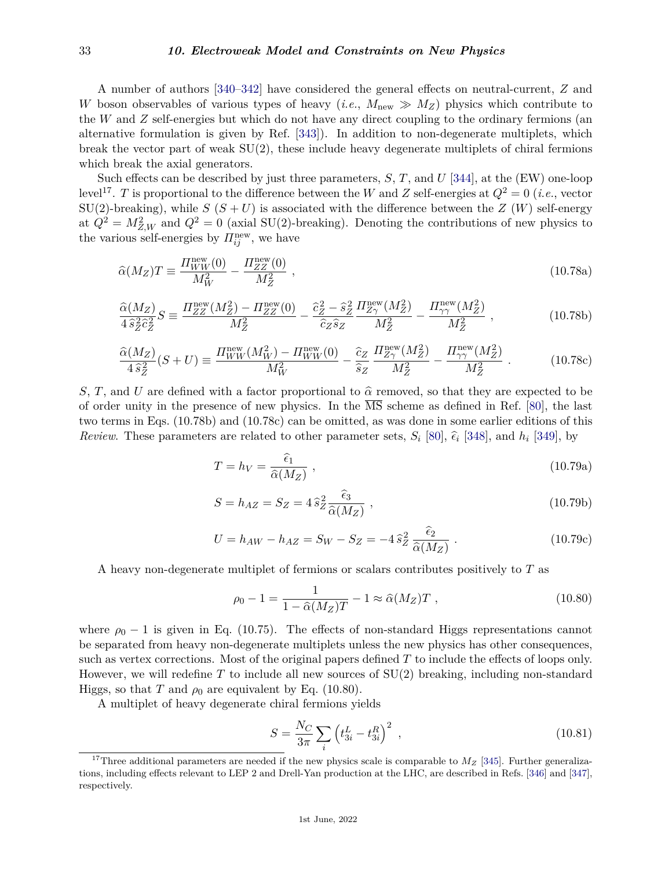#### 33 *10. Electroweak Model and Constraints on New Physics*

A number of authors [\[340–](#page-45-26)[342\]](#page-46-0) have considered the general effects on neutral-current, *Z* and *W* boson observables of various types of heavy (*i.e.*,  $M_{\text{new}} \gg M_Z$ ) physics which contribute to the *W* and *Z* self-energies but which do not have any direct coupling to the ordinary fermions (an alternative formulation is given by Ref. [\[343\]](#page-46-1)). In addition to non-degenerate multiplets, which break the vector part of weak  $SU(2)$ , these include heavy degenerate multiplets of chiral fermions which break the axial generators.

Such effects can be described by just three parameters, *S*, *T*, and *U* [\[344\]](#page-46-2), at the (EW) one-loop level<sup>[17](#page-32-0)</sup>. *T* is proportional to the difference between the *W* and *Z* self-energies at  $Q^2 = 0$  (*i.e.*, vector SU(2)-breaking), while  $S(S+U)$  is associated with the difference between the  $Z(W)$  self-energy at  $Q^2 = M_{Z,W}^2$  and  $Q^2 = 0$  (axial SU(2)-breaking). Denoting the contributions of new physics to the various self-energies by  $\Pi_{ij}^{\text{new}}$ , we have

$$
\widehat{\alpha}(M_Z)T \equiv \frac{\Pi_{WW}^{\text{new}}(0)}{M_W^2} - \frac{\Pi_{ZZ}^{\text{new}}(0)}{M_Z^2} \,,\tag{10.78a}
$$

$$
\frac{\hat{\alpha}(M_Z)}{4\,\hat{s}_Z^2\hat{c}_Z^2}S \equiv \frac{\Pi_{ZZ}^{\text{new}}(M_Z^2) - \Pi_{ZZ}^{\text{new}}(0)}{M_Z^2} - \frac{\hat{c}_Z^2 - \hat{s}_Z^2}{\hat{c}_Z\hat{s}_Z}\frac{\Pi_{Z\gamma}^{\text{new}}(M_Z^2)}{M_Z^2} - \frac{\Pi_{\gamma\gamma}^{\text{new}}(M_Z^2)}{M_Z^2} \,,\tag{10.78b}
$$

$$
\frac{\hat{\alpha}(M_Z)}{4\,\hat{s}_Z^2}(S+U) \equiv \frac{\Pi_{WW}^{\text{new}}(M_W^2) - \Pi_{WW}^{\text{new}}(0)}{M_W^2} - \frac{\hat{c}_Z}{\hat{s}_Z} \frac{\Pi_{Z\gamma}^{\text{new}}(M_Z^2)}{M_Z^2} - \frac{\Pi_{\gamma\gamma}^{\text{new}}(M_Z^2)}{M_Z^2} \,. \tag{10.78c}
$$

*S*, *T*, and *U* are defined with a factor proportional to  $\hat{\alpha}$  removed, so that they are expected to be of order unity in the presence of new physics. In the  $\overline{MS}$  scheme as defined in Ref. [\[80\]](#page-38-19), the last two terms in Eqs. (10.78b) and (10.78c) can be omitted, as was done in some earlier editions of this *Review*. These parameters are related to other parameter sets,  $S_i$  [\[80\]](#page-38-19),  $\hat{\epsilon}_i$  [\[348\]](#page-46-3), and  $h_i$  [\[349\]](#page-46-4), by

$$
T = h_V = \frac{\hat{\epsilon}_1}{\hat{\alpha}(M_Z)} \tag{10.79a}
$$

$$
S = h_{AZ} = S_Z = 4 \hat{s}_Z^2 \frac{\hat{\epsilon}_3}{\hat{\alpha}(M_Z)},
$$
\n(10.79b)

$$
U = h_{AW} - h_{AZ} = S_W - S_Z = -4 \hat{s}_Z^2 \frac{\hat{\epsilon}_2}{\hat{\alpha}(M_Z)} .
$$
 (10.79c)

A heavy non-degenerate multiplet of fermions or scalars contributes positively to *T* as

$$
\rho_0 - 1 = \frac{1}{1 - \widehat{\alpha}(M_Z)T} - 1 \approx \widehat{\alpha}(M_Z)T , \qquad (10.80)
$$

where  $\rho_0 - 1$  is given in Eq. (10.75). The effects of non-standard Higgs representations cannot be separated from heavy non-degenerate multiplets unless the new physics has other consequences, such as vertex corrections. Most of the original papers defined *T* to include the effects of loops only. However, we will redefine *T* to include all new sources of SU(2) breaking, including non-standard Higgs, so that *T* and  $\rho_0$  are equivalent by Eq. (10.80).

A multiplet of heavy degenerate chiral fermions yields

$$
S = \frac{N_C}{3\pi} \sum_{i} \left( t_{3i}^L - t_{3i}^R \right)^2 \,, \tag{10.81}
$$

<span id="page-32-0"></span><sup>&</sup>lt;sup>17</sup>Three additional parameters are needed if the new physics scale is comparable to  $M_Z$  [\[345\]](#page-46-5). Further generalizations, including effects relevant to LEP 2 and Drell-Yan production at the LHC, are described in Refs. [\[346\]](#page-46-6) and [\[347\]](#page-46-7), respectively.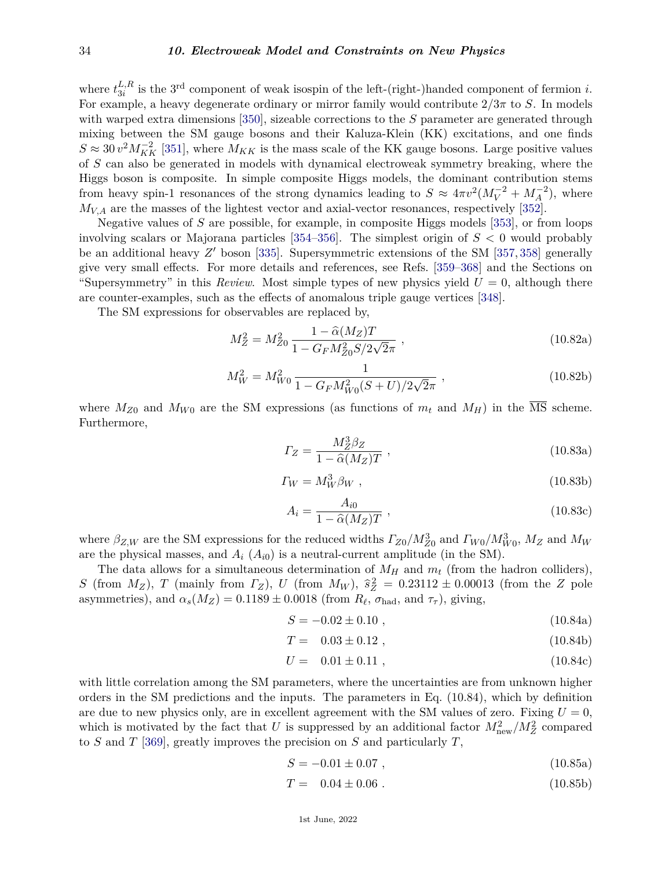where  $t_{3i}^{L,R}$  $\frac{L, R}{3i}$  is the 3<sup>rd</sup> component of weak isospin of the left-(right-)handed component of fermion *i*. For example, a heavy degenerate ordinary or mirror family would contribute  $2/3\pi$  to *S*. In models with warped extra dimensions [\[350\]](#page-46-8), sizeable corrections to the *S* parameter are generated through mixing between the SM gauge bosons and their Kaluza-Klein (KK) excitations, and one finds  $S \approx 30 v^2 M_{KK}^{-2}$  [\[351\]](#page-46-9), where  $M_{KK}$  is the mass scale of the KK gauge bosons. Large positive values of *S* can also be generated in models with dynamical electroweak symmetry breaking, where the Higgs boson is composite. In simple composite Higgs models, the dominant contribution stems from heavy spin-1 resonances of the strong dynamics leading to  $S \approx 4\pi v^2 (M_V^{-2} + M_A^{-2})$ , where *MV,A* are the masses of the lightest vector and axial-vector resonances, respectively [\[352\]](#page-46-10).

Negative values of *S* are possible, for example, in composite Higgs models [\[353\]](#page-46-11), or from loops involving scalars or Majorana particles [\[354](#page-46-12)[–356\]](#page-46-13). The simplest origin of *S <* 0 would probably be an additional heavy Z' boson [\[335\]](#page-45-22). Supersymmetric extensions of the SM [\[357,](#page-46-14) [358\]](#page-46-15) generally give very small effects. For more details and references, see Refs. [\[359–](#page-46-16)[368\]](#page-46-17) and the Sections on "Supersymmetry" in this *Review*. Most simple types of new physics yield  $U = 0$ , although there are counter-examples, such as the effects of anomalous triple gauge vertices [\[348\]](#page-46-3).

The SM expressions for observables are replaced by,

$$
M_Z^2 = M_{Z0}^2 \frac{1 - \hat{\alpha}(M_Z)T}{1 - G_F M_{Z0}^2 S / 2\sqrt{2}\pi} ,
$$
\n(10.82a)

$$
M_W^2 = M_{W0}^2 \frac{1}{1 - G_F M_{W0}^2 (S + U)/2\sqrt{2}\pi} ,
$$
\n(10.82b)

where  $M_{Z0}$  and  $M_{W0}$  are the SM expressions (as functions of  $m_t$  and  $M_H$ ) in the  $\overline{\text{MS}}$  scheme. Furthermore,

$$
\Gamma_Z = \frac{M_Z^3 \beta_Z}{1 - \hat{\alpha}(M_Z)T} \,,\tag{10.83a}
$$

$$
\Gamma_W = M_W^3 \beta_W \tag{10.83b}
$$

$$
A_i = \frac{A_{i0}}{1 - \hat{\alpha}(M_Z)T} \tag{10.83c}
$$

where  $\beta_{Z,W}$  are the SM expressions for the reduced widths  $\Gamma_{Z0}/M_{Z0}^3$  and  $\Gamma_{W0}/M_{W0}^3$ ,  $M_Z$  and  $M_W$ are the physical masses, and  $A_i$  ( $A_{i0}$ ) is a neutral-current amplitude (in the SM).

The data allows for a simultaneous determination of  $M_H$  and  $m_t$  (from the hadron colliders), *S* (from  $M_Z$ ), *T* (mainly from  $\Gamma_Z$ ), *U* (from  $M_W$ ),  $\hat{s}_Z^2 = 0.23112 \pm 0.00013$  (from the *Z* pole asymmetries), and  $\alpha_s(M_Z) = 0.1189 \pm 0.0018$  (from  $R_\ell$ ,  $\sigma_{\text{had}}$ , and  $\tau_\tau$ ), giving,

$$
S = -0.02 \pm 0.10 \tag{10.84a}
$$

$$
T = 0.03 \pm 0.12 , \qquad (10.84b)
$$

$$
U = 0.01 \pm 0.11 , \qquad (10.84c)
$$

with little correlation among the SM parameters, where the uncertainties are from unknown higher orders in the SM predictions and the inputs. The parameters in Eq. (10.84), which by definition are due to new physics only, are in excellent agreement with the SM values of zero. Fixing  $U = 0$ , which is motivated by the fact that *U* is suppressed by an additional factor  $M_{\text{new}}^2/M_Z^2$  compared to *S* and *T* [\[369\]](#page-46-18), greatly improves the precision on *S* and particularly *T*,

$$
S = -0.01 \pm 0.07 \tag{10.85a}
$$

$$
T = 0.04 \pm 0.06 \tag{10.85b}
$$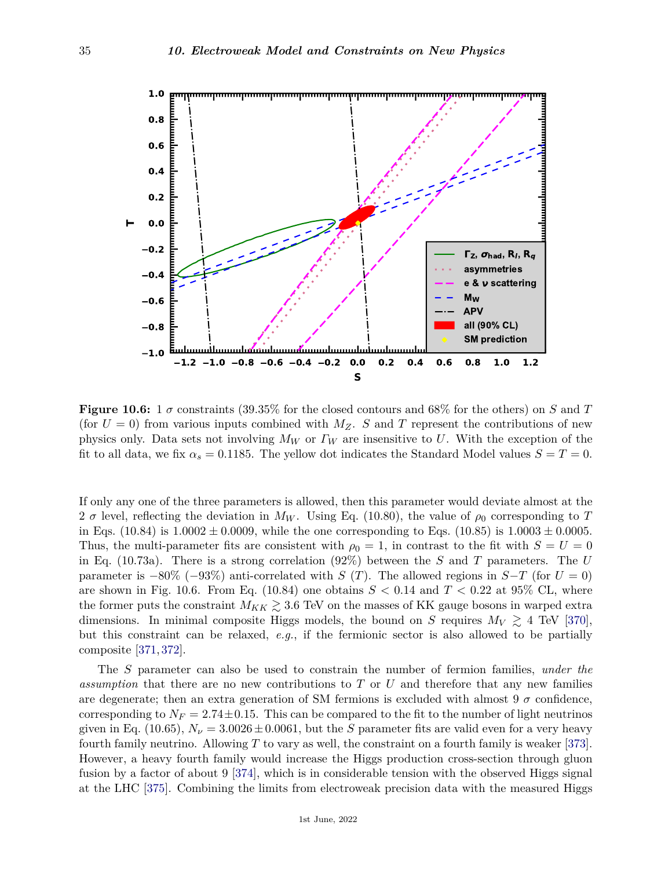

**Figure 10.6:** 1  $\sigma$  constraints (39.35% for the closed contours and 68% for the others) on *S* and *T* (for  $U = 0$ ) from various inputs combined with  $M_Z$ . *S* and *T* represent the contributions of new physics only. Data sets not involving *M<sup>W</sup>* or *Γ<sup>W</sup>* are insensitive to *U*. With the exception of the fit to all data, we fix  $\alpha_s = 0.1185$ . The yellow dot indicates the Standard Model values  $S = T = 0$ .

If only any one of the three parameters is allowed, then this parameter would deviate almost at the 2  $\sigma$  level, reflecting the deviation in  $M_W$ . Using Eq. (10.80), the value of  $\rho_0$  corresponding to T in Eqs.  $(10.84)$  is  $1.0002 \pm 0.0009$ , while the one corresponding to Eqs.  $(10.85)$  is  $1.0003 \pm 0.0005$ . Thus, the multi-parameter fits are consistent with  $\rho_0 = 1$ , in contrast to the fit with  $S = U = 0$ in Eq. (10.73a). There is a strong correlation (92%) between the *S* and *T* parameters. The *U* parameter is  $-80\%$  ( $-93\%$ ) anti-correlated with *S* (*T*). The allowed regions in *S*−*T* (for *U* = 0) are shown in Fig. 10.6. From Eq. (10.84) one obtains  $S < 0.14$  and  $T < 0.22$  at 95% CL, where the former puts the constraint  $M_{KK} \gtrsim 3.6$  TeV on the masses of KK gauge bosons in warped extra dimensions. In minimal composite Higgs models, the bound on *S* requires  $M_V \geq 4$  TeV [\[370\]](#page-46-19), but this constraint can be relaxed, *e.g.*, if the fermionic sector is also allowed to be partially composite [\[371,](#page-46-20) [372\]](#page-46-21).

The *S* parameter can also be used to constrain the number of fermion families, *under the assumption* that there are no new contributions to *T* or *U* and therefore that any new families are degenerate; then an extra generation of SM fermions is excluded with almost 9  $\sigma$  confidence, corresponding to  $N_F = 2.74 \pm 0.15$ . This can be compared to the fit to the number of light neutrinos given in Eq. (10.65),  $N_{\nu} = 3.0026 \pm 0.0061$ , but the *S* parameter fits are valid even for a very heavy fourth family neutrino. Allowing *T* to vary as well, the constraint on a fourth family is weaker [\[373\]](#page-46-22). However, a heavy fourth family would increase the Higgs production cross-section through gluon fusion by a factor of about 9 [\[374\]](#page-46-23), which is in considerable tension with the observed Higgs signal at the LHC [\[375\]](#page-46-24). Combining the limits from electroweak precision data with the measured Higgs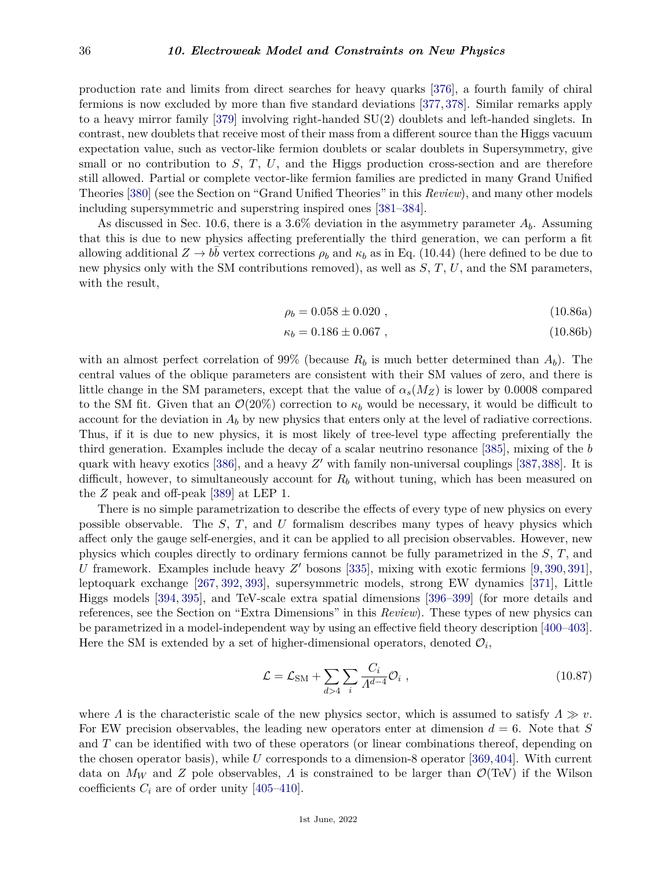production rate and limits from direct searches for heavy quarks [\[376\]](#page-46-25), a fourth family of chiral fermions is now excluded by more than five standard deviations [\[377,](#page-46-26) [378\]](#page-47-0). Similar remarks apply to a heavy mirror family [\[379\]](#page-47-1) involving right-handed SU(2) doublets and left-handed singlets. In contrast, new doublets that receive most of their mass from a different source than the Higgs vacuum expectation value, such as vector-like fermion doublets or scalar doublets in Supersymmetry, give small or no contribution to *S*, *T*, *U*, and the Higgs production cross-section and are therefore still allowed. Partial or complete vector-like fermion families are predicted in many Grand Unified Theories [\[380\]](#page-47-2) (see the Section on "Grand Unified Theories" in this *Review*), and many other models including supersymmetric and superstring inspired ones [\[381–](#page-47-3)[384\]](#page-47-4).

As discussed in Sec. 10.6, there is a  $3.6\%$  deviation in the asymmetry parameter  $A_b$ . Assuming that this is due to new physics affecting preferentially the third generation, we can perform a fit allowing additional  $Z \to b\bar{b}$  vertex corrections  $\rho_b$  and  $\kappa_b$  as in Eq. (10.44) (here defined to be due to new physics only with the SM contributions removed), as well as *S*, *T*, *U*, and the SM parameters, with the result,

$$
\rho_b = 0.058 \pm 0.020 , \qquad (10.86a)
$$

$$
\kappa_b = 0.186 \pm 0.067 \tag{10.86b}
$$

with an almost perfect correlation of 99% (because  $R_b$  is much better determined than  $A_b$ ). The central values of the oblique parameters are consistent with their SM values of zero, and there is little change in the SM parameters, except that the value of  $\alpha_s(M_Z)$  is lower by 0.0008 compared to the SM fit. Given that an  $\mathcal{O}(20\%)$  correction to  $\kappa_b$  would be necessary, it would be difficult to account for the deviation in  $A_b$  by new physics that enters only at the level of radiative corrections. Thus, if it is due to new physics, it is most likely of tree-level type affecting preferentially the third generation. Examples include the decay of a scalar neutrino resonance [\[385\]](#page-47-5), mixing of the *b* quark with heavy exotics  $[386]$ , and a heavy  $Z'$  with family non-universal couplings  $[387, 388]$  $[387, 388]$  $[387, 388]$ . It is difficult, however, to simultaneously account for *R<sup>b</sup>* without tuning, which has been measured on the *Z* peak and off-peak [\[389\]](#page-47-9) at LEP 1.

There is no simple parametrization to describe the effects of every type of new physics on every possible observable. The *S*, *T*, and *U* formalism describes many types of heavy physics which affect only the gauge self-energies, and it can be applied to all precision observables. However, new physics which couples directly to ordinary fermions cannot be fully parametrized in the *S*, *T*, and *U* framework. Examples include heavy  $Z'$  bosons [\[335\]](#page-45-22), mixing with exotic fermions [\[9,](#page-36-9) [390,](#page-47-10) [391\]](#page-47-11), leptoquark exchange [\[267,](#page-43-23) [392,](#page-47-12) [393\]](#page-47-13), supersymmetric models, strong EW dynamics [\[371\]](#page-46-20), Little Higgs models [\[394,](#page-47-14) [395\]](#page-47-15), and TeV-scale extra spatial dimensions [\[396–](#page-47-16)[399\]](#page-47-17) (for more details and references, see the Section on "Extra Dimensions" in this *Review*). These types of new physics can be parametrized in a model-independent way by using an effective field theory description [\[400–](#page-47-18)[403\]](#page-47-19). Here the SM is extended by a set of higher-dimensional operators, denoted  $\mathcal{O}_i$ ,

$$
\mathcal{L} = \mathcal{L}_{\text{SM}} + \sum_{d>4} \sum_{i} \frac{C_i}{A^{d-4}} \mathcal{O}_i , \qquad (10.87)
$$

where *Λ* is the characteristic scale of the new physics sector, which is assumed to satisfy  $\Lambda \gg v$ . For EW precision observables, the leading new operators enter at dimension  $d = 6$ . Note that *S* and *T* can be identified with two of these operators (or linear combinations thereof, depending on the chosen operator basis), while *U* corresponds to a dimension-8 operator [\[369,](#page-46-18)[404\]](#page-47-20). With current data on  $M_W$  and *Z* pole observables, *Λ* is constrained to be larger than  $\mathcal{O}(\text{TeV})$  if the Wilson coefficients  $C_i$  are of order unity [\[405–](#page-47-21)[410\]](#page-47-22).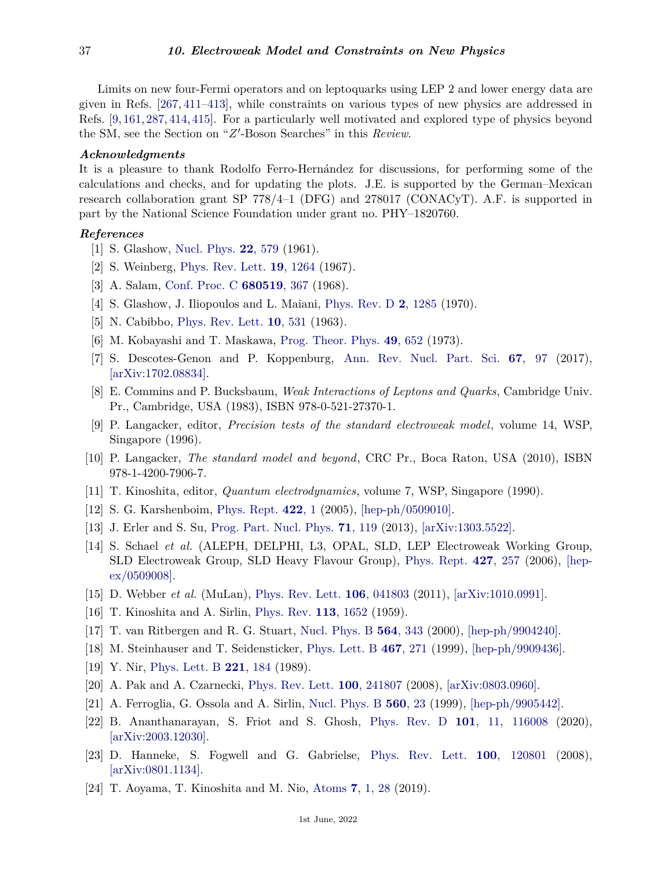Limits on new four-Fermi operators and on leptoquarks using LEP 2 and lower energy data are given in Refs. [\[267,](#page-43-23) [411–](#page-47-23)[413\]](#page-47-24), while constraints on various types of new physics are addressed in Refs. [\[9,](#page-36-9) [161,](#page-40-31) [287,](#page-44-12) [414,](#page-47-25) [415\]](#page-47-26). For a particularly well motivated and explored type of physics beyond the SM, see the Section on "Z'-Boson Searches" in this *Review*.

## *Acknowledgments*

It is a pleasure to thank Rodolfo Ferro-Hernández for discussions, for performing some of the calculations and checks, and for updating the plots. J.E. is supported by the German–Mexican research collaboration grant SP 778/4–1 (DFG) and 278017 (CONACyT). A.F. is supported in part by the National Science Foundation under grant no. PHY–1820760.

## <span id="page-36-0"></span>*References*

- [1] S. Glashow, [Nucl. Phys.](http://doi.org/10.1016/0029-5582(61)90469-2) **22**[, 579](http://doi.org/10.1016/0029-5582(61)90469-2) (1961).
- [2] S. Weinberg, [Phys. Rev. Lett.](http://doi.org/10.1103/PhysRevLett.19.1264) **19**[, 1264](http://doi.org/10.1103/PhysRevLett.19.1264) (1967).
- [3] A. Salam, [Conf. Proc. C](http://doi.org/10.1142/9789812795915_0034) **[680519](http://doi.org/10.1142/9789812795915_0034)**, 367 (1968).
- <span id="page-36-1"></span>[4] S. Glashow, J. Iliopoulos and L. Maiani, [Phys. Rev. D](http://doi.org/10.1103/PhysRevD.2.1285) **2**[, 1285](http://doi.org/10.1103/PhysRevD.2.1285) (1970).
- <span id="page-36-3"></span><span id="page-36-2"></span>[5] N. Cabibbo, [Phys. Rev. Lett.](http://doi.org/10.1103/PhysRevLett.10.531) **10**[, 531](http://doi.org/10.1103/PhysRevLett.10.531) (1963).
- [6] M. Kobayashi and T. Maskawa, [Prog. Theor. Phys.](http://doi.org/10.1143/PTP.49.652) **49**[, 652](http://doi.org/10.1143/PTP.49.652) (1973).
- <span id="page-36-4"></span>[7] S. Descotes-Genon and P. Koppenburg, [Ann. Rev. Nucl. Part. Sci.](http://doi.org/10.1146/annurev-nucl-101916-123109) **67**[, 97](http://doi.org/10.1146/annurev-nucl-101916-123109) (2017), [\[arXiv:1702.08834\].](https://arxiv.org/abs/1702.08834)
- <span id="page-36-5"></span>[8] E. Commins and P. Bucksbaum, *Weak Interactions of Leptons and Quarks*, Cambridge Univ. Pr., Cambridge, USA (1983), ISBN 978-0-521-27370-1.
- <span id="page-36-9"></span>[9] P. Langacker, editor, *Precision tests of the standard electroweak model*, volume 14, WSP, Singapore (1996).
- <span id="page-36-6"></span>[10] P. Langacker, *The standard model and beyond*, CRC Pr., Boca Raton, USA (2010), ISBN 978-1-4200-7906-7.
- <span id="page-36-7"></span>[11] T. Kinoshita, editor, *Quantum electrodynamics*, volume 7, WSP, Singapore (1990).
- <span id="page-36-8"></span>[12] S. G. Karshenboim, [Phys. Rept.](http://doi.org/10.1016/j.physrep.2005.08.008) **[422](http://doi.org/10.1016/j.physrep.2005.08.008)**, 1 (2005), [\[hep-ph/0509010\].](https://arxiv.org/abs/hep-ph/0509010)
- <span id="page-36-10"></span>[13] J. Erler and S. Su, [Prog. Part. Nucl. Phys.](http://doi.org/10.1016/j.ppnp.2013.03.004) **71**[, 119](http://doi.org/10.1016/j.ppnp.2013.03.004) (2013), [\[arXiv:1303.5522\].](https://arxiv.org/abs/1303.5522)
- <span id="page-36-11"></span>[14] S. Schael *et al.* (ALEPH, DELPHI, L3, OPAL, SLD, LEP Electroweak Working Group, SLD Electroweak Group, SLD Heavy Flavour Group), [Phys. Rept.](http://doi.org/10.1016/j.physrep.2005.12.006) **427**[, 257](http://doi.org/10.1016/j.physrep.2005.12.006) (2006), [\[hep](https://arxiv.org/abs/hep-ex/0509008)[ex/0509008\].](https://arxiv.org/abs/hep-ex/0509008)
- <span id="page-36-19"></span><span id="page-36-12"></span>[15] D. Webber *et al.* (MuLan), [Phys. Rev. Lett.](http://doi.org/10.1103/PhysRevLett.106.079901) **106**[, 041803](http://doi.org/10.1103/PhysRevLett.106.079901) (2011), [\[arXiv:1010.0991\].](https://arxiv.org/abs/1010.0991)
- [16] T. Kinoshita and A. Sirlin, [Phys. Rev.](http://doi.org/10.1103/PhysRev.113.1652) **113**[, 1652](http://doi.org/10.1103/PhysRev.113.1652) (1959).
- <span id="page-36-13"></span>[17] T. van Ritbergen and R. G. Stuart, [Nucl. Phys. B](http://doi.org/10.1016/S0550-3213(99)00572-6) **564**[, 343](http://doi.org/10.1016/S0550-3213(99)00572-6) (2000), [\[hep-ph/9904240\].](https://arxiv.org/abs/hep-ph/9904240)
- <span id="page-36-14"></span>[18] M. Steinhauser and T. Seidensticker, [Phys. Lett. B](http://doi.org/10.1016/S0370-2693(99)01168-5) **467**[, 271](http://doi.org/10.1016/S0370-2693(99)01168-5) (1999), [\[hep-ph/9909436\].](https://arxiv.org/abs/hep-ph/9909436)
- <span id="page-36-15"></span>[19] Y. Nir, [Phys. Lett. B](http://doi.org/10.1016/0370-2693(89)91495-0) **221**[, 184](http://doi.org/10.1016/0370-2693(89)91495-0) (1989).
- <span id="page-36-16"></span>[20] A. Pak and A. Czarnecki, [Phys. Rev. Lett.](http://doi.org/10.1103/PhysRevLett.100.241807) **100**[, 241807](http://doi.org/10.1103/PhysRevLett.100.241807) (2008), [\[arXiv:0803.0960\].](https://arxiv.org/abs/0803.0960)
- <span id="page-36-17"></span>[21] A. Ferroglia, G. Ossola and A. Sirlin, [Nucl. Phys. B](http://doi.org/10.1016/S0550-3213(99)00475-7) **[560](http://doi.org/10.1016/S0550-3213(99)00475-7)**, 23 (1999), [\[hep-ph/9905442\].](https://arxiv.org/abs/hep-ph/9905442)
- <span id="page-36-18"></span>[22] B. Ananthanarayan, S. Friot and S. Ghosh, [Phys. Rev. D](http://doi.org/10.1103/PhysRevD.101.116008) **101**[, 11, 116008](http://doi.org/10.1103/PhysRevD.101.116008) (2020), [\[arXiv:2003.12030\].](https://arxiv.org/abs/2003.12030)
- <span id="page-36-20"></span>[23] D. Hanneke, S. Fogwell and G. Gabrielse, [Phys. Rev. Lett.](http://doi.org/10.1103/PhysRevLett.100.120801) **100**[, 120801](http://doi.org/10.1103/PhysRevLett.100.120801) (2008), [\[arXiv:0801.1134\].](https://arxiv.org/abs/0801.1134)
- <span id="page-36-21"></span>[24] T. Aoyama, T. Kinoshita and M. Nio, [Atoms](http://doi.org/10.3390/atoms7010028) **7**[, 1, 28](http://doi.org/10.3390/atoms7010028) (2019).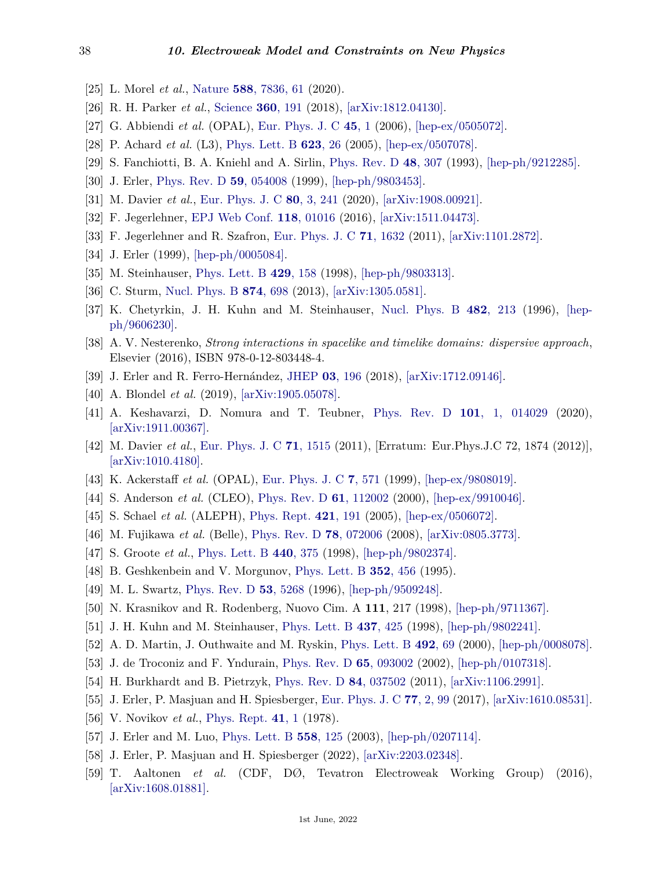- <span id="page-37-0"></span>[25] L. Morel *et al.*, [Nature](http://doi.org/10.1038/s41586-020-2964-7) **588**[, 7836, 61](http://doi.org/10.1038/s41586-020-2964-7) (2020).
- <span id="page-37-1"></span>[26] R. H. Parker *et al.*, [Science](http://doi.org/10.1126/science.aap7706) **360**[, 191](http://doi.org/10.1126/science.aap7706) (2018), [\[arXiv:1812.04130\].](https://arxiv.org/abs/1812.04130)
- <span id="page-37-2"></span>[27] G. Abbiendi *et al.* (OPAL), [Eur. Phys. J. C](http://doi.org/10.1140/epjc/s2005-02389-3) **[45](http://doi.org/10.1140/epjc/s2005-02389-3)**, 1 (2006), [\[hep-ex/0505072\].](https://arxiv.org/abs/hep-ex/0505072)
- <span id="page-37-3"></span>[28] P. Achard *et al.* (L3), [Phys. Lett. B](http://doi.org/10.1016/j.physletb.2005.07.052) **[623](http://doi.org/10.1016/j.physletb.2005.07.052)**, 26 (2005), [\[hep-ex/0507078\].](https://arxiv.org/abs/hep-ex/0507078)
- <span id="page-37-4"></span>[29] S. Fanchiotti, B. A. Kniehl and A. Sirlin, [Phys. Rev. D](http://doi.org/10.1103/PhysRevD.48.307) **48**[, 307](http://doi.org/10.1103/PhysRevD.48.307) (1993), [\[hep-ph/9212285\].](https://arxiv.org/abs/hep-ph/9212285)
- <span id="page-37-5"></span>[30] J. Erler, [Phys. Rev. D](http://doi.org/10.1103/PhysRevD.59.054008) **59**[, 054008](http://doi.org/10.1103/PhysRevD.59.054008) (1999), [\[hep-ph/9803453\].](https://arxiv.org/abs/hep-ph/9803453)
- <span id="page-37-6"></span>[31] M. Davier *et al.*, [Eur. Phys. J. C](http://doi.org/10.1140/epjc/s10052-020-7792-2) **80**[, 3, 241](http://doi.org/10.1140/epjc/s10052-020-7792-2) (2020), [\[arXiv:1908.00921\].](https://arxiv.org/abs/1908.00921)
- <span id="page-37-7"></span>[32] F. Jegerlehner, [EPJ Web Conf.](http://doi.org/10.1051/epjconf/201611801016) **118**[, 01016](http://doi.org/10.1051/epjconf/201611801016) (2016), [\[arXiv:1511.04473\].](https://arxiv.org/abs/1511.04473)
- <span id="page-37-8"></span>[33] F. Jegerlehner and R. Szafron, [Eur. Phys. J. C](http://doi.org/10.1140/epjc/s10052-011-1632-3) **71**[, 1632](http://doi.org/10.1140/epjc/s10052-011-1632-3) (2011), [\[arXiv:1101.2872\].](https://arxiv.org/abs/1101.2872)
- <span id="page-37-11"></span>[34] J. Erler (1999), [\[hep-ph/0005084\].](https://arxiv.org/abs/hep-ph/0005084)
- <span id="page-37-12"></span>[35] M. Steinhauser, [Phys. Lett. B](http://doi.org/10.1016/S0370-2693(98)00503-6) **429**[, 158](http://doi.org/10.1016/S0370-2693(98)00503-6) (1998), [\[hep-ph/9803313\].](https://arxiv.org/abs/hep-ph/9803313)
- <span id="page-37-13"></span>[36] C. Sturm, [Nucl. Phys. B](http://doi.org/10.1016/j.nuclphysb.2013.06.009) **874**[, 698](http://doi.org/10.1016/j.nuclphysb.2013.06.009) (2013), [\[arXiv:1305.0581\].](https://arxiv.org/abs/1305.0581)
- <span id="page-37-9"></span>[37] K. Chetyrkin, J. H. Kuhn and M. Steinhauser, [Nucl. Phys. B](http://doi.org/10.1016/S0550-3213(96)00534-2) **482**[, 213](http://doi.org/10.1016/S0550-3213(96)00534-2) (1996), [\[hep](https://arxiv.org/abs/hep-ph/9606230)[ph/9606230\].](https://arxiv.org/abs/hep-ph/9606230)
- <span id="page-37-10"></span>[38] A. V. Nesterenko, *Strong interactions in spacelike and timelike domains: dispersive approach*, Elsevier (2016), ISBN 978-0-12-803448-4.
- <span id="page-37-22"></span>[39] J. Erler and R. Ferro-Hernández, [JHEP](http://doi.org/10.1007/JHEP03(2018)196) **03**[, 196](http://doi.org/10.1007/JHEP03(2018)196) (2018), [\[arXiv:1712.09146\].](https://arxiv.org/abs/1712.09146)
- <span id="page-37-23"></span>[40] A. Blondel *et al.* (2019), [\[arXiv:1905.05078\].](https://arxiv.org/abs/1905.05078)
- <span id="page-37-24"></span>[41] A. Keshavarzi, D. Nomura and T. Teubner, [Phys. Rev. D](http://doi.org/10.1103/PhysRevD.101.014029) **101**[, 1, 014029](http://doi.org/10.1103/PhysRevD.101.014029) (2020), [\[arXiv:1911.00367\].](https://arxiv.org/abs/1911.00367)
- <span id="page-37-25"></span>[42] M. Davier *et al.*, [Eur. Phys. J. C](http://doi.org/10.1140/epjc/s10052-012-1874-8) **71**[, 1515](http://doi.org/10.1140/epjc/s10052-012-1874-8) (2011), [Erratum: Eur.Phys.J.C 72, 1874 (2012)], [\[arXiv:1010.4180\].](https://arxiv.org/abs/1010.4180)
- <span id="page-37-26"></span>[43] K. Ackerstaff *et al.* (OPAL), [Eur. Phys. J. C](http://doi.org/10.1007/s100529901061) **7**[, 571](http://doi.org/10.1007/s100529901061) (1999), [\[hep-ex/9808019\].](https://arxiv.org/abs/hep-ex/9808019)
- <span id="page-37-27"></span>[44] S. Anderson *et al.* (CLEO), [Phys. Rev. D](http://doi.org/10.1103/PhysRevD.61.112002) **61**[, 112002](http://doi.org/10.1103/PhysRevD.61.112002) (2000), [\[hep-ex/9910046\].](https://arxiv.org/abs/hep-ex/9910046)
- <span id="page-37-28"></span>[45] S. Schael *et al.* (ALEPH), [Phys. Rept.](http://doi.org/10.1016/j.physrep.2005.06.007) **421**[, 191](http://doi.org/10.1016/j.physrep.2005.06.007) (2005), [\[hep-ex/0506072\].](https://arxiv.org/abs/hep-ex/0506072)
- <span id="page-37-29"></span>[46] M. Fujikawa *et al.* (Belle), [Phys. Rev. D](http://doi.org/10.1103/PhysRevD.78.072006) **78**[, 072006](http://doi.org/10.1103/PhysRevD.78.072006) (2008), [\[arXiv:0805.3773\].](https://arxiv.org/abs/0805.3773)
- <span id="page-37-14"></span>[47] S. Groote *et al.*, [Phys. Lett. B](http://doi.org/10.1016/S0370-2693(98)01107-1) **440**[, 375](http://doi.org/10.1016/S0370-2693(98)01107-1) (1998), [\[hep-ph/9802374\].](https://arxiv.org/abs/hep-ph/9802374)
- <span id="page-37-15"></span>[48] B. Geshkenbein and V. Morgunov, [Phys. Lett. B](http://doi.org/10.1016/0370-2693(95)00497-9) **352**[, 456](http://doi.org/10.1016/0370-2693(95)00497-9) (1995).
- <span id="page-37-16"></span>[49] M. L. Swartz, [Phys. Rev. D](http://doi.org/10.1103/PhysRevD.53.5268) **53**[, 5268](http://doi.org/10.1103/PhysRevD.53.5268) (1996), [\[hep-ph/9509248\].](https://arxiv.org/abs/hep-ph/9509248)
- <span id="page-37-17"></span>[50] N. Krasnikov and R. Rodenberg, Nuovo Cim. A **111**, 217 (1998), [\[hep-ph/9711367\].](https://arxiv.org/abs/hep-ph/9711367)
- <span id="page-37-18"></span>[51] J. H. Kuhn and M. Steinhauser, [Phys. Lett. B](http://doi.org/10.1016/S0370-2693(98)00908-3) **437**[, 425](http://doi.org/10.1016/S0370-2693(98)00908-3) (1998), [\[hep-ph/9802241\].](https://arxiv.org/abs/hep-ph/9802241)
- <span id="page-37-19"></span>[52] A. D. Martin, J. Outhwaite and M. Ryskin, [Phys. Lett. B](http://doi.org/10.1016/S0370-2693(00)01083-2) **[492](http://doi.org/10.1016/S0370-2693(00)01083-2)**, 69 (2000), [\[hep-ph/0008078\].](https://arxiv.org/abs/hep-ph/0008078)
- <span id="page-37-20"></span>[53] J. de Troconiz and F. Yndurain, [Phys. Rev. D](http://doi.org/10.1103/PhysRevD.65.093002) **65**[, 093002](http://doi.org/10.1103/PhysRevD.65.093002) (2002), [\[hep-ph/0107318\].](https://arxiv.org/abs/hep-ph/0107318)
- <span id="page-37-21"></span>[54] H. Burkhardt and B. Pietrzyk, [Phys. Rev. D](http://doi.org/10.1103/PhysRevD.84.037502) **84**[, 037502](http://doi.org/10.1103/PhysRevD.84.037502) (2011), [\[arXiv:1106.2991\].](https://arxiv.org/abs/1106.2991)
- <span id="page-37-30"></span>[55] J. Erler, P. Masjuan and H. Spiesberger, [Eur. Phys. J. C](http://doi.org/10.1140/epjc/s10052-017-4667-2) **77**[, 2, 99](http://doi.org/10.1140/epjc/s10052-017-4667-2) (2017), [\[arXiv:1610.08531\].](https://arxiv.org/abs/1610.08531)
- <span id="page-37-31"></span>[56] V. Novikov *et al.*, [Phys. Rept.](http://doi.org/10.1016/0370-1573(78)90120-5) **[41](http://doi.org/10.1016/0370-1573(78)90120-5)**, 1 (1978).
- <span id="page-37-32"></span>[57] J. Erler and M. Luo, [Phys. Lett. B](http://doi.org/10.1016/S0370-2693(03)00276-4) **558**[, 125](http://doi.org/10.1016/S0370-2693(03)00276-4) (2003), [\[hep-ph/0207114\].](https://arxiv.org/abs/hep-ph/0207114)
- <span id="page-37-33"></span>[58] J. Erler, P. Masjuan and H. Spiesberger (2022), [\[arXiv:2203.02348\].](https://arxiv.org/abs/2203.02348)
- <span id="page-37-34"></span>[59] T. Aaltonen *et al.* (CDF, DØ, Tevatron Electroweak Working Group) (2016), [\[arXiv:1608.01881\].](https://arxiv.org/abs/1608.01881)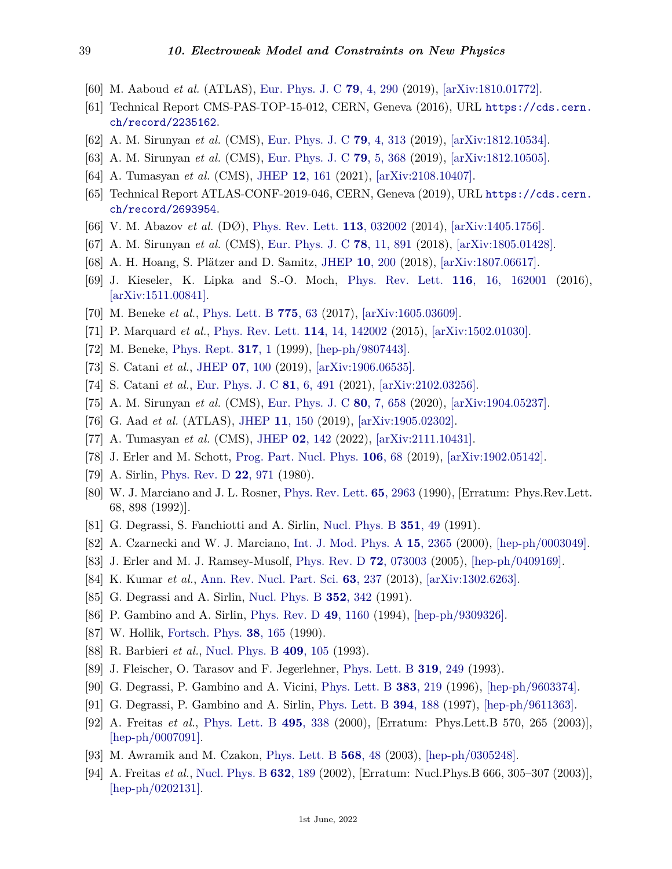- <span id="page-38-0"></span>[60] M. Aaboud *et al.* (ATLAS), [Eur. Phys. J. C](http://doi.org/10.1140/epjc/s10052-019-6757-9) **79**[, 4, 290](http://doi.org/10.1140/epjc/s10052-019-6757-9) (2019), [\[arXiv:1810.01772\].](https://arxiv.org/abs/1810.01772)
- <span id="page-38-1"></span>[61] Technical Report CMS-PAS-TOP-15-012, CERN, Geneva (2016), URL [https://cds.cern.](https://cds.cern.ch/record/2235162) [ch/record/2235162](https://cds.cern.ch/record/2235162).
- <span id="page-38-2"></span>[62] A. M. Sirunyan *et al.* (CMS), [Eur. Phys. J. C](http://doi.org/10.1140/epjc/s10052-019-6788-2) **79**[, 4, 313](http://doi.org/10.1140/epjc/s10052-019-6788-2) (2019), [\[arXiv:1812.10534\].](https://arxiv.org/abs/1812.10534)
- <span id="page-38-3"></span>[63] A. M. Sirunyan *et al.* (CMS), [Eur. Phys. J. C](http://doi.org/10.1140/epjc/s10052-019-6863-8) **79**[, 5, 368](http://doi.org/10.1140/epjc/s10052-019-6863-8) (2019), [\[arXiv:1812.10505\].](https://arxiv.org/abs/1812.10505)
- <span id="page-38-4"></span>[64] A. Tumasyan *et al.* (CMS), [JHEP](http://doi.org/10.1007/JHEP12(2021)161) **12**[, 161](http://doi.org/10.1007/JHEP12(2021)161) (2021), [\[arXiv:2108.10407\].](https://arxiv.org/abs/2108.10407)
- <span id="page-38-5"></span>[65] Technical Report ATLAS-CONF-2019-046, CERN, Geneva (2019), URL [https://cds.cern.](https://cds.cern.ch/record/2693954) [ch/record/2693954](https://cds.cern.ch/record/2693954).
- <span id="page-38-6"></span>[66] V. M. Abazov *et al.* (DØ), [Phys. Rev. Lett.](http://doi.org/10.1103/PhysRevLett.113.032002) **113**[, 032002](http://doi.org/10.1103/PhysRevLett.113.032002) (2014), [\[arXiv:1405.1756\].](https://arxiv.org/abs/1405.1756)
- <span id="page-38-7"></span>[67] A. M. Sirunyan *et al.* (CMS), [Eur. Phys. J. C](http://doi.org/10.1140/epjc/s10052-018-6332-9) **78**[, 11, 891](http://doi.org/10.1140/epjc/s10052-018-6332-9) (2018), [\[arXiv:1805.01428\].](https://arxiv.org/abs/1805.01428)
- <span id="page-38-8"></span>[68] A. H. Hoang, S. Plätzer and D. Samitz, [JHEP](http://doi.org/10.1007/JHEP10(2018)200) **10**[, 200](http://doi.org/10.1007/JHEP10(2018)200) (2018), [\[arXiv:1807.06617\].](https://arxiv.org/abs/1807.06617)
- <span id="page-38-16"></span>[69] J. Kieseler, K. Lipka and S.-O. Moch, [Phys. Rev. Lett.](http://doi.org/10.1103/PhysRevLett.116.162001) **116**[, 16, 162001](http://doi.org/10.1103/PhysRevLett.116.162001) (2016), [\[arXiv:1511.00841\].](https://arxiv.org/abs/1511.00841)
- <span id="page-38-9"></span>[70] M. Beneke *et al.*, [Phys. Lett. B](http://doi.org/10.1016/j.physletb.2017.10.054) **[775](http://doi.org/10.1016/j.physletb.2017.10.054)**, 63 (2017), [\[arXiv:1605.03609\].](https://arxiv.org/abs/1605.03609)
- <span id="page-38-10"></span>[71] P. Marquard *et al.*, [Phys. Rev. Lett.](http://doi.org/10.1103/PhysRevLett.114.142002) **114**[, 14, 142002](http://doi.org/10.1103/PhysRevLett.114.142002) (2015), [\[arXiv:1502.01030\].](https://arxiv.org/abs/1502.01030)
- <span id="page-38-11"></span>[72] M. Beneke, [Phys. Rept.](http://doi.org/10.1016/S0370-1573(98)00130-6) **[317](http://doi.org/10.1016/S0370-1573(98)00130-6)**, 1 (1999), [\[hep-ph/9807443\].](https://arxiv.org/abs/hep-ph/9807443)
- <span id="page-38-12"></span>[73] S. Catani *et al.*, [JHEP](http://doi.org/10.1007/JHEP07(2019)100) **07**[, 100](http://doi.org/10.1007/JHEP07(2019)100) (2019), [\[arXiv:1906.06535\].](https://arxiv.org/abs/1906.06535)
- <span id="page-38-13"></span>[74] S. Catani *et al.*, [Eur. Phys. J. C](http://doi.org/10.1140/epjc/s10052-021-09247-w) **81**[, 6, 491](http://doi.org/10.1140/epjc/s10052-021-09247-w) (2021), [\[arXiv:2102.03256\].](https://arxiv.org/abs/2102.03256)
- <span id="page-38-14"></span>[75] A. M. Sirunyan *et al.* (CMS), [Eur. Phys. J. C](http://doi.org/10.1140/epjc/s10052-020-7917-7) **80**[, 7, 658](http://doi.org/10.1140/epjc/s10052-020-7917-7) (2020), [\[arXiv:1904.05237\].](https://arxiv.org/abs/1904.05237)
- [76] G. Aad *et al.* (ATLAS), [JHEP](http://doi.org/10.1007/JHEP11(2019)150) **11**[, 150](http://doi.org/10.1007/JHEP11(2019)150) (2019), [\[arXiv:1905.02302\].](https://arxiv.org/abs/1905.02302)
- <span id="page-38-15"></span>[77] A. Tumasyan *et al.* (CMS), [JHEP](http://doi.org/10.1007/JHEP02(2022)142) **02**[, 142](http://doi.org/10.1007/JHEP02(2022)142) (2022), [\[arXiv:2111.10431\].](https://arxiv.org/abs/2111.10431)
- <span id="page-38-17"></span>[78] J. Erler and M. Schott, [Prog. Part. Nucl. Phys.](http://doi.org/10.1016/j.ppnp.2019.02.007) **[106](http://doi.org/10.1016/j.ppnp.2019.02.007)**, 68 (2019), [\[arXiv:1902.05142\].](https://arxiv.org/abs/1902.05142)
- <span id="page-38-18"></span>[79] A. Sirlin, [Phys. Rev. D](http://doi.org/10.1103/PhysRevD.22.971) **22**[, 971](http://doi.org/10.1103/PhysRevD.22.971) (1980).
- <span id="page-38-19"></span>[80] W. J. Marciano and J. L. Rosner, [Phys. Rev. Lett.](http://doi.org/10.1103/PhysRevLett.65.2963) **65**[, 2963](http://doi.org/10.1103/PhysRevLett.65.2963) (1990), [Erratum: Phys.Rev.Lett. 68, 898 (1992)].
- <span id="page-38-20"></span>[81] G. Degrassi, S. Fanchiotti and A. Sirlin, [Nucl. Phys. B](http://doi.org/10.1016/0550-3213(91)90081-8) **[351](http://doi.org/10.1016/0550-3213(91)90081-8)**, 49 (1991).
- <span id="page-38-21"></span>[82] A. Czarnecki and W. J. Marciano, [Int. J. Mod. Phys. A](http://doi.org/10.1016/S0217-751X(00)00243-0) **15**[, 2365](http://doi.org/10.1016/S0217-751X(00)00243-0) (2000), [\[hep-ph/0003049\].](https://arxiv.org/abs/hep-ph/0003049)
- <span id="page-38-32"></span>[83] J. Erler and M. J. Ramsey-Musolf, [Phys. Rev. D](http://doi.org/10.1103/PhysRevD.72.073003) **72**[, 073003](http://doi.org/10.1103/PhysRevD.72.073003) (2005), [\[hep-ph/0409169\].](https://arxiv.org/abs/hep-ph/0409169)
- <span id="page-38-22"></span>[84] K. Kumar *et al.*, [Ann. Rev. Nucl. Part. Sci.](http://doi.org/10.1146/annurev-nucl-102212-170556) **63**[, 237](http://doi.org/10.1146/annurev-nucl-102212-170556) (2013), [\[arXiv:1302.6263\].](https://arxiv.org/abs/1302.6263)
- <span id="page-38-23"></span>[85] G. Degrassi and A. Sirlin, [Nucl. Phys. B](http://doi.org/10.1016/0550-3213(91)90446-5) **352**[, 342](http://doi.org/10.1016/0550-3213(91)90446-5) (1991).
- <span id="page-38-24"></span>[86] P. Gambino and A. Sirlin, [Phys. Rev. D](http://doi.org/10.1103/PhysRevD.49.R1160) **49**[, 1160](http://doi.org/10.1103/PhysRevD.49.R1160) (1994), [\[hep-ph/9309326\].](https://arxiv.org/abs/hep-ph/9309326)
- <span id="page-38-25"></span>[87] W. Hollik, [Fortsch. Phys.](http://doi.org/10.1002/prop.2190380302) **38**[, 165](http://doi.org/10.1002/prop.2190380302) (1990).
- <span id="page-38-26"></span>[88] R. Barbieri *et al.*, [Nucl. Phys. B](http://doi.org/10.1016/0550-3213(93)90448-X) **409**[, 105](http://doi.org/10.1016/0550-3213(93)90448-X) (1993).
- <span id="page-38-27"></span>[89] J. Fleischer, O. Tarasov and F. Jegerlehner, [Phys. Lett. B](http://doi.org/10.1016/0370-2693(93)90810-5) **319**[, 249](http://doi.org/10.1016/0370-2693(93)90810-5) (1993).
- <span id="page-38-28"></span>[90] G. Degrassi, P. Gambino and A. Vicini, [Phys. Lett. B](http://doi.org/10.1016/0370-2693(96)00720-4) **383**[, 219](http://doi.org/10.1016/0370-2693(96)00720-4) (1996), [\[hep-ph/9603374\].](https://arxiv.org/abs/hep-ph/9603374)
- <span id="page-38-29"></span>[91] G. Degrassi, P. Gambino and A. Sirlin, [Phys. Lett. B](http://doi.org/10.1016/S0370-2693(96)01677-2) **394**[, 188](http://doi.org/10.1016/S0370-2693(96)01677-2) (1997), [\[hep-ph/9611363\].](https://arxiv.org/abs/hep-ph/9611363)
- <span id="page-38-30"></span>[92] A. Freitas *et al.*, [Phys. Lett. B](http://doi.org/10.1016/S0370-2693(00)01263-6) **495**[, 338](http://doi.org/10.1016/S0370-2693(00)01263-6) (2000), [Erratum: Phys.Lett.B 570, 265 (2003)], [\[hep-ph/0007091\].](https://arxiv.org/abs/hep-ph/0007091)
- [93] M. Awramik and M. Czakon, [Phys. Lett. B](http://doi.org/10.1016/j.physletb.2003.06.007) **[568](http://doi.org/10.1016/j.physletb.2003.06.007)**, 48 (2003), [\[hep-ph/0305248\].](https://arxiv.org/abs/hep-ph/0305248)
- <span id="page-38-31"></span>[94] A. Freitas *et al.*, [Nucl. Phys. B](http://doi.org/10.1016/S0550-3213(02)00243-2) **632**[, 189](http://doi.org/10.1016/S0550-3213(02)00243-2) (2002), [Erratum: Nucl.Phys.B 666, 305–307 (2003)], [\[hep-ph/0202131\].](https://arxiv.org/abs/hep-ph/0202131)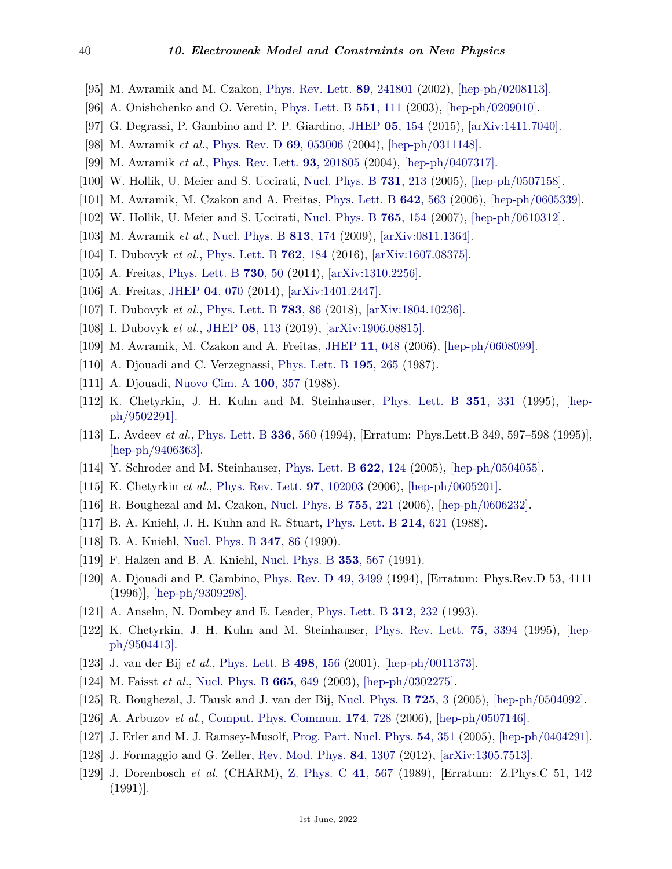- [95] M. Awramik and M. Czakon, [Phys. Rev. Lett.](http://doi.org/10.1103/PhysRevLett.89.241801) **89**[, 241801](http://doi.org/10.1103/PhysRevLett.89.241801) (2002), [\[hep-ph/0208113\].](https://arxiv.org/abs/hep-ph/0208113)
- <span id="page-39-0"></span>[96] A. Onishchenko and O. Veretin, [Phys. Lett. B](http://doi.org/10.1016/S0370-2693(02)03004-6) **551**[, 111](http://doi.org/10.1016/S0370-2693(02)03004-6) (2003), [\[hep-ph/0209010\].](https://arxiv.org/abs/hep-ph/0209010)
- <span id="page-39-1"></span>[97] G. Degrassi, P. Gambino and P. P. Giardino, [JHEP](http://doi.org/10.1007/JHEP05(2015)154) **05**[, 154](http://doi.org/10.1007/JHEP05(2015)154) (2015), [\[arXiv:1411.7040\].](https://arxiv.org/abs/1411.7040)
- <span id="page-39-2"></span>[98] M. Awramik *et al.*, [Phys. Rev. D](http://doi.org/10.1103/PhysRevD.69.053006) **69**[, 053006](http://doi.org/10.1103/PhysRevD.69.053006) (2004), [\[hep-ph/0311148\].](https://arxiv.org/abs/hep-ph/0311148)
- <span id="page-39-3"></span>[99] M. Awramik *et al.*, [Phys. Rev. Lett.](http://doi.org/10.1103/PhysRevLett.93.201805) **93**[, 201805](http://doi.org/10.1103/PhysRevLett.93.201805) (2004), [\[hep-ph/0407317\].](https://arxiv.org/abs/hep-ph/0407317)
- [100] W. Hollik, U. Meier and S. Uccirati, [Nucl. Phys. B](http://doi.org/10.1016/j.nuclphysb.2005.10.015) **731**[, 213](http://doi.org/10.1016/j.nuclphysb.2005.10.015) (2005), [\[hep-ph/0507158\].](https://arxiv.org/abs/hep-ph/0507158)
- [101] M. Awramik, M. Czakon and A. Freitas, [Phys. Lett. B](http://doi.org/10.1016/j.physletb.2006.07.035) **642**[, 563](http://doi.org/10.1016/j.physletb.2006.07.035) (2006), [\[hep-ph/0605339\].](https://arxiv.org/abs/hep-ph/0605339)
- [102] W. Hollik, U. Meier and S. Uccirati, [Nucl. Phys. B](http://doi.org/10.1016/j.nuclphysb.2006.12.001) **765**[, 154](http://doi.org/10.1016/j.nuclphysb.2006.12.001) (2007), [\[hep-ph/0610312\].](https://arxiv.org/abs/hep-ph/0610312)
- [103] M. Awramik *et al.*, [Nucl. Phys. B](http://doi.org/10.1016/j.nuclphysb.2008.12.031) **813**[, 174](http://doi.org/10.1016/j.nuclphysb.2008.12.031) (2009), [\[arXiv:0811.1364\].](https://arxiv.org/abs/0811.1364)
- <span id="page-39-4"></span>[104] I. Dubovyk *et al.*, [Phys. Lett. B](http://doi.org/10.1016/j.physletb.2016.09.012) **762**[, 184](http://doi.org/10.1016/j.physletb.2016.09.012) (2016), [\[arXiv:1607.08375\].](https://arxiv.org/abs/1607.08375)
- <span id="page-39-5"></span>[105] A. Freitas, [Phys. Lett. B](http://doi.org/10.1016/j.physletb.2014.01.017) **[730](http://doi.org/10.1016/j.physletb.2014.01.017)**, 50 (2014), [\[arXiv:1310.2256\].](https://arxiv.org/abs/1310.2256)
- <span id="page-39-25"></span>[106] A. Freitas, [JHEP](http://doi.org/10.1007/JHEP04(2014)070) **04**[, 070](http://doi.org/10.1007/JHEP04(2014)070) (2014), [\[arXiv:1401.2447\].](https://arxiv.org/abs/1401.2447)
- <span id="page-39-26"></span>[107] I. Dubovyk *et al.*, [Phys. Lett. B](http://doi.org/10.1016/j.physletb.2018.06.037) **[783](http://doi.org/10.1016/j.physletb.2018.06.037)**, 86 (2018), [\[arXiv:1804.10236\].](https://arxiv.org/abs/1804.10236)
- <span id="page-39-6"></span>[108] I. Dubovyk *et al.*, [JHEP](http://doi.org/10.1007/JHEP08(2019)113) **08**[, 113](http://doi.org/10.1007/JHEP08(2019)113) (2019), [\[arXiv:1906.08815\].](https://arxiv.org/abs/1906.08815)
- <span id="page-39-7"></span>[109] M. Awramik, M. Czakon and A. Freitas, [JHEP](http://doi.org/10.1088/1126-6708/2006/11/048) **11**[, 048](http://doi.org/10.1088/1126-6708/2006/11/048) (2006), [\[hep-ph/0608099\].](https://arxiv.org/abs/hep-ph/0608099)
- <span id="page-39-8"></span>[110] A. Djouadi and C. Verzegnassi, [Phys. Lett. B](http://doi.org/10.1016/0370-2693(87)91206-8) **195**[, 265](http://doi.org/10.1016/0370-2693(87)91206-8) (1987).
- <span id="page-39-9"></span>[111] A. Djouadi, [Nuovo Cim. A](http://doi.org/10.1007/BF02812964) **100**[, 357](http://doi.org/10.1007/BF02812964) (1988).
- <span id="page-39-10"></span>[112] K. Chetyrkin, J. H. Kuhn and M. Steinhauser, [Phys. Lett. B](http://doi.org/10.1016/0370-2693(95)00380-4) **351**[, 331](http://doi.org/10.1016/0370-2693(95)00380-4) (1995), [\[hep](https://arxiv.org/abs/hep-ph/9502291)[ph/9502291\].](https://arxiv.org/abs/hep-ph/9502291)
- <span id="page-39-11"></span>[113] L. Avdeev *et al.*, [Phys. Lett. B](http://doi.org/10.1016/0370-2693(94)90573-8) **336**[, 560](http://doi.org/10.1016/0370-2693(94)90573-8) (1994), [Erratum: Phys.Lett.B 349, 597–598 (1995)], [\[hep-ph/9406363\].](https://arxiv.org/abs/hep-ph/9406363)
- <span id="page-39-12"></span>[114] Y. Schroder and M. Steinhauser, [Phys. Lett. B](http://doi.org/10.1016/j.physletb.2005.06.085) **622**[, 124](http://doi.org/10.1016/j.physletb.2005.06.085) (2005), [\[hep-ph/0504055\].](https://arxiv.org/abs/hep-ph/0504055)
- [115] K. Chetyrkin *et al.*, [Phys. Rev. Lett.](http://doi.org/10.1103/PhysRevLett.97.102003) **97**[, 102003](http://doi.org/10.1103/PhysRevLett.97.102003) (2006), [\[hep-ph/0605201\].](https://arxiv.org/abs/hep-ph/0605201)
- <span id="page-39-13"></span>[116] R. Boughezal and M. Czakon, [Nucl. Phys. B](http://doi.org/10.1016/j.nuclphysb.2006.08.007) **755**[, 221](http://doi.org/10.1016/j.nuclphysb.2006.08.007) (2006), [\[hep-ph/0606232\].](https://arxiv.org/abs/hep-ph/0606232)
- <span id="page-39-14"></span>[117] B. A. Kniehl, J. H. Kuhn and R. Stuart, [Phys. Lett. B](http://doi.org/10.1016/0370-2693(88)90132-3) **214**[, 621](http://doi.org/10.1016/0370-2693(88)90132-3) (1988).
- [118] B. A. Kniehl, [Nucl. Phys. B](http://doi.org/10.1016/0550-3213(90)90552-O) **[347](http://doi.org/10.1016/0550-3213(90)90552-O)**, 86 (1990).
- [119] F. Halzen and B. A. Kniehl, [Nucl. Phys. B](http://doi.org/10.1016/0550-3213(91)90319-S) **353**[, 567](http://doi.org/10.1016/0550-3213(91)90319-S) (1991).
- <span id="page-39-15"></span>[120] A. Djouadi and P. Gambino, [Phys. Rev. D](http://doi.org/10.1103/PhysRevD.49.3499) **49**[, 3499](http://doi.org/10.1103/PhysRevD.49.3499) (1994), [Erratum: Phys.Rev.D 53, 4111 (1996)], [\[hep-ph/9309298\].](https://arxiv.org/abs/hep-ph/9309298)
- <span id="page-39-16"></span>[121] A. Anselm, N. Dombey and E. Leader, [Phys. Lett. B](http://doi.org/10.1016/0370-2693(93)90516-K) **312**[, 232](http://doi.org/10.1016/0370-2693(93)90516-K) (1993).
- <span id="page-39-17"></span>[122] K. Chetyrkin, J. H. Kuhn and M. Steinhauser, [Phys. Rev. Lett.](http://doi.org/10.1103/PhysRevLett.75.3394) **75**[, 3394](http://doi.org/10.1103/PhysRevLett.75.3394) (1995), [\[hep](https://arxiv.org/abs/hep-ph/9504413)[ph/9504413\].](https://arxiv.org/abs/hep-ph/9504413)
- <span id="page-39-18"></span>[123] J. van der Bij *et al.*, [Phys. Lett. B](http://doi.org/10.1016/S0370-2693(01)00002-8) **498**[, 156](http://doi.org/10.1016/S0370-2693(01)00002-8) (2001), [\[hep-ph/0011373\].](https://arxiv.org/abs/hep-ph/0011373)
- <span id="page-39-19"></span>[124] M. Faisst *et al.*, [Nucl. Phys. B](http://doi.org/10.1016/S0550-3213(03)00450-4) **665**[, 649](http://doi.org/10.1016/S0550-3213(03)00450-4) (2003), [\[hep-ph/0302275\].](https://arxiv.org/abs/hep-ph/0302275)
- <span id="page-39-20"></span>[125] R. Boughezal, J. Tausk and J. van der Bij, [Nucl. Phys. B](http://doi.org/10.1016/j.nuclphysb.2005.07.013) **[725](http://doi.org/10.1016/j.nuclphysb.2005.07.013)**, 3 (2005), [\[hep-ph/0504092\].](https://arxiv.org/abs/hep-ph/0504092)
- <span id="page-39-21"></span>[126] A. Arbuzov *et al.*, [Comput. Phys. Commun.](http://doi.org/10.1016/j.cpc.2005.12.009) **174**[, 728](http://doi.org/10.1016/j.cpc.2005.12.009) (2006), [\[hep-ph/0507146\].](https://arxiv.org/abs/hep-ph/0507146)
- <span id="page-39-22"></span>[127] J. Erler and M. J. Ramsey-Musolf, [Prog. Part. Nucl. Phys.](http://doi.org/10.1016/j.ppnp.2004.08.001) **54**[, 351](http://doi.org/10.1016/j.ppnp.2004.08.001) (2005), [\[hep-ph/0404291\].](https://arxiv.org/abs/hep-ph/0404291)
- <span id="page-39-23"></span>[128] J. Formaggio and G. Zeller, [Rev. Mod. Phys.](http://doi.org/10.1103/RevModPhys.84.1307) **84**[, 1307](http://doi.org/10.1103/RevModPhys.84.1307) (2012), [\[arXiv:1305.7513\].](https://arxiv.org/abs/1305.7513)
- <span id="page-39-24"></span>[129] J. Dorenbosch *et al.* (CHARM), [Z. Phys. C](http://doi.org/10.1007/BF01564701) **41**[, 567](http://doi.org/10.1007/BF01564701) (1989), [Erratum: Z.Phys.C 51, 142 (1991)].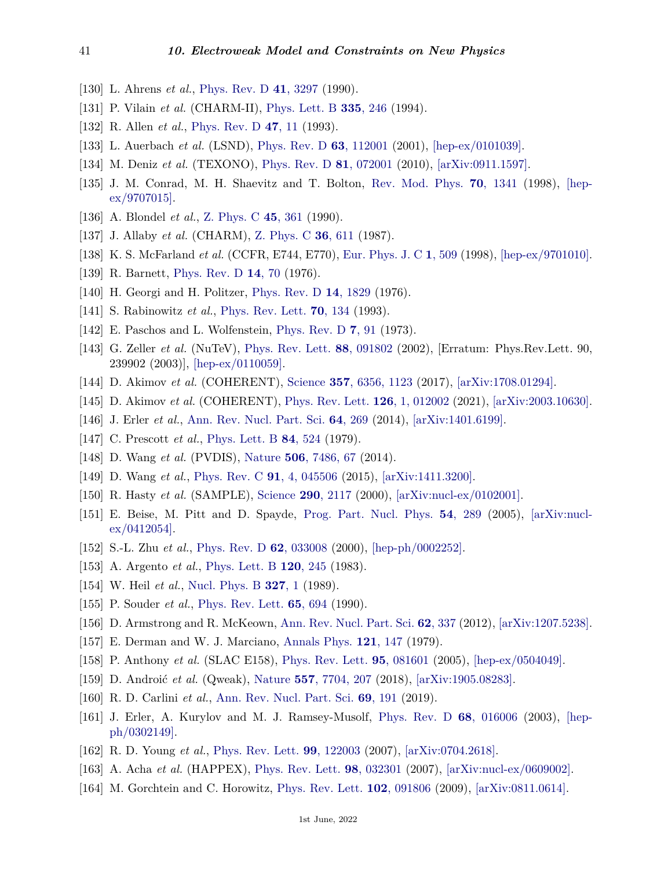- <span id="page-40-0"></span>[130] L. Ahrens *et al.*, [Phys. Rev. D](http://doi.org/10.1103/PhysRevD.41.3297) **41**[, 3297](http://doi.org/10.1103/PhysRevD.41.3297) (1990).
- <span id="page-40-1"></span>[131] P. Vilain *et al.* (CHARM-II), [Phys. Lett. B](http://doi.org/10.1016/0370-2693(94)91421-4) **335**[, 246](http://doi.org/10.1016/0370-2693(94)91421-4) (1994).
- <span id="page-40-3"></span>[132] R. Allen *et al.*, [Phys. Rev. D](http://doi.org/10.1103/PhysRevD.47.11) **47**[, 11](http://doi.org/10.1103/PhysRevD.47.11) (1993).
- <span id="page-40-4"></span>[133] L. Auerbach *et al.* (LSND), [Phys. Rev. D](http://doi.org/10.1103/PhysRevD.63.112001) **63**[, 112001](http://doi.org/10.1103/PhysRevD.63.112001) (2001), [\[hep-ex/0101039\].](https://arxiv.org/abs/hep-ex/0101039)
- <span id="page-40-5"></span>[134] M. Deniz *et al.* (TEXONO), [Phys. Rev. D](http://doi.org/10.1103/PhysRevD.81.072001) **81**[, 072001](http://doi.org/10.1103/PhysRevD.81.072001) (2010), [\[arXiv:0911.1597\].](https://arxiv.org/abs/0911.1597)
- <span id="page-40-2"></span>[135] J. M. Conrad, M. H. Shaevitz and T. Bolton, [Rev. Mod. Phys.](http://doi.org/10.1103/RevModPhys.70.1341) **70**[, 1341](http://doi.org/10.1103/RevModPhys.70.1341) (1998), [\[hep](https://arxiv.org/abs/hep-ex/9707015) $ex/9707015$ .
- <span id="page-40-6"></span>[136] A. Blondel *et al.*, [Z. Phys. C](http://doi.org/10.1007/BF01549665) **45**[, 361](http://doi.org/10.1007/BF01549665) (1990).
- <span id="page-40-7"></span>[137] J. Allaby *et al.* (CHARM), [Z. Phys. C](http://doi.org/10.1007/BF01630598) **36**[, 611](http://doi.org/10.1007/BF01630598) (1987).
- <span id="page-40-8"></span>[138] K. S. McFarland *et al.* (CCFR, E744, E770), [Eur. Phys. J. C](http://doi.org/10.1007/s100520050099) **1**[, 509](http://doi.org/10.1007/s100520050099) (1998), [\[hep-ex/9701010\].](https://arxiv.org/abs/hep-ex/9701010)
- <span id="page-40-9"></span>[139] R. Barnett, [Phys. Rev. D](http://doi.org/10.1103/PhysRevD.14.70) **14**[, 70](http://doi.org/10.1103/PhysRevD.14.70) (1976).
- <span id="page-40-11"></span><span id="page-40-10"></span>[140] H. Georgi and H. Politzer, [Phys. Rev. D](http://doi.org/10.1103/PhysRevD.14.1829) **14**[, 1829](http://doi.org/10.1103/PhysRevD.14.1829) (1976).
- <span id="page-40-12"></span>[141] S. Rabinowitz *et al.*, [Phys. Rev. Lett.](http://doi.org/10.1103/PhysRevLett.70.134) **70**[, 134](http://doi.org/10.1103/PhysRevLett.70.134) (1993).
- [142] E. Paschos and L. Wolfenstein, [Phys. Rev. D](http://doi.org/10.1103/PhysRevD.7.91) **7**[, 91](http://doi.org/10.1103/PhysRevD.7.91) (1973).
- <span id="page-40-13"></span>[143] G. Zeller *et al.* (NuTeV), [Phys. Rev. Lett.](http://doi.org/10.1103/PhysRevLett.88.091802) **88**[, 091802](http://doi.org/10.1103/PhysRevLett.88.091802) (2002), [Erratum: Phys.Rev.Lett. 90, 239902 (2003)], [\[hep-ex/0110059\].](https://arxiv.org/abs/hep-ex/0110059)
- <span id="page-40-14"></span>[144] D. Akimov *et al.* (COHERENT), [Science](http://doi.org/10.1126/science.aao0990) **357**[, 6356, 1123](http://doi.org/10.1126/science.aao0990) (2017), [\[arXiv:1708.01294\].](https://arxiv.org/abs/1708.01294)
- <span id="page-40-15"></span>[145] D. Akimov *et al.* (COHERENT), [Phys. Rev. Lett.](http://doi.org/10.1103/PhysRevLett.126.012002) **126**[, 1, 012002](http://doi.org/10.1103/PhysRevLett.126.012002) (2021), [\[arXiv:2003.10630\].](https://arxiv.org/abs/2003.10630)
- <span id="page-40-16"></span>[146] J. Erler *et al.*, [Ann. Rev. Nucl. Part. Sci.](http://doi.org/10.1146/annurev-nucl-102313-025520) **64**[, 269](http://doi.org/10.1146/annurev-nucl-102313-025520) (2014), [\[arXiv:1401.6199\].](https://arxiv.org/abs/1401.6199)
- <span id="page-40-17"></span>[147] C. Prescott *et al.*, [Phys. Lett. B](http://doi.org/10.1016/0370-2693(79)91253-X) **84**[, 524](http://doi.org/10.1016/0370-2693(79)91253-X) (1979).
- <span id="page-40-18"></span>[148] D. Wang *et al.* (PVDIS), [Nature](http://doi.org/10.1038/nature12964) **506**[, 7486, 67](http://doi.org/10.1038/nature12964) (2014).
- <span id="page-40-19"></span>[149] D. Wang *et al.*, [Phys. Rev. C](http://doi.org/10.1103/PhysRevC.91.045506) **91**[, 4, 045506](http://doi.org/10.1103/PhysRevC.91.045506) (2015), [\[arXiv:1411.3200\].](https://arxiv.org/abs/1411.3200)
- <span id="page-40-20"></span>[150] R. Hasty *et al.* (SAMPLE), [Science](http://doi.org/10.1126/science.290.5499.2117) **290**[, 2117](http://doi.org/10.1126/science.290.5499.2117) (2000), [\[arXiv:nucl-ex/0102001\].](https://arxiv.org/abs/nucl-ex/0102001)
- <span id="page-40-21"></span>[151] E. Beise, M. Pitt and D. Spayde, [Prog. Part. Nucl. Phys.](http://doi.org/10.1016/j.ppnp.2004.07.002) **54**[, 289](http://doi.org/10.1016/j.ppnp.2004.07.002) (2005), [\[arXiv:nucl](https://arxiv.org/abs/nucl-ex/0412054) $ex/0412054$ .
- <span id="page-40-22"></span>[152] S.-L. Zhu *et al.*, [Phys. Rev. D](http://doi.org/10.1103/PhysRevD.62.033008) **62**[, 033008](http://doi.org/10.1103/PhysRevD.62.033008) (2000), [\[hep-ph/0002252\].](https://arxiv.org/abs/hep-ph/0002252)
- <span id="page-40-23"></span>[153] A. Argento *et al.*, [Phys. Lett. B](http://doi.org/10.1016/0370-2693(83)90665-2) **120**[, 245](http://doi.org/10.1016/0370-2693(83)90665-2) (1983).
- <span id="page-40-25"></span><span id="page-40-24"></span>[154] W. Heil *et al.*, [Nucl. Phys. B](http://doi.org/10.1016/0550-3213(89)90284-8) **[327](http://doi.org/10.1016/0550-3213(89)90284-8)**, 1 (1989).
- <span id="page-40-26"></span>[155] P. Souder *et al.*, [Phys. Rev. Lett.](http://doi.org/10.1103/PhysRevLett.65.694) **65**[, 694](http://doi.org/10.1103/PhysRevLett.65.694) (1990).
- [156] D. Armstrong and R. McKeown, [Ann. Rev. Nucl. Part. Sci.](http://doi.org/10.1146/annurev-nucl-102010-130419) **62**[, 337](http://doi.org/10.1146/annurev-nucl-102010-130419) (2012), [\[arXiv:1207.5238\].](https://arxiv.org/abs/1207.5238)
- <span id="page-40-27"></span>[157] E. Derman and W. J. Marciano, [Annals Phys.](http://doi.org/10.1016/0003-4916(79)90095-2) **121**[, 147](http://doi.org/10.1016/0003-4916(79)90095-2) (1979).
- <span id="page-40-28"></span>[158] P. Anthony *et al.* (SLAC E158), [Phys. Rev. Lett.](http://doi.org/10.1103/PhysRevLett.95.081601) **95**[, 081601](http://doi.org/10.1103/PhysRevLett.95.081601) (2005), [\[hep-ex/0504049\].](https://arxiv.org/abs/hep-ex/0504049)
- <span id="page-40-29"></span>[159] D. Androić *et al.* (Qweak), [Nature](http://doi.org/10.1038/s41586-018-0096-0) **557**[, 7704, 207](http://doi.org/10.1038/s41586-018-0096-0) (2018), [\[arXiv:1905.08283\].](https://arxiv.org/abs/1905.08283)
- <span id="page-40-30"></span>[160] R. D. Carlini *et al.*, [Ann. Rev. Nucl. Part. Sci.](http://doi.org/10.1146/annurev-nucl-101918-023633) **69**[, 191](http://doi.org/10.1146/annurev-nucl-101918-023633) (2019).
- <span id="page-40-31"></span>[161] J. Erler, A. Kurylov and M. J. Ramsey-Musolf, [Phys. Rev. D](http://doi.org/10.1103/PhysRevD.68.016006) **68**[, 016006](http://doi.org/10.1103/PhysRevD.68.016006) (2003), [\[hep](https://arxiv.org/abs/hep-ph/0302149)[ph/0302149\].](https://arxiv.org/abs/hep-ph/0302149)
- <span id="page-40-32"></span>[162] R. D. Young *et al.*, [Phys. Rev. Lett.](http://doi.org/10.1103/PhysRevLett.99.122003) **99**[, 122003](http://doi.org/10.1103/PhysRevLett.99.122003) (2007), [\[arXiv:0704.2618\].](https://arxiv.org/abs/0704.2618)
- <span id="page-40-34"></span><span id="page-40-33"></span>[163] A. Acha *et al.* (HAPPEX), [Phys. Rev. Lett.](http://doi.org/10.1103/PhysRevLett.98.032301) **98**[, 032301](http://doi.org/10.1103/PhysRevLett.98.032301) (2007), [\[arXiv:nucl-ex/0609002\].](https://arxiv.org/abs/nucl-ex/0609002)
- [164] M. Gorchtein and C. Horowitz, [Phys. Rev. Lett.](http://doi.org/10.1103/PhysRevLett.102.091806) **102**[, 091806](http://doi.org/10.1103/PhysRevLett.102.091806) (2009), [\[arXiv:0811.0614\].](https://arxiv.org/abs/0811.0614)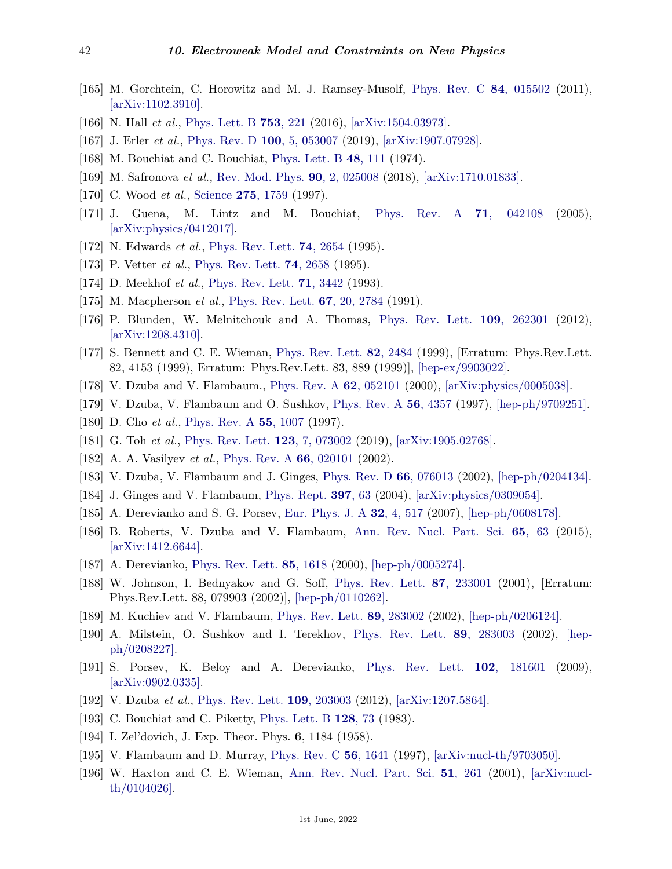- [165] M. Gorchtein, C. Horowitz and M. J. Ramsey-Musolf, [Phys. Rev. C](http://doi.org/10.1103/PhysRevC.84.015502) **84**[, 015502](http://doi.org/10.1103/PhysRevC.84.015502) (2011), [\[arXiv:1102.3910\].](https://arxiv.org/abs/1102.3910)
- [166] N. Hall *et al.*, [Phys. Lett. B](http://doi.org/10.1016/j.physletb.2015.11.081) **753**[, 221](http://doi.org/10.1016/j.physletb.2015.11.081) (2016), [\[arXiv:1504.03973\].](https://arxiv.org/abs/1504.03973)
- <span id="page-41-0"></span>[167] J. Erler *et al.*, [Phys. Rev. D](http://doi.org/10.1103/PhysRevD.100.053007) **100**[, 5, 053007](http://doi.org/10.1103/PhysRevD.100.053007) (2019), [\[arXiv:1907.07928\].](https://arxiv.org/abs/1907.07928)
- <span id="page-41-1"></span>[168] M. Bouchiat and C. Bouchiat, [Phys. Lett. B](http://doi.org/10.1016/0370-2693(74)90656-X) **48**[, 111](http://doi.org/10.1016/0370-2693(74)90656-X) (1974).
- <span id="page-41-3"></span><span id="page-41-2"></span>[169] M. Safronova *et al.*, [Rev. Mod. Phys.](http://doi.org/10.1103/RevModPhys.90.025008) **90**[, 2, 025008](http://doi.org/10.1103/RevModPhys.90.025008) (2018), [\[arXiv:1710.01833\].](https://arxiv.org/abs/1710.01833)
- [170] C. Wood *et al.*, [Science](http://doi.org/10.1126/science.275.5307.1759) **275**[, 1759](http://doi.org/10.1126/science.275.5307.1759) (1997).
- <span id="page-41-4"></span>[171] J. Guena, M. Lintz and M. Bouchiat, [Phys. Rev. A](http://doi.org/10.1103/PhysRevA.71.042108) **71**[, 042108](http://doi.org/10.1103/PhysRevA.71.042108) (2005), [\[arXiv:physics/0412017\].](https://arxiv.org/abs/physics/0412017)
- <span id="page-41-5"></span>[172] N. Edwards *et al.*, [Phys. Rev. Lett.](http://doi.org/10.1103/PhysRevLett.74.2654) **74**[, 2654](http://doi.org/10.1103/PhysRevLett.74.2654) (1995).
- <span id="page-41-6"></span>[173] P. Vetter *et al.*, [Phys. Rev. Lett.](http://doi.org/10.1103/PhysRevLett.74.2658) **74**[, 2658](http://doi.org/10.1103/PhysRevLett.74.2658) (1995).
- <span id="page-41-7"></span>[174] D. Meekhof *et al.*, [Phys. Rev. Lett.](http://doi.org/10.1103/PhysRevLett.71.3442) **71**[, 3442](http://doi.org/10.1103/PhysRevLett.71.3442) (1993).
- <span id="page-41-8"></span>[175] M. Macpherson *et al.*, [Phys. Rev. Lett.](http://doi.org/10.1103/PhysRevLett.67.2784) **67**[, 20, 2784](http://doi.org/10.1103/PhysRevLett.67.2784) (1991).
- <span id="page-41-9"></span>[176] P. Blunden, W. Melnitchouk and A. Thomas, [Phys. Rev. Lett.](http://doi.org/10.1103/PhysRevLett.109.262301) **109**[, 262301](http://doi.org/10.1103/PhysRevLett.109.262301) (2012), [\[arXiv:1208.4310\].](https://arxiv.org/abs/1208.4310)
- <span id="page-41-10"></span>[177] S. Bennett and C. E. Wieman, [Phys. Rev. Lett.](http://doi.org/10.1103/PhysRevLett.82.2484) **82**[, 2484](http://doi.org/10.1103/PhysRevLett.82.2484) (1999), [Erratum: Phys.Rev.Lett. 82, 4153 (1999), Erratum: Phys.Rev.Lett. 83, 889 (1999)], [\[hep-ex/9903022\].](https://arxiv.org/abs/hep-ex/9903022)
- <span id="page-41-12"></span><span id="page-41-11"></span>[178] V. Dzuba and V. Flambaum., [Phys. Rev. A](http://doi.org/10.1103/PhysRevA.62.052101) **62**[, 052101](http://doi.org/10.1103/PhysRevA.62.052101) (2000), [\[arXiv:physics/0005038\].](https://arxiv.org/abs/physics/0005038)
- <span id="page-41-13"></span>[179] V. Dzuba, V. Flambaum and O. Sushkov, [Phys. Rev. A](http://doi.org/10.1103/PhysRevA.56.R4357) **56**[, 4357](http://doi.org/10.1103/PhysRevA.56.R4357) (1997), [\[hep-ph/9709251\].](https://arxiv.org/abs/hep-ph/9709251)
- [180] D. Cho *et al.*, [Phys. Rev. A](http://doi.org/10.1103/PhysRevA.55.1007) **55**[, 1007](http://doi.org/10.1103/PhysRevA.55.1007) (1997).
- <span id="page-41-14"></span>[181] G. Toh *et al.*, [Phys. Rev. Lett.](http://doi.org/10.1103/PhysRevLett.123.073002) **123**[, 7, 073002](http://doi.org/10.1103/PhysRevLett.123.073002) (2019), [\[arXiv:1905.02768\].](https://arxiv.org/abs/1905.02768)
- <span id="page-41-15"></span>[182] A. A. Vasilyev *et al.*, [Phys. Rev. A](http://doi.org/10.1103/PhysRevA.66.020101) **66**[, 020101](http://doi.org/10.1103/PhysRevA.66.020101) (2002).
- <span id="page-41-16"></span>[183] V. Dzuba, V. Flambaum and J. Ginges, [Phys. Rev. D](http://doi.org/10.1103/PhysRevD.66.076013) **66**[, 076013](http://doi.org/10.1103/PhysRevD.66.076013) (2002), [\[hep-ph/0204134\].](https://arxiv.org/abs/hep-ph/0204134)
- <span id="page-41-17"></span>[184] J. Ginges and V. Flambaum, [Phys. Rept.](http://doi.org/10.1016/j.physrep.2004.03.005) **[397](http://doi.org/10.1016/j.physrep.2004.03.005)**, 63 (2004), [\[arXiv:physics/0309054\].](https://arxiv.org/abs/physics/0309054)
- [185] A. Derevianko and S. G. Porsev, [Eur. Phys. J. A](http://doi.org/10.1140/epja/i2006-10427-7) **32**[, 4, 517](http://doi.org/10.1140/epja/i2006-10427-7) (2007), [\[hep-ph/0608178\].](https://arxiv.org/abs/hep-ph/0608178)
- <span id="page-41-18"></span>[186] B. Roberts, V. Dzuba and V. Flambaum, [Ann. Rev. Nucl. Part. Sci.](http://doi.org/10.1146/annurev-nucl-102014-022331) **65**[, 63](http://doi.org/10.1146/annurev-nucl-102014-022331) (2015),  $\arXiv:1412.6644$ .
- <span id="page-41-19"></span>[187] A. Derevianko, [Phys. Rev. Lett.](http://doi.org/10.1103/PhysRevLett.85.1618) **85**[, 1618](http://doi.org/10.1103/PhysRevLett.85.1618) (2000), [\[hep-ph/0005274\].](https://arxiv.org/abs/hep-ph/0005274)
- [188] W. Johnson, I. Bednyakov and G. Soff, [Phys. Rev. Lett.](http://doi.org/10.1103/PhysRevLett.87.233001) **87**[, 233001](http://doi.org/10.1103/PhysRevLett.87.233001) (2001), [Erratum: Phys.Rev.Lett. 88, 079903 (2002)], [\[hep-ph/0110262\].](https://arxiv.org/abs/hep-ph/0110262)
- [189] M. Kuchiev and V. Flambaum, [Phys. Rev. Lett.](http://doi.org/10.1103/PhysRevLett.89.283002) **89**[, 283002](http://doi.org/10.1103/PhysRevLett.89.283002) (2002), [\[hep-ph/0206124\].](https://arxiv.org/abs/hep-ph/0206124)
- [190] A. Milstein, O. Sushkov and I. Terekhov, [Phys. Rev. Lett.](http://doi.org/10.1103/PhysRevLett.89.283003) **89**[, 283003](http://doi.org/10.1103/PhysRevLett.89.283003) (2002), [\[hep](https://arxiv.org/abs/hep-ph/0208227)[ph/0208227\].](https://arxiv.org/abs/hep-ph/0208227)
- [191] S. Porsev, K. Beloy and A. Derevianko, [Phys. Rev. Lett.](http://doi.org/10.1103/PhysRevLett.102.181601) **102**[, 181601](http://doi.org/10.1103/PhysRevLett.102.181601) (2009),  $\arXiv:0902.0335$ .
- <span id="page-41-21"></span><span id="page-41-20"></span>[192] V. Dzuba *et al.*, [Phys. Rev. Lett.](http://doi.org/10.1103/PhysRevLett.109.203003) **109**[, 203003](http://doi.org/10.1103/PhysRevLett.109.203003) (2012), [\[arXiv:1207.5864\].](https://arxiv.org/abs/1207.5864)
- [193] C. Bouchiat and C. Piketty, [Phys. Lett. B](http://doi.org/10.1016/0370-2693(83)90076-X) **[128](http://doi.org/10.1016/0370-2693(83)90076-X)**, 73 (1983).
- <span id="page-41-22"></span>[194] I. Zel'dovich, J. Exp. Theor. Phys. **6**, 1184 (1958).
- [195] V. Flambaum and D. Murray, [Phys. Rev. C](http://doi.org/10.1103/PhysRevC.56.1641) **56**[, 1641](http://doi.org/10.1103/PhysRevC.56.1641) (1997), [\[arXiv:nucl-th/9703050\].](https://arxiv.org/abs/nucl-th/9703050)
- <span id="page-41-23"></span>[196] W. Haxton and C. E. Wieman, [Ann. Rev. Nucl. Part. Sci.](http://doi.org/10.1146/annurev.nucl.51.101701.132458) **51**[, 261](http://doi.org/10.1146/annurev.nucl.51.101701.132458) (2001), [\[arXiv:nucl](https://arxiv.org/abs/nucl-th/0104026)[th/0104026\].](https://arxiv.org/abs/nucl-th/0104026)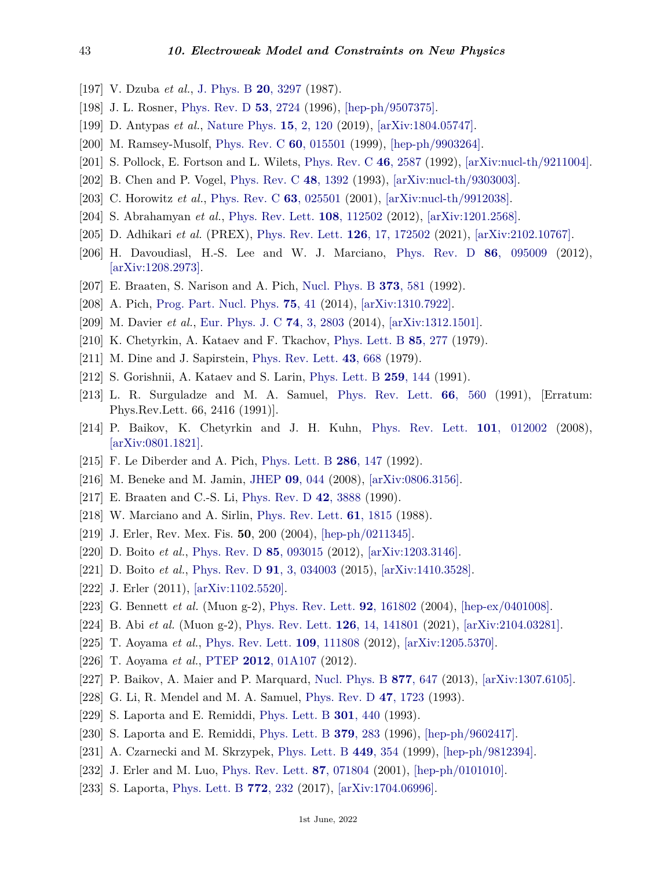- <span id="page-42-0"></span>[197] V. Dzuba *et al.*, [J. Phys. B](http://doi.org/10.1088/0022-3700/20/14/005) **20**[, 3297](http://doi.org/10.1088/0022-3700/20/14/005) (1987).
- <span id="page-42-1"></span>[198] J. L. Rosner, [Phys. Rev. D](http://doi.org/10.1103/PhysRevD.53.2724) **53**[, 2724](http://doi.org/10.1103/PhysRevD.53.2724) (1996), [\[hep-ph/9507375\].](https://arxiv.org/abs/hep-ph/9507375)
- <span id="page-42-2"></span>[199] D. Antypas *et al.*, [Nature Phys.](http://doi.org/10.1038/s41567-018-0312-8) **15**[, 2, 120](http://doi.org/10.1038/s41567-018-0312-8) (2019), [\[arXiv:1804.05747\].](https://arxiv.org/abs/1804.05747)
- <span id="page-42-3"></span>[200] M. Ramsey-Musolf, [Phys. Rev. C](http://doi.org/10.1103/PhysRevC.60.015501) **60**[, 015501](http://doi.org/10.1103/PhysRevC.60.015501) (1999), [\[hep-ph/9903264\].](https://arxiv.org/abs/hep-ph/9903264)
- <span id="page-42-4"></span>[201] S. Pollock, E. Fortson and L. Wilets, [Phys. Rev. C](http://doi.org/10.1103/PhysRevC.46.2587) **46**[, 2587](http://doi.org/10.1103/PhysRevC.46.2587) (1992), [\[arXiv:nucl-th/9211004\].](https://arxiv.org/abs/nucl-th/9211004)
- <span id="page-42-5"></span>[202] B. Chen and P. Vogel, [Phys. Rev. C](http://doi.org/10.1103/PhysRevC.48.1392) **48**[, 1392](http://doi.org/10.1103/PhysRevC.48.1392) (1993), [\[arXiv:nucl-th/9303003\].](https://arxiv.org/abs/nucl-th/9303003)
- <span id="page-42-6"></span>[203] C. Horowitz *et al.*, [Phys. Rev. C](http://doi.org/10.1103/PhysRevC.63.025501) **63**[, 025501](http://doi.org/10.1103/PhysRevC.63.025501) (2001), [\[arXiv:nucl-th/9912038\].](https://arxiv.org/abs/nucl-th/9912038)
- <span id="page-42-7"></span>[204] S. Abrahamyan *et al.*, [Phys. Rev. Lett.](http://doi.org/10.1103/PhysRevLett.108.112502) **108**[, 112502](http://doi.org/10.1103/PhysRevLett.108.112502) (2012), [\[arXiv:1201.2568\].](https://arxiv.org/abs/1201.2568)
- <span id="page-42-8"></span>[205] D. Adhikari *et al.* (PREX), [Phys. Rev. Lett.](http://doi.org/10.1103/PhysRevLett.126.172502) **126**[, 17, 172502](http://doi.org/10.1103/PhysRevLett.126.172502) (2021), [\[arXiv:2102.10767\].](https://arxiv.org/abs/2102.10767)
- <span id="page-42-9"></span>[206] H. Davoudiasl, H.-S. Lee and W. J. Marciano, [Phys. Rev. D](http://doi.org/10.1103/PhysRevD.86.095009) **86**[, 095009](http://doi.org/10.1103/PhysRevD.86.095009) (2012), [\[arXiv:1208.2973\].](https://arxiv.org/abs/1208.2973)
- <span id="page-42-11"></span><span id="page-42-10"></span>[207] E. Braaten, S. Narison and A. Pich, [Nucl. Phys. B](http://doi.org/10.1016/0550-3213(92)90267-F) **373**[, 581](http://doi.org/10.1016/0550-3213(92)90267-F) (1992).
- [208] A. Pich, [Prog. Part. Nucl. Phys.](http://doi.org/10.1016/j.ppnp.2013.11.002) **75**[, 41](http://doi.org/10.1016/j.ppnp.2013.11.002) (2014), [\[arXiv:1310.7922\].](https://arxiv.org/abs/1310.7922)
- <span id="page-42-12"></span>[209] M. Davier *et al.*, [Eur. Phys. J. C](http://doi.org/10.1140/epjc/s10052-014-2803-9) **74**[, 3, 2803](http://doi.org/10.1140/epjc/s10052-014-2803-9) (2014), [\[arXiv:1312.1501\].](https://arxiv.org/abs/1312.1501)
- <span id="page-42-13"></span>[210] K. Chetyrkin, A. Kataev and F. Tkachov, [Phys. Lett. B](http://doi.org/10.1016/0370-2693(79)90596-3) **85**[, 277](http://doi.org/10.1016/0370-2693(79)90596-3) (1979).
- [211] M. Dine and J. Sapirstein, [Phys. Rev. Lett.](http://doi.org/10.1103/PhysRevLett.43.668) **43**[, 668](http://doi.org/10.1103/PhysRevLett.43.668) (1979).
- [212] S. Gorishnii, A. Kataev and S. Larin, [Phys. Lett. B](http://doi.org/10.1016/0370-2693(91)90149-K) **259**[, 144](http://doi.org/10.1016/0370-2693(91)90149-K) (1991).
- [213] L. R. Surguladze and M. A. Samuel, [Phys. Rev. Lett.](http://doi.org/10.1103/PhysRevLett.66.560) **66**[, 560](http://doi.org/10.1103/PhysRevLett.66.560) (1991), [Erratum: Phys.Rev.Lett. 66, 2416 (1991)].
- <span id="page-42-14"></span>[214] P. Baikov, K. Chetyrkin and J. H. Kuhn, [Phys. Rev. Lett.](http://doi.org/10.1103/PhysRevLett.101.012002) **101**[, 012002](http://doi.org/10.1103/PhysRevLett.101.012002) (2008), [\[arXiv:0801.1821\].](https://arxiv.org/abs/0801.1821)
- <span id="page-42-15"></span>[215] F. Le Diberder and A. Pich, [Phys. Lett. B](http://doi.org/10.1016/0370-2693(92)90172-Z) **286**[, 147](http://doi.org/10.1016/0370-2693(92)90172-Z) (1992).
- <span id="page-42-16"></span>[216] M. Beneke and M. Jamin, [JHEP](http://doi.org/10.1088/1126-6708/2008/09/044) **09**[, 044](http://doi.org/10.1088/1126-6708/2008/09/044) (2008), [\[arXiv:0806.3156\].](https://arxiv.org/abs/0806.3156)
- <span id="page-42-17"></span>[217] E. Braaten and C.-S. Li, [Phys. Rev. D](http://doi.org/10.1103/PhysRevD.42.3888) **42**[, 3888](http://doi.org/10.1103/PhysRevD.42.3888) (1990).
- <span id="page-42-18"></span>[218] W. Marciano and A. Sirlin, [Phys. Rev. Lett.](http://doi.org/10.1103/PhysRevLett.61.1815) **61**[, 1815](http://doi.org/10.1103/PhysRevLett.61.1815) (1988).
- <span id="page-42-19"></span>[219] J. Erler, Rev. Mex. Fis. **50**, 200 (2004), [\[hep-ph/0211345\].](https://arxiv.org/abs/hep-ph/0211345)
- <span id="page-42-20"></span>[220] D. Boito *et al.*, [Phys. Rev. D](http://doi.org/10.1103/PhysRevD.85.093015) **85**[, 093015](http://doi.org/10.1103/PhysRevD.85.093015) (2012), [\[arXiv:1203.3146\].](https://arxiv.org/abs/1203.3146)
- <span id="page-42-21"></span>[221] D. Boito *et al.*, [Phys. Rev. D](http://doi.org/10.1103/PhysRevD.91.034003) **91**[, 3, 034003](http://doi.org/10.1103/PhysRevD.91.034003) (2015), [\[arXiv:1410.3528\].](https://arxiv.org/abs/1410.3528)
- <span id="page-42-22"></span>[222] J. Erler (2011), [\[arXiv:1102.5520\].](https://arxiv.org/abs/1102.5520)
- <span id="page-42-23"></span>[223] G. Bennett *et al.* (Muon g-2), [Phys. Rev. Lett.](http://doi.org/10.1103/PhysRevLett.92.161802) **92**[, 161802](http://doi.org/10.1103/PhysRevLett.92.161802) (2004), [\[hep-ex/0401008\].](https://arxiv.org/abs/hep-ex/0401008)
- <span id="page-42-24"></span>[224] B. Abi *et al.* (Muon g-2), [Phys. Rev. Lett.](http://doi.org/10.1103/PhysRevLett.126.141801) **126**[, 14, 141801](http://doi.org/10.1103/PhysRevLett.126.141801) (2021), [\[arXiv:2104.03281\].](https://arxiv.org/abs/2104.03281)
- <span id="page-42-25"></span>[225] T. Aoyama *et al.*, [Phys. Rev. Lett.](http://doi.org/10.1103/PhysRevLett.109.111808) **109**[, 111808](http://doi.org/10.1103/PhysRevLett.109.111808) (2012), [\[arXiv:1205.5370\].](https://arxiv.org/abs/1205.5370)
- [226] T. Aoyama *et al.*, [PTEP](http://doi.org/10.1093/ptep/pts030) **2012**[, 01A107](http://doi.org/10.1093/ptep/pts030) (2012).
- <span id="page-42-26"></span>[227] P. Baikov, A. Maier and P. Marquard, [Nucl. Phys. B](http://doi.org/10.1016/j.nuclphysb.2013.10.020) **877**[, 647](http://doi.org/10.1016/j.nuclphysb.2013.10.020) (2013), [\[arXiv:1307.6105\].](https://arxiv.org/abs/1307.6105)
- <span id="page-42-27"></span>[228] G. Li, R. Mendel and M. A. Samuel, [Phys. Rev. D](http://doi.org/10.1103/PhysRevD.47.1723) **47**[, 1723](http://doi.org/10.1103/PhysRevD.47.1723) (1993).
- [229] S. Laporta and E. Remiddi, [Phys. Lett. B](http://doi.org/10.1016/0370-2693(93)91176-N) **301**[, 440](http://doi.org/10.1016/0370-2693(93)91176-N) (1993).
- [230] S. Laporta and E. Remiddi, [Phys. Lett. B](http://doi.org/10.1016/0370-2693(96)00439-X) **379**[, 283](http://doi.org/10.1016/0370-2693(96)00439-X) (1996), [\[hep-ph/9602417\].](https://arxiv.org/abs/hep-ph/9602417)
- [231] A. Czarnecki and M. Skrzypek, [Phys. Lett. B](http://doi.org/10.1016/S0370-2693(99)00076-3) **449**[, 354](http://doi.org/10.1016/S0370-2693(99)00076-3) (1999), [\[hep-ph/9812394\].](https://arxiv.org/abs/hep-ph/9812394)
- <span id="page-42-28"></span>[232] J. Erler and M. Luo, [Phys. Rev. Lett.](http://doi.org/10.1103/PhysRevLett.87.071804) **87**[, 071804](http://doi.org/10.1103/PhysRevLett.87.071804) (2001), [\[hep-ph/0101010\].](https://arxiv.org/abs/hep-ph/0101010)
- <span id="page-42-29"></span>[233] S. Laporta, [Phys. Lett. B](http://doi.org/10.1016/j.physletb.2017.06.056) **772**[, 232](http://doi.org/10.1016/j.physletb.2017.06.056) (2017), [\[arXiv:1704.06996\].](https://arxiv.org/abs/1704.06996)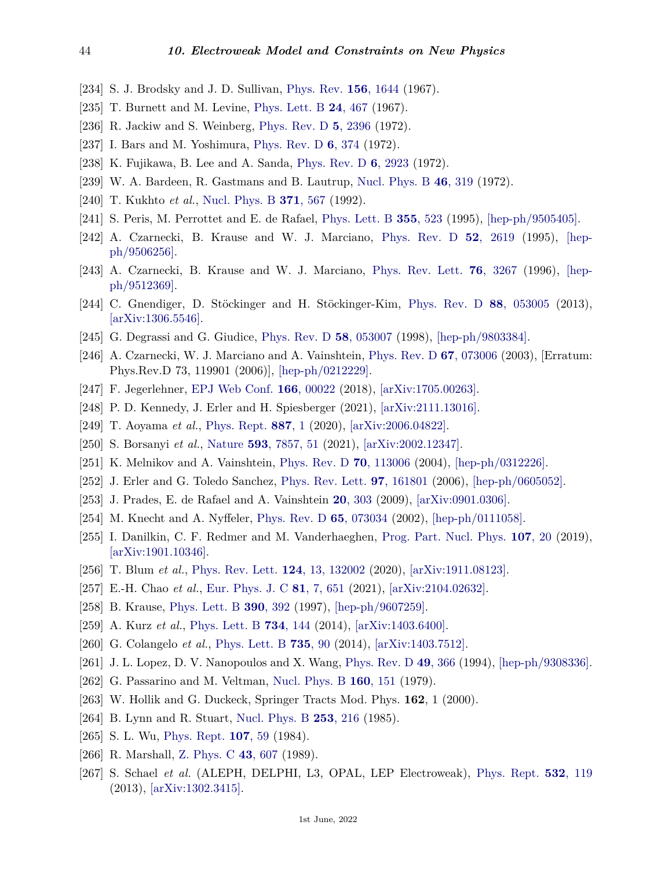- <span id="page-43-0"></span>[234] S. J. Brodsky and J. D. Sullivan, [Phys. Rev.](http://doi.org/10.1103/PhysRev.156.1644) **156**[, 1644](http://doi.org/10.1103/PhysRev.156.1644) (1967).
- [235] T. Burnett and M. Levine, [Phys. Lett. B](http://doi.org/10.1016/0370-2693(67)90274-2) **24**[, 467](http://doi.org/10.1016/0370-2693(67)90274-2) (1967).
- [236] R. Jackiw and S. Weinberg, [Phys. Rev. D](http://doi.org/10.1103/PhysRevD.5.2396) **5**[, 2396](http://doi.org/10.1103/PhysRevD.5.2396) (1972).
- [237] I. Bars and M. Yoshimura, [Phys. Rev. D](http://doi.org/10.1103/PhysRevD.6.374) **6**[, 374](http://doi.org/10.1103/PhysRevD.6.374) (1972).
- [238] K. Fujikawa, B. Lee and A. Sanda, [Phys. Rev. D](http://doi.org/10.1103/PhysRevD.6.2923) **6**[, 2923](http://doi.org/10.1103/PhysRevD.6.2923) (1972).
- <span id="page-43-1"></span>[239] W. A. Bardeen, R. Gastmans and B. Lautrup, [Nucl. Phys. B](http://doi.org/10.1016/0550-3213(72)90218-0) **46**[, 319](http://doi.org/10.1016/0550-3213(72)90218-0) (1972).
- <span id="page-43-2"></span>[240] T. Kukhto *et al.*, [Nucl. Phys. B](http://doi.org/10.1016/0550-3213(92)90687-7) **371**[, 567](http://doi.org/10.1016/0550-3213(92)90687-7) (1992).
- [241] S. Peris, M. Perrottet and E. de Rafael, [Phys. Lett. B](http://doi.org/10.1016/0370-2693(95)00768-G) **355**[, 523](http://doi.org/10.1016/0370-2693(95)00768-G) (1995), [\[hep-ph/9505405\].](https://arxiv.org/abs/hep-ph/9505405)
- [242] A. Czarnecki, B. Krause and W. J. Marciano, [Phys. Rev. D](http://doi.org/10.1103/PhysRevD.52.R2619) **52**[, 2619](http://doi.org/10.1103/PhysRevD.52.R2619) (1995), [\[hep](https://arxiv.org/abs/hep-ph/9506256)[ph/9506256\].](https://arxiv.org/abs/hep-ph/9506256)
- [243] A. Czarnecki, B. Krause and W. J. Marciano, [Phys. Rev. Lett.](http://doi.org/10.1103/PhysRevLett.76.3267) **76**[, 3267](http://doi.org/10.1103/PhysRevLett.76.3267) (1996), [\[hep](https://arxiv.org/abs/hep-ph/9512369)[ph/9512369\].](https://arxiv.org/abs/hep-ph/9512369)
- <span id="page-43-3"></span>[244] C. Gnendiger, D. Stöckinger and H. Stöckinger-Kim, [Phys. Rev. D](http://doi.org/10.1103/PhysRevD.88.053005) **88**[, 053005](http://doi.org/10.1103/PhysRevD.88.053005) (2013), [\[arXiv:1306.5546\].](https://arxiv.org/abs/1306.5546)
- <span id="page-43-4"></span>[245] G. Degrassi and G. Giudice, [Phys. Rev. D](http://doi.org/10.1103/PhysRevD.58.053007) **58**[, 053007](http://doi.org/10.1103/PhysRevD.58.053007) (1998), [\[hep-ph/9803384\].](https://arxiv.org/abs/hep-ph/9803384)
- <span id="page-43-5"></span>[246] A. Czarnecki, W. J. Marciano and A. Vainshtein, [Phys. Rev. D](http://doi.org/10.1103/PhysRevD.67.073006) **67**[, 073006](http://doi.org/10.1103/PhysRevD.67.073006) (2003), [Erratum: Phys.Rev.D 73, 119901 (2006)], [\[hep-ph/0212229\].](https://arxiv.org/abs/hep-ph/0212229)
- <span id="page-43-7"></span><span id="page-43-6"></span>[247] F. Jegerlehner, [EPJ Web Conf.](http://doi.org/10.1051/epjconf/201816600022) **166**[, 00022](http://doi.org/10.1051/epjconf/201816600022) (2018), [\[arXiv:1705.00263\].](https://arxiv.org/abs/1705.00263)
- <span id="page-43-8"></span>[248] P. D. Kennedy, J. Erler and H. Spiesberger (2021), [\[arXiv:2111.13016\].](https://arxiv.org/abs/2111.13016)
- [249] T. Aoyama *et al.*, [Phys. Rept.](http://doi.org/10.1016/j.physrep.2020.07.006) **[887](http://doi.org/10.1016/j.physrep.2020.07.006)**, 1 (2020), [\[arXiv:2006.04822\].](https://arxiv.org/abs/2006.04822)
- <span id="page-43-9"></span>[250] S. Borsanyi *et al.*, [Nature](http://doi.org/10.1038/s41586-021-03418-1) **593**[, 7857, 51](http://doi.org/10.1038/s41586-021-03418-1) (2021), [\[arXiv:2002.12347\].](https://arxiv.org/abs/2002.12347)
- <span id="page-43-10"></span>[251] K. Melnikov and A. Vainshtein, [Phys. Rev. D](http://doi.org/10.1103/PhysRevD.70.113006) **70**[, 113006](http://doi.org/10.1103/PhysRevD.70.113006) (2004), [\[hep-ph/0312226\].](https://arxiv.org/abs/hep-ph/0312226)
- <span id="page-43-11"></span>[252] J. Erler and G. Toledo Sanchez, [Phys. Rev. Lett.](http://doi.org/10.1103/PhysRevLett.97.161801) **97**[, 161801](http://doi.org/10.1103/PhysRevLett.97.161801) (2006), [\[hep-ph/0605052\].](https://arxiv.org/abs/hep-ph/0605052)
- <span id="page-43-12"></span>[253] J. Prades, E. de Rafael and A. Vainshtein **20**[, 303](http://doi.org/10.1142/9789814271844_0009) (2009), [\[arXiv:0901.0306\].](https://arxiv.org/abs/0901.0306)
- <span id="page-43-13"></span>[254] M. Knecht and A. Nyffeler, [Phys. Rev. D](http://doi.org/10.1103/PhysRevD.65.073034) **65**[, 073034](http://doi.org/10.1103/PhysRevD.65.073034) (2002), [\[hep-ph/0111058\].](https://arxiv.org/abs/hep-ph/0111058)
- <span id="page-43-14"></span>[255] I. Danilkin, C. F. Redmer and M. Vanderhaeghen, [Prog. Part. Nucl. Phys.](http://doi.org/10.1016/j.ppnp.2019.05.002) **[107](http://doi.org/10.1016/j.ppnp.2019.05.002)**, 20 (2019), [\[arXiv:1901.10346\].](https://arxiv.org/abs/1901.10346)
- <span id="page-43-15"></span>[256] T. Blum *et al.*, [Phys. Rev. Lett.](http://doi.org/10.1103/PhysRevLett.124.132002) **124**[, 13, 132002](http://doi.org/10.1103/PhysRevLett.124.132002) (2020), [\[arXiv:1911.08123\].](https://arxiv.org/abs/1911.08123)
- <span id="page-43-17"></span><span id="page-43-16"></span>[257] E.-H. Chao *et al.*, [Eur. Phys. J. C](http://doi.org/10.1140/epjc/s10052-021-09455-4) **81**[, 7, 651](http://doi.org/10.1140/epjc/s10052-021-09455-4) (2021), [\[arXiv:2104.02632\].](https://arxiv.org/abs/2104.02632)
- <span id="page-43-18"></span>[258] B. Krause, [Phys. Lett. B](http://doi.org/10.1016/S0370-2693(96)01346-9) **390**[, 392](http://doi.org/10.1016/S0370-2693(96)01346-9) (1997), [\[hep-ph/9607259\].](https://arxiv.org/abs/hep-ph/9607259)
- [259] A. Kurz *et al.*, [Phys. Lett. B](http://doi.org/10.1016/j.physletb.2014.05.043) **734**[, 144](http://doi.org/10.1016/j.physletb.2014.05.043) (2014), [\[arXiv:1403.6400\].](https://arxiv.org/abs/1403.6400)
- <span id="page-43-19"></span>[260] G. Colangelo *et al.*, [Phys. Lett. B](http://doi.org/10.1016/j.physletb.2014.06.012) **[735](http://doi.org/10.1016/j.physletb.2014.06.012)**, 90 (2014), [\[arXiv:1403.7512\].](https://arxiv.org/abs/1403.7512)
- <span id="page-43-20"></span>[261] J. L. Lopez, D. V. Nanopoulos and X. Wang, [Phys. Rev. D](http://doi.org/10.1103/PhysRevD.49.366) **49**[, 366](http://doi.org/10.1103/PhysRevD.49.366) (1994), [\[hep-ph/9308336\].](https://arxiv.org/abs/hep-ph/9308336)
- <span id="page-43-21"></span>[262] G. Passarino and M. Veltman, [Nucl. Phys. B](http://doi.org/10.1016/0550-3213(79)90234-7) **160**[, 151](http://doi.org/10.1016/0550-3213(79)90234-7) (1979).
- <span id="page-43-22"></span>[263] W. Hollik and G. Duckeck, Springer Tracts Mod. Phys. **162**, 1 (2000).
- <span id="page-43-24"></span>[264] B. Lynn and R. Stuart, [Nucl. Phys. B](http://doi.org/10.1016/0550-3213(85)90528-0) **253**[, 216](http://doi.org/10.1016/0550-3213(85)90528-0) (1985).
- <span id="page-43-25"></span>[265] S. L. Wu, [Phys. Rept.](http://doi.org/10.1016/0370-1573(84)90033-4) **[107](http://doi.org/10.1016/0370-1573(84)90033-4)**, 59 (1984).
- <span id="page-43-26"></span>[266] R. Marshall, [Z. Phys. C](http://doi.org/10.1007/BF01550939) **43**[, 607](http://doi.org/10.1007/BF01550939) (1989).
- <span id="page-43-23"></span>[267] S. Schael *et al.* (ALEPH, DELPHI, L3, OPAL, LEP Electroweak), [Phys. Rept.](http://doi.org/10.1016/j.physrep.2013.07.004) **532**[, 119](http://doi.org/10.1016/j.physrep.2013.07.004) (2013), [\[arXiv:1302.3415\].](https://arxiv.org/abs/1302.3415)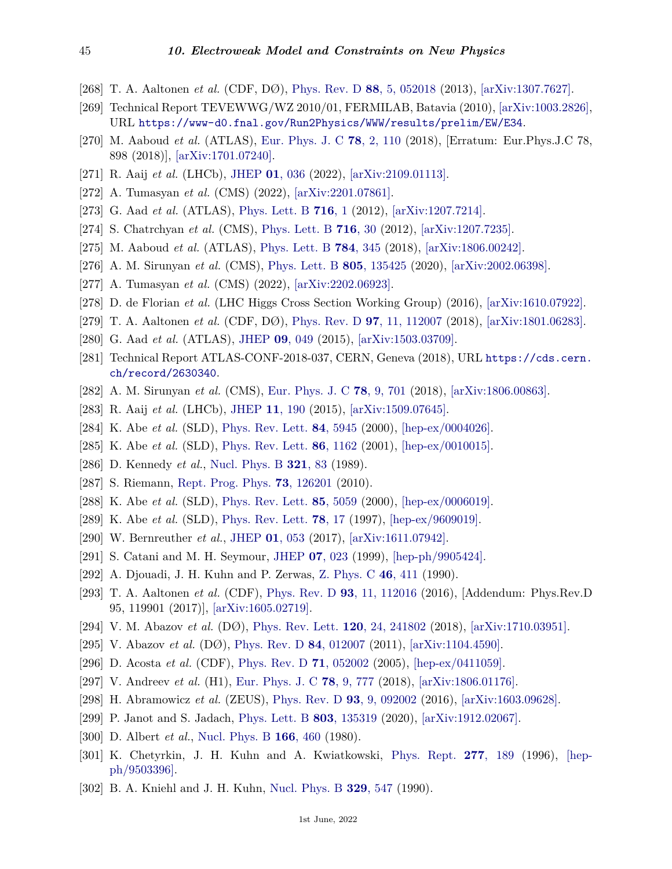- <span id="page-44-0"></span>[268] T. A. Aaltonen *et al.* (CDF, DØ), [Phys. Rev. D](http://doi.org/10.1103/PhysRevD.88.052018) **88**[, 5, 052018](http://doi.org/10.1103/PhysRevD.88.052018) (2013), [\[arXiv:1307.7627\].](https://arxiv.org/abs/1307.7627)
- <span id="page-44-1"></span>[269] Technical Report TEVEWWG/WZ 2010/01, FERMILAB, Batavia (2010), [\[arXiv:1003.2826\],](https://arxiv.org/abs/1003.2826) URL <https://www-d0.fnal.gov/Run2Physics/WWW/results/prelim/EW/E34>.
- <span id="page-44-2"></span>[270] M. Aaboud *et al.* (ATLAS), [Eur. Phys. J. C](http://doi.org/10.1140/epjc/s10052-017-5475-4) **78**[, 2, 110](http://doi.org/10.1140/epjc/s10052-017-5475-4) (2018), [Erratum: Eur.Phys.J.C 78, 898 (2018)], [\[arXiv:1701.07240\].](https://arxiv.org/abs/1701.07240)
- <span id="page-44-3"></span>[271] R. Aaij *et al.* (LHCb), [JHEP](http://doi.org/10.1007/JHEP01(2022)036) **01**[, 036](http://doi.org/10.1007/JHEP01(2022)036) (2022), [\[arXiv:2109.01113\].](https://arxiv.org/abs/2109.01113)
- <span id="page-44-4"></span>[272] A. Tumasyan *et al.* (CMS) (2022), [\[arXiv:2201.07861\].](https://arxiv.org/abs/2201.07861)
- <span id="page-44-5"></span>[273] G. Aad *et al.* (ATLAS), [Phys. Lett. B](http://doi.org/10.1016/j.physletb.2012.08.020) **[716](http://doi.org/10.1016/j.physletb.2012.08.020)**, 1 (2012), [\[arXiv:1207.7214\].](https://arxiv.org/abs/1207.7214)
- <span id="page-44-6"></span>[274] S. Chatrchyan *et al.* (CMS), [Phys. Lett. B](http://doi.org/10.1016/j.physletb.2012.08.021) **[716](http://doi.org/10.1016/j.physletb.2012.08.021)**, 30 (2012), [\[arXiv:1207.7235\].](https://arxiv.org/abs/1207.7235)
- <span id="page-44-7"></span>[275] M. Aaboud *et al.* (ATLAS), [Phys. Lett. B](http://doi.org/10.1016/j.physletb.2018.07.050) **784**[, 345](http://doi.org/10.1016/j.physletb.2018.07.050) (2018), [\[arXiv:1806.00242\].](https://arxiv.org/abs/1806.00242)
- <span id="page-44-8"></span>[276] A. M. Sirunyan *et al.* (CMS), [Phys. Lett. B](http://doi.org/10.1016/j.physletb.2020.135425) **805**[, 135425](http://doi.org/10.1016/j.physletb.2020.135425) (2020), [\[arXiv:2002.06398\].](https://arxiv.org/abs/2002.06398)
- <span id="page-44-9"></span>[277] A. Tumasyan *et al.* (CMS) (2022), [\[arXiv:2202.06923\].](https://arxiv.org/abs/2202.06923)
- <span id="page-44-10"></span>[278] D. de Florian *et al.* (LHC Higgs Cross Section Working Group) (2016), [\[arXiv:1610.07922\].](https://arxiv.org/abs/1610.07922)
- <span id="page-44-17"></span>[279] T. A. Aaltonen *et al.* (CDF, DØ), [Phys. Rev. D](http://doi.org/10.1103/PhysRevD.97.112007) **97**[, 11, 112007](http://doi.org/10.1103/PhysRevD.97.112007) (2018), [\[arXiv:1801.06283\].](https://arxiv.org/abs/1801.06283)
- <span id="page-44-18"></span>[280] G. Aad *et al.* (ATLAS), [JHEP](http://doi.org/10.1007/JHEP09(2015)049) **09**[, 049](http://doi.org/10.1007/JHEP09(2015)049) (2015), [\[arXiv:1503.03709\].](https://arxiv.org/abs/1503.03709)
- <span id="page-44-30"></span>[281] Technical Report ATLAS-CONF-2018-037, CERN, Geneva (2018), URL [https://cds.cern.](https://cds.cern.ch/record/2630340) [ch/record/2630340](https://cds.cern.ch/record/2630340).
- <span id="page-44-31"></span>[282] A. M. Sirunyan *et al.* (CMS), [Eur. Phys. J. C](http://doi.org/10.1140/epjc/s10052-018-6148-7) **78**[, 9, 701](http://doi.org/10.1140/epjc/s10052-018-6148-7) (2018), [\[arXiv:1806.00863\].](https://arxiv.org/abs/1806.00863)
- <span id="page-44-19"></span>[283] R. Aaij *et al.* (LHCb), [JHEP](http://doi.org/10.1007/JHEP11(2015)190) **11**[, 190](http://doi.org/10.1007/JHEP11(2015)190) (2015), [\[arXiv:1509.07645\].](https://arxiv.org/abs/1509.07645)
- <span id="page-44-13"></span>[284] K. Abe *et al.* (SLD), [Phys. Rev. Lett.](http://doi.org/10.1103/PhysRevLett.84.5945) **84**[, 5945](http://doi.org/10.1103/PhysRevLett.84.5945) (2000), [\[hep-ex/0004026\].](https://arxiv.org/abs/hep-ex/0004026)
- <span id="page-44-14"></span>[285] K. Abe *et al.* (SLD), [Phys. Rev. Lett.](http://doi.org/10.1103/PhysRevLett.86.1162) **86**[, 1162](http://doi.org/10.1103/PhysRevLett.86.1162) (2001), [\[hep-ex/0010015\].](https://arxiv.org/abs/hep-ex/0010015)
- <span id="page-44-11"></span>[286] D. Kennedy *et al.*, [Nucl. Phys. B](http://doi.org/10.1016/0550-3213(89)90243-5) **[321](http://doi.org/10.1016/0550-3213(89)90243-5)**, 83 (1989).
- <span id="page-44-12"></span>[287] S. Riemann, [Rept. Prog. Phys.](http://doi.org/10.1088/0034-4885/73/12/126201) **73**[, 126201](http://doi.org/10.1088/0034-4885/73/12/126201) (2010).
- <span id="page-44-15"></span>[288] K. Abe *et al.* (SLD), [Phys. Rev. Lett.](http://doi.org/10.1103/PhysRevLett.85.5059) **85**[, 5059](http://doi.org/10.1103/PhysRevLett.85.5059) (2000), [\[hep-ex/0006019\].](https://arxiv.org/abs/hep-ex/0006019)
- <span id="page-44-16"></span>[289] K. Abe *et al.* (SLD), [Phys. Rev. Lett.](http://doi.org/10.1103/PhysRevLett.78.17) **78**[, 17](http://doi.org/10.1103/PhysRevLett.78.17) (1997), [\[hep-ex/9609019\].](https://arxiv.org/abs/hep-ex/9609019)
- <span id="page-44-20"></span>[290] W. Bernreuther *et al.*, [JHEP](http://doi.org/10.1007/JHEP01(2017)053) **01**[, 053](http://doi.org/10.1007/JHEP01(2017)053) (2017), [\[arXiv:1611.07942\].](https://arxiv.org/abs/1611.07942)
- <span id="page-44-21"></span>[291] S. Catani and M. H. Seymour, [JHEP](http://doi.org/10.1088/1126-6708/1999/07/023) **07**[, 023](http://doi.org/10.1088/1126-6708/1999/07/023) (1999), [\[hep-ph/9905424\].](https://arxiv.org/abs/hep-ph/9905424)
- <span id="page-44-22"></span>[292] A. Djouadi, J. H. Kuhn and P. Zerwas, [Z. Phys. C](http://doi.org/10.1007/BF01621029) **46**[, 411](http://doi.org/10.1007/BF01621029) (1990).
- <span id="page-44-23"></span>[293] T. A. Aaltonen *et al.* (CDF), [Phys. Rev. D](http://doi.org/10.1103/PhysRevD.93.112016) **93**[, 11, 112016](http://doi.org/10.1103/PhysRevD.93.112016) (2016), [Addendum: Phys.Rev.D 95, 119901 (2017)], [\[arXiv:1605.02719\].](https://arxiv.org/abs/1605.02719)
- <span id="page-44-24"></span>[294] V. M. Abazov *et al.* (DØ), [Phys. Rev. Lett.](http://doi.org/10.1103/PhysRevLett.120.241802) **120**[, 24, 241802](http://doi.org/10.1103/PhysRevLett.120.241802) (2018), [\[arXiv:1710.03951\].](https://arxiv.org/abs/1710.03951)
- <span id="page-44-25"></span>[295] V. Abazov *et al.* (DØ), [Phys. Rev. D](http://doi.org/10.1103/PhysRevD.84.012007) **84**[, 012007](http://doi.org/10.1103/PhysRevD.84.012007) (2011), [\[arXiv:1104.4590\].](https://arxiv.org/abs/1104.4590)
- <span id="page-44-26"></span>[296] D. Acosta *et al.* (CDF), [Phys. Rev. D](http://doi.org/10.1103/PhysRevD.71.052002) **71**[, 052002](http://doi.org/10.1103/PhysRevD.71.052002) (2005), [\[hep-ex/0411059\].](https://arxiv.org/abs/hep-ex/0411059)
- <span id="page-44-27"></span>[297] V. Andreev *et al.* (H1), [Eur. Phys. J. C](http://doi.org/10.1140/epjc/s10052-018-6236-8) **78**[, 9, 777](http://doi.org/10.1140/epjc/s10052-018-6236-8) (2018), [\[arXiv:1806.01176\].](https://arxiv.org/abs/1806.01176)
- <span id="page-44-28"></span>[298] H. Abramowicz *et al.* (ZEUS), [Phys. Rev. D](http://doi.org/10.1103/PhysRevD.93.092002) **93**[, 9, 092002](http://doi.org/10.1103/PhysRevD.93.092002) (2016), [\[arXiv:1603.09628\].](https://arxiv.org/abs/1603.09628)
- <span id="page-44-29"></span>[299] P. Janot and S. Jadach, [Phys. Lett. B](http://doi.org/10.1016/j.physletb.2020.135319) **803**[, 135319](http://doi.org/10.1016/j.physletb.2020.135319) (2020), [\[arXiv:1912.02067\].](https://arxiv.org/abs/1912.02067)
- <span id="page-44-32"></span>[300] D. Albert *et al.*, [Nucl. Phys. B](http://doi.org/10.1016/0550-3213(80)90208-4) **166**[, 460](http://doi.org/10.1016/0550-3213(80)90208-4) (1980).
- <span id="page-44-33"></span>[301] K. Chetyrkin, J. H. Kuhn and A. Kwiatkowski, [Phys. Rept.](http://doi.org/10.1016/S0370-1573(96)00012-9) **277**[, 189](http://doi.org/10.1016/S0370-1573(96)00012-9) (1996), [\[hep](https://arxiv.org/abs/hep-ph/9503396)[ph/9503396\].](https://arxiv.org/abs/hep-ph/9503396)
- <span id="page-44-34"></span>[302] B. A. Kniehl and J. H. Kuhn, [Nucl. Phys. B](http://doi.org/10.1016/0550-3213(90)90070-T) **329**[, 547](http://doi.org/10.1016/0550-3213(90)90070-T) (1990).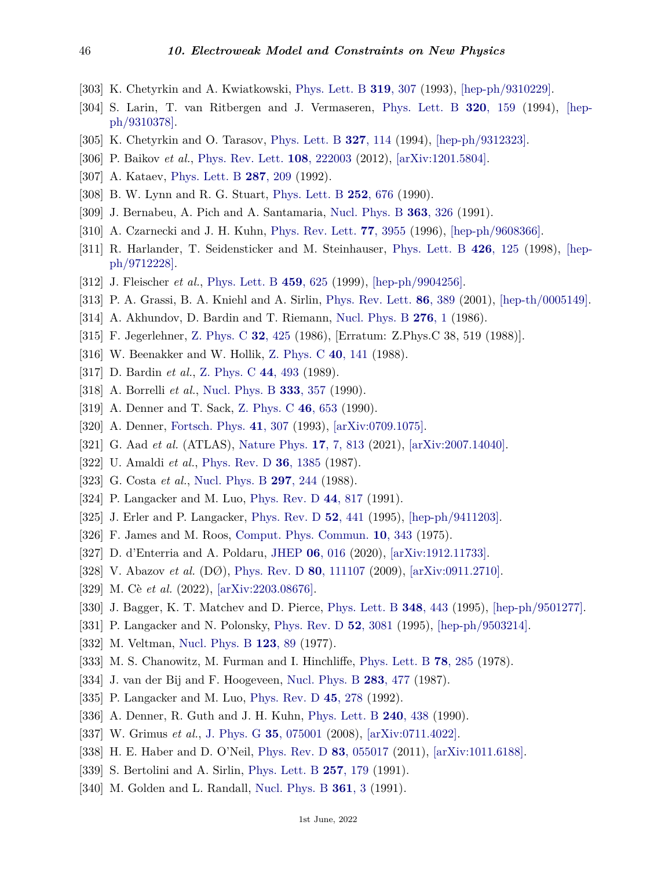- [303] K. Chetyrkin and A. Kwiatkowski, [Phys. Lett. B](http://doi.org/10.1016/0370-2693(93)90818-3) **319**[, 307](http://doi.org/10.1016/0370-2693(93)90818-3) (1993), [\[hep-ph/9310229\].](https://arxiv.org/abs/hep-ph/9310229)
- [304] S. Larin, T. van Ritbergen and J. Vermaseren, [Phys. Lett. B](http://doi.org/10.1016/0370-2693(94)90840-0) **320**[, 159](http://doi.org/10.1016/0370-2693(94)90840-0) (1994), [\[hep](https://arxiv.org/abs/hep-ph/9310378)[ph/9310378\].](https://arxiv.org/abs/hep-ph/9310378)
- [305] K. Chetyrkin and O. Tarasov, [Phys. Lett. B](http://doi.org/10.1016/0370-2693(94)91538-5) **327**[, 114](http://doi.org/10.1016/0370-2693(94)91538-5) (1994), [\[hep-ph/9312323\].](https://arxiv.org/abs/hep-ph/9312323)
- <span id="page-45-0"></span>[306] P. Baikov *et al.*, [Phys. Rev. Lett.](http://doi.org/10.1103/PhysRevLett.108.222003) **108**[, 222003](http://doi.org/10.1103/PhysRevLett.108.222003) (2012), [\[arXiv:1201.5804\].](https://arxiv.org/abs/1201.5804)
- <span id="page-45-1"></span>[307] A. Kataev, [Phys. Lett. B](http://doi.org/10.1016/0370-2693(92)91901-K) **287**[, 209](http://doi.org/10.1016/0370-2693(92)91901-K) (1992).
- <span id="page-45-2"></span>[308] B. W. Lynn and R. G. Stuart, [Phys. Lett. B](http://doi.org/10.1016/0370-2693(90)90505-Z) **252**[, 676](http://doi.org/10.1016/0370-2693(90)90505-Z) (1990).
- <span id="page-45-3"></span>[309] J. Bernabeu, A. Pich and A. Santamaria, [Nucl. Phys. B](http://doi.org/10.1016/0550-3213(91)80023-F) **363**[, 326](http://doi.org/10.1016/0550-3213(91)80023-F) (1991).
- <span id="page-45-4"></span>[310] A. Czarnecki and J. H. Kuhn, [Phys. Rev. Lett.](http://doi.org/10.1103/PhysRevLett.77.3955) **77**[, 3955](http://doi.org/10.1103/PhysRevLett.77.3955) (1996), [\[hep-ph/9608366\].](https://arxiv.org/abs/hep-ph/9608366)
- [311] R. Harlander, T. Seidensticker and M. Steinhauser, [Phys. Lett. B](http://doi.org/10.1016/S0370-2693(98)00220-2) **426**[, 125](http://doi.org/10.1016/S0370-2693(98)00220-2) (1998), [\[hep](https://arxiv.org/abs/hep-ph/9712228)[ph/9712228\].](https://arxiv.org/abs/hep-ph/9712228)
- <span id="page-45-5"></span>[312] J. Fleischer *et al.*, [Phys. Lett. B](http://doi.org/10.1016/S0370-2693(99)00716-9) **459**[, 625](http://doi.org/10.1016/S0370-2693(99)00716-9) (1999), [\[hep-ph/9904256\].](https://arxiv.org/abs/hep-ph/9904256)
- <span id="page-45-6"></span>[313] P. A. Grassi, B. A. Kniehl and A. Sirlin, [Phys. Rev. Lett.](http://doi.org/10.1103/PhysRevLett.86.389) **86**[, 389](http://doi.org/10.1103/PhysRevLett.86.389) (2001), [\[hep-th/0005149\].](https://arxiv.org/abs/hep-th/0005149)
- <span id="page-45-7"></span>[314] A. Akhundov, D. Bardin and T. Riemann, [Nucl. Phys. B](http://doi.org/10.1016/0550-3213(86)90014-3) **[276](http://doi.org/10.1016/0550-3213(86)90014-3)**, 1 (1986).
- [315] F. Jegerlehner, [Z. Phys. C](http://doi.org/10.1007/BF01551840) **32**[, 425](http://doi.org/10.1007/BF01551840) (1986), [Erratum: Z.Phys.C 38, 519 (1988)].
- [316] W. Beenakker and W. Hollik, [Z. Phys. C](http://doi.org/10.1007/BF01559728) **40**[, 141](http://doi.org/10.1007/BF01559728) (1988).
- [317] D. Bardin *et al.*, [Z. Phys. C](http://doi.org/10.1007/BF01415565) **44**[, 493](http://doi.org/10.1007/BF01415565) (1989).
- <span id="page-45-8"></span>[318] A. Borrelli *et al.*, [Nucl. Phys. B](http://doi.org/10.1016/0550-3213(90)90042-C) **333**[, 357](http://doi.org/10.1016/0550-3213(90)90042-C) (1990).
- <span id="page-45-9"></span>[319] A. Denner and T. Sack, [Z. Phys. C](http://doi.org/10.1007/BF01560267) **46**[, 653](http://doi.org/10.1007/BF01560267) (1990).
- <span id="page-45-10"></span>[320] A. Denner, [Fortsch. Phys.](http://doi.org/10.1002/prop.2190410402) **41**[, 307](http://doi.org/10.1002/prop.2190410402) (1993), [\[arXiv:0709.1075\].](https://arxiv.org/abs/0709.1075)
- <span id="page-45-13"></span>[321] G. Aad *et al.* (ATLAS), [Nature Phys.](http://doi.org/10.1038/s41567-021-01236-w) **17**[, 7, 813](http://doi.org/10.1038/s41567-021-01236-w) (2021), [\[arXiv:2007.14040\].](https://arxiv.org/abs/2007.14040)
- <span id="page-45-11"></span>[322] U. Amaldi *et al.*, [Phys. Rev. D](http://doi.org/10.1103/PhysRevD.36.1385) **36**[, 1385](http://doi.org/10.1103/PhysRevD.36.1385) (1987).
- [323] G. Costa *et al.*, [Nucl. Phys. B](http://doi.org/10.1016/0550-3213(88)90020-X) **297**[, 244](http://doi.org/10.1016/0550-3213(88)90020-X) (1988).
- [324] P. Langacker and M. Luo, [Phys. Rev. D](http://doi.org/10.1103/PhysRevD.44.817) **44**[, 817](http://doi.org/10.1103/PhysRevD.44.817) (1991).
- <span id="page-45-12"></span>[325] J. Erler and P. Langacker, [Phys. Rev. D](http://doi.org/10.1103/PhysRevD.52.441) **52**[, 441](http://doi.org/10.1103/PhysRevD.52.441) (1995), [\[hep-ph/9411203\].](https://arxiv.org/abs/hep-ph/9411203)
- <span id="page-45-14"></span>[326] F. James and M. Roos, [Comput. Phys. Commun.](http://doi.org/10.1016/0010-4655(75)90039-9) **10**[, 343](http://doi.org/10.1016/0010-4655(75)90039-9) (1975).
- <span id="page-45-15"></span>[327] D. d'Enterria and A. Poldaru, [JHEP](http://doi.org/10.1007/JHEP06(2020)016) **06**[, 016](http://doi.org/10.1007/JHEP06(2020)016) (2020), [\[arXiv:1912.11733\].](https://arxiv.org/abs/1912.11733)
- <span id="page-45-17"></span><span id="page-45-16"></span>[328] V. Abazov *et al.* (DØ), [Phys. Rev. D](http://doi.org/10.1103/PhysRevD.80.111107) **80**[, 111107](http://doi.org/10.1103/PhysRevD.80.111107) (2009), [\[arXiv:0911.2710\].](https://arxiv.org/abs/0911.2710)
- [329] M. Cè *et al.* (2022), [\[arXiv:2203.08676\].](https://arxiv.org/abs/2203.08676)
- <span id="page-45-19"></span><span id="page-45-18"></span>[330] J. Bagger, K. T. Matchev and D. Pierce, [Phys. Lett. B](http://doi.org/10.1016/0370-2693(95)00207-2) **348**[, 443](http://doi.org/10.1016/0370-2693(95)00207-2) (1995), [\[hep-ph/9501277\].](https://arxiv.org/abs/hep-ph/9501277)
- [331] P. Langacker and N. Polonsky, [Phys. Rev. D](http://doi.org/10.1103/PhysRevD.52.3081) **52**[, 3081](http://doi.org/10.1103/PhysRevD.52.3081) (1995), [\[hep-ph/9503214\].](https://arxiv.org/abs/hep-ph/9503214)
- <span id="page-45-20"></span>[332] M. Veltman, [Nucl. Phys. B](http://doi.org/10.1016/0550-3213(77)90342-X) **[123](http://doi.org/10.1016/0550-3213(77)90342-X)**, 89 (1977).
- [333] M. S. Chanowitz, M. Furman and I. Hinchliffe, [Phys. Lett. B](http://doi.org/10.1016/0370-2693(78)90024-2) **78**[, 285](http://doi.org/10.1016/0370-2693(78)90024-2) (1978).
- <span id="page-45-22"></span><span id="page-45-21"></span>[334] J. van der Bij and F. Hoogeveen, [Nucl. Phys. B](http://doi.org/10.1016/0550-3213(87)90284-7) **283**[, 477](http://doi.org/10.1016/0550-3213(87)90284-7) (1987).
- [335] P. Langacker and M. Luo, [Phys. Rev. D](http://doi.org/10.1103/PhysRevD.45.278) **45**[, 278](http://doi.org/10.1103/PhysRevD.45.278) (1992).
- <span id="page-45-23"></span>[336] A. Denner, R. Guth and J. H. Kuhn, [Phys. Lett. B](http://doi.org/10.1016/0370-2693(90)91126-V) **240**[, 438](http://doi.org/10.1016/0370-2693(90)91126-V) (1990).
- [337] W. Grimus *et al.*, [J. Phys. G](http://doi.org/10.1088/0954-3899/35/7/075001) **35**[, 075001](http://doi.org/10.1088/0954-3899/35/7/075001) (2008), [\[arXiv:0711.4022\].](https://arxiv.org/abs/0711.4022)
- <span id="page-45-24"></span>[338] H. E. Haber and D. O'Neil, [Phys. Rev. D](http://doi.org/10.1103/PhysRevD.83.055017) **83**[, 055017](http://doi.org/10.1103/PhysRevD.83.055017) (2011), [\[arXiv:1011.6188\].](https://arxiv.org/abs/1011.6188)
- <span id="page-45-25"></span>[339] S. Bertolini and A. Sirlin, [Phys. Lett. B](http://doi.org/10.1016/0370-2693(91)90878-T) **257**[, 179](http://doi.org/10.1016/0370-2693(91)90878-T) (1991).
- <span id="page-45-26"></span>[340] M. Golden and L. Randall, [Nucl. Phys. B](http://doi.org/10.1016/0550-3213(91)90614-4) **[361](http://doi.org/10.1016/0550-3213(91)90614-4)**, 3 (1991).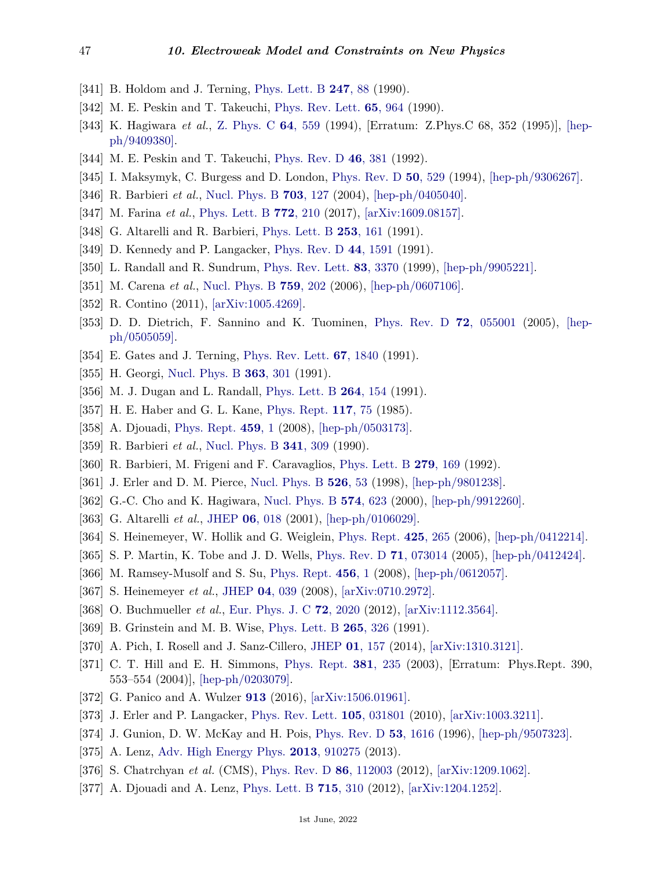- [341] B. Holdom and J. Terning, [Phys. Lett. B](http://doi.org/10.1016/0370-2693(90)91054-F) **[247](http://doi.org/10.1016/0370-2693(90)91054-F)**, 88 (1990).
- <span id="page-46-0"></span>[342] M. E. Peskin and T. Takeuchi, [Phys. Rev. Lett.](http://doi.org/10.1103/PhysRevLett.65.964) **65**[, 964](http://doi.org/10.1103/PhysRevLett.65.964) (1990).
- <span id="page-46-1"></span>[343] K. Hagiwara *et al.*, [Z. Phys. C](http://doi.org/10.1007/BF01957770) **64**[, 559](http://doi.org/10.1007/BF01957770) (1994), [Erratum: Z.Phys.C 68, 352 (1995)], [\[hep](https://arxiv.org/abs/hep-ph/9409380)[ph/9409380\].](https://arxiv.org/abs/hep-ph/9409380)
- <span id="page-46-2"></span>[344] M. E. Peskin and T. Takeuchi, [Phys. Rev. D](http://doi.org/10.1103/PhysRevD.46.381) **46**[, 381](http://doi.org/10.1103/PhysRevD.46.381) (1992).
- <span id="page-46-5"></span>[345] I. Maksymyk, C. Burgess and D. London, [Phys. Rev. D](http://doi.org/10.1103/PhysRevD.50.529) **50**[, 529](http://doi.org/10.1103/PhysRevD.50.529) (1994), [\[hep-ph/9306267\].](https://arxiv.org/abs/hep-ph/9306267)
- <span id="page-46-6"></span>[346] R. Barbieri *et al.*, [Nucl. Phys. B](http://doi.org/10.1016/j.nuclphysb.2004.10.014) **703**[, 127](http://doi.org/10.1016/j.nuclphysb.2004.10.014) (2004), [\[hep-ph/0405040\].](https://arxiv.org/abs/hep-ph/0405040)
- <span id="page-46-7"></span>[347] M. Farina *et al.*, [Phys. Lett. B](http://doi.org/10.1016/j.physletb.2017.06.043) **772**[, 210](http://doi.org/10.1016/j.physletb.2017.06.043) (2017), [\[arXiv:1609.08157\].](https://arxiv.org/abs/1609.08157)
- <span id="page-46-3"></span>[348] G. Altarelli and R. Barbieri, [Phys. Lett. B](http://doi.org/10.1016/0370-2693(91)91378-9) **253**[, 161](http://doi.org/10.1016/0370-2693(91)91378-9) (1991).
- <span id="page-46-4"></span>[349] D. Kennedy and P. Langacker, [Phys. Rev. D](http://doi.org/10.1103/PhysRevD.44.1591) **44**[, 1591](http://doi.org/10.1103/PhysRevD.44.1591) (1991).
- <span id="page-46-8"></span>[350] L. Randall and R. Sundrum, [Phys. Rev. Lett.](http://doi.org/10.1103/PhysRevLett.83.3370) **83**[, 3370](http://doi.org/10.1103/PhysRevLett.83.3370) (1999), [\[hep-ph/9905221\].](https://arxiv.org/abs/hep-ph/9905221)
- <span id="page-46-9"></span>[351] M. Carena *et al.*, [Nucl. Phys. B](http://doi.org/10.1016/j.nuclphysb.2006.10.012) **759**[, 202](http://doi.org/10.1016/j.nuclphysb.2006.10.012) (2006), [\[hep-ph/0607106\].](https://arxiv.org/abs/hep-ph/0607106)
- <span id="page-46-10"></span>[352] R. Contino (2011), [\[arXiv:1005.4269\].](https://arxiv.org/abs/1005.4269)
- <span id="page-46-11"></span>[353] D. D. Dietrich, F. Sannino and K. Tuominen, [Phys. Rev. D](http://doi.org/10.1103/PhysRevD.72.055001) **72**[, 055001](http://doi.org/10.1103/PhysRevD.72.055001) (2005), [\[hep](https://arxiv.org/abs/hep-ph/0505059)[ph/0505059\].](https://arxiv.org/abs/hep-ph/0505059)
- <span id="page-46-12"></span>[354] E. Gates and J. Terning, [Phys. Rev. Lett.](http://doi.org/10.1103/PhysRevLett.67.1840) **67**[, 1840](http://doi.org/10.1103/PhysRevLett.67.1840) (1991).
- [355] H. Georgi, [Nucl. Phys. B](http://doi.org/10.1016/0550-3213(91)80022-E) **363**[, 301](http://doi.org/10.1016/0550-3213(91)80022-E) (1991).
- <span id="page-46-13"></span>[356] M. J. Dugan and L. Randall, [Phys. Lett. B](http://doi.org/10.1016/0370-2693(91)90720-B) **264**[, 154](http://doi.org/10.1016/0370-2693(91)90720-B) (1991).
- <span id="page-46-14"></span>[357] H. E. Haber and G. L. Kane, [Phys. Rept.](http://doi.org/10.1016/0370-1573(85)90051-1) **[117](http://doi.org/10.1016/0370-1573(85)90051-1)**, 75 (1985).
- <span id="page-46-15"></span>[358] A. Djouadi, [Phys. Rept.](http://doi.org/10.1016/j.physrep.2007.10.005) **[459](http://doi.org/10.1016/j.physrep.2007.10.005)**, 1 (2008), [\[hep-ph/0503173\].](https://arxiv.org/abs/hep-ph/0503173)
- <span id="page-46-16"></span>[359] R. Barbieri *et al.*, [Nucl. Phys. B](http://doi.org/10.1016/0550-3213(90)90181-C) **341**[, 309](http://doi.org/10.1016/0550-3213(90)90181-C) (1990).
- [360] R. Barbieri, M. Frigeni and F. Caravaglios, [Phys. Lett. B](http://doi.org/10.1016/0370-2693(92)91860-C) **279**[, 169](http://doi.org/10.1016/0370-2693(92)91860-C) (1992).
- [361] J. Erler and D. M. Pierce, [Nucl. Phys. B](http://doi.org/10.1016/S0550-3213(98)00359-9) **[526](http://doi.org/10.1016/S0550-3213(98)00359-9)**, 53 (1998), [\[hep-ph/9801238\].](https://arxiv.org/abs/hep-ph/9801238)
- [362] G.-C. Cho and K. Hagiwara, [Nucl. Phys. B](http://doi.org/10.1016/S0550-3213(00)00027-4) **574**[, 623](http://doi.org/10.1016/S0550-3213(00)00027-4) (2000), [\[hep-ph/9912260\].](https://arxiv.org/abs/hep-ph/9912260)
- [363] G. Altarelli *et al.*, [JHEP](http://doi.org/10.1088/1126-6708/2001/06/018) **06**[, 018](http://doi.org/10.1088/1126-6708/2001/06/018) (2001), [\[hep-ph/0106029\].](https://arxiv.org/abs/hep-ph/0106029)
- [364] S. Heinemeyer, W. Hollik and G. Weiglein, [Phys. Rept.](http://doi.org/10.1016/j.physrep.2005.12.002) **425**[, 265](http://doi.org/10.1016/j.physrep.2005.12.002) (2006), [\[hep-ph/0412214\].](https://arxiv.org/abs/hep-ph/0412214)
- [365] S. P. Martin, K. Tobe and J. D. Wells, [Phys. Rev. D](http://doi.org/10.1103/PhysRevD.71.073014) **71**[, 073014](http://doi.org/10.1103/PhysRevD.71.073014) (2005), [\[hep-ph/0412424\].](https://arxiv.org/abs/hep-ph/0412424)
- [366] M. Ramsey-Musolf and S. Su, [Phys. Rept.](http://doi.org/10.1016/j.physrep.2007.10.001) **[456](http://doi.org/10.1016/j.physrep.2007.10.001)**, 1 (2008), [\[hep-ph/0612057\].](https://arxiv.org/abs/hep-ph/0612057)
- [367] S. Heinemeyer *et al.*, [JHEP](http://doi.org/10.1088/1126-6708/2008/04/039) **04**[, 039](http://doi.org/10.1088/1126-6708/2008/04/039) (2008), [\[arXiv:0710.2972\].](https://arxiv.org/abs/0710.2972)
- <span id="page-46-17"></span>[368] O. Buchmueller *et al.*, [Eur. Phys. J. C](http://doi.org/10.1140/epjc/s10052-012-2020-3) **72**[, 2020](http://doi.org/10.1140/epjc/s10052-012-2020-3) (2012), [\[arXiv:1112.3564\].](https://arxiv.org/abs/1112.3564)
- <span id="page-46-18"></span>[369] B. Grinstein and M. B. Wise, [Phys. Lett. B](http://doi.org/10.1016/0370-2693(91)90061-T) **265**[, 326](http://doi.org/10.1016/0370-2693(91)90061-T) (1991).
- <span id="page-46-19"></span>[370] A. Pich, I. Rosell and J. Sanz-Cillero, [JHEP](http://doi.org/10.1007/JHEP01(2014)157) **01**[, 157](http://doi.org/10.1007/JHEP01(2014)157) (2014), [\[arXiv:1310.3121\].](https://arxiv.org/abs/1310.3121)
- <span id="page-46-20"></span>[371] C. T. Hill and E. H. Simmons, [Phys. Rept.](http://doi.org/10.1016/S0370-1573(03)00140-6) **381**[, 235](http://doi.org/10.1016/S0370-1573(03)00140-6) (2003), [Erratum: Phys.Rept. 390, 553–554 (2004)], [\[hep-ph/0203079\].](https://arxiv.org/abs/hep-ph/0203079)
- <span id="page-46-21"></span>[372] G. Panico and A. Wulzer **[913](http://doi.org/10.1007/978-3-319-22617-0)** (2016), [\[arXiv:1506.01961\].](https://arxiv.org/abs/1506.01961)
- <span id="page-46-22"></span>[373] J. Erler and P. Langacker, [Phys. Rev. Lett.](http://doi.org/10.1103/PhysRevLett.105.031801) **105**[, 031801](http://doi.org/10.1103/PhysRevLett.105.031801) (2010), [\[arXiv:1003.3211\].](https://arxiv.org/abs/1003.3211)
- <span id="page-46-23"></span>[374] J. Gunion, D. W. McKay and H. Pois, [Phys. Rev. D](http://doi.org/10.1103/PhysRevD.53.1616) **53**[, 1616](http://doi.org/10.1103/PhysRevD.53.1616) (1996), [\[hep-ph/9507323\].](https://arxiv.org/abs/hep-ph/9507323)
- <span id="page-46-24"></span>[375] A. Lenz, [Adv. High Energy Phys.](http://doi.org/10.1155/2013/910275) **2013**[, 910275](http://doi.org/10.1155/2013/910275) (2013).
- <span id="page-46-25"></span>[376] S. Chatrchyan *et al.* (CMS), [Phys. Rev. D](http://doi.org/10.1103/PhysRevD.86.112003) **86**[, 112003](http://doi.org/10.1103/PhysRevD.86.112003) (2012), [\[arXiv:1209.1062\].](https://arxiv.org/abs/1209.1062)
- <span id="page-46-26"></span>[377] A. Djouadi and A. Lenz, [Phys. Lett. B](http://doi.org/10.1016/j.physletb.2012.07.060) **715**[, 310](http://doi.org/10.1016/j.physletb.2012.07.060) (2012), [\[arXiv:1204.1252\].](https://arxiv.org/abs/1204.1252)